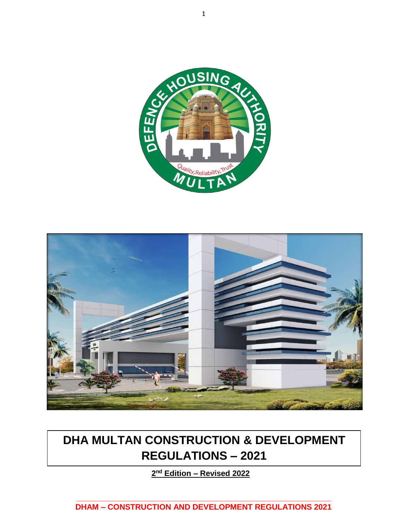



# **DHA MULTAN CONSTRUCTION & DEVELOPMENT REGULATIONS – 2021**

**2 nd Edition – Revised 2022**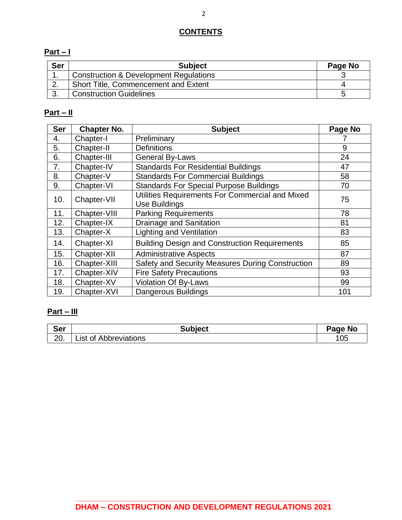### **CONTENTS**

### **Part – I**

| <b>Ser</b> | <b>Subject</b>                                    | Page No |
|------------|---------------------------------------------------|---------|
|            | <b>Construction &amp; Development Regulations</b> |         |
|            | <b>Short Title, Commencement and Extent</b>       |         |
| $\sim$     | <b>Construction Guidelines</b>                    | ∽       |

### **Part – II**

| <b>Ser</b> | <b>Chapter No.</b> | <b>Subject</b>                                       | Page No |
|------------|--------------------|------------------------------------------------------|---------|
| 4.         | Chapter-I          | Preliminary                                          |         |
| 5.         | Chapter-II         | <b>Definitions</b>                                   | 9       |
| 6.         | Chapter-III        | <b>General By-Laws</b>                               | 24      |
| 7.         | Chapter-IV         | <b>Standards For Residential Buildings</b>           | 47      |
| 8.         | Chapter-V          | <b>Standards For Commercial Buildings</b>            | 58      |
| 9.         | Chapter-VI         | <b>Standards For Special Purpose Buildings</b>       | 70      |
| 10.        | Chapter-VII        | Utilities Requirements For Commercial and Mixed      | 75      |
|            |                    | <b>Use Buildings</b>                                 |         |
| 11.        | Chapter-VIII       | <b>Parking Requirements</b>                          | 78      |
| 12.        | Chapter-IX         | <b>Drainage and Sanitation</b>                       | 81      |
| 13.        | Chapter-X          | <b>Lighting and Ventilation</b>                      | 83      |
| 14.        | Chapter-XI         | <b>Building Design and Construction Requirements</b> | 85      |
| 15.        | Chapter-XII        | <b>Administrative Aspects</b>                        | 87      |
| 16.        | Chapter-XIII       | Safety and Security Measures During Construction     | 89      |
| 17.        | Chapter-XIV        | <b>Fire Safety Precautions</b>                       | 93      |
| 18.        | Chapter-XV         | <b>Violation Of By-Laws</b>                          | 99      |
| 19.        | Chapter-XVI        | Dangerous Buildings                                  | 101     |

### **Part – III**

| <b>Ser</b> | <b>Subject</b>              | Page No |
|------------|-----------------------------|---------|
| ററ<br>ZU.  | Abbreviations<br>_ıst<br>0t | 105     |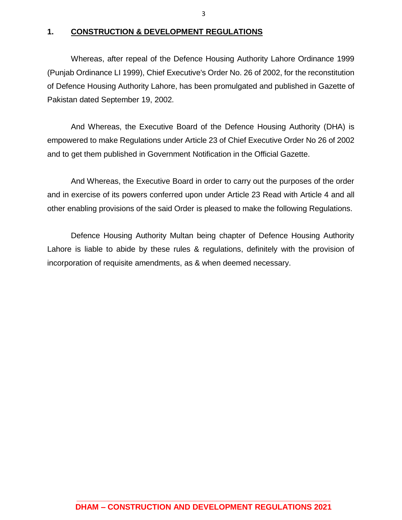#### **1. CONSTRUCTION & DEVELOPMENT REGULATIONS**

Whereas, after repeal of the Defence Housing Authority Lahore Ordinance 1999 (Punjab Ordinance LI 1999), Chief Executive's Order No. 26 of 2002, for the reconstitution of Defence Housing Authority Lahore, has been promulgated and published in Gazette of Pakistan dated September 19, 2002.

And Whereas, the Executive Board of the Defence Housing Authority (DHA) is empowered to make Regulations under Article 23 of Chief Executive Order No 26 of 2002 and to get them published in Government Notification in the Official Gazette.

And Whereas, the Executive Board in order to carry out the purposes of the order and in exercise of its powers conferred upon under Article 23 Read with Article 4 and all other enabling provisions of the said Order is pleased to make the following Regulations.

Defence Housing Authority Multan being chapter of Defence Housing Authority Lahore is liable to abide by these rules & regulations, definitely with the provision of incorporation of requisite amendments, as & when deemed necessary.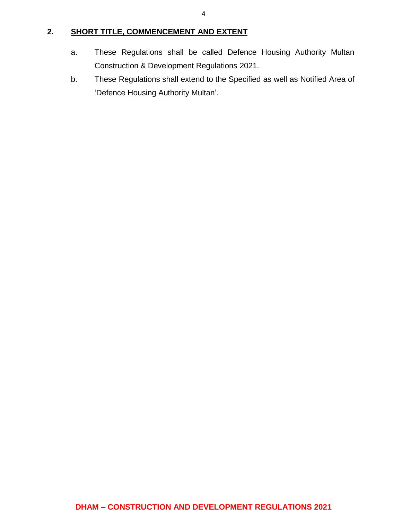### **2. SHORT TITLE, COMMENCEMENT AND EXTENT**

- a. These Regulations shall be called Defence Housing Authority Multan Construction & Development Regulations 2021.
- b. These Regulations shall extend to the Specified as well as Notified Area of 'Defence Housing Authority Multan'.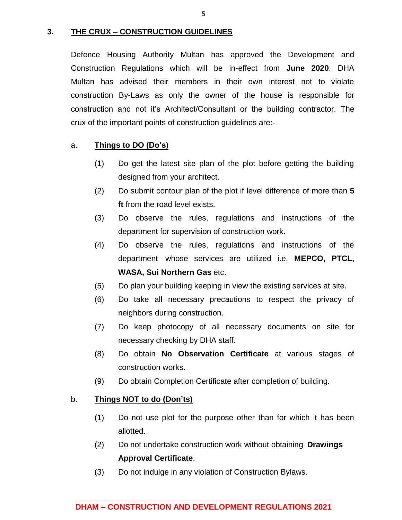#### **3. THE CRUX – CONSTRUCTION GUIDELINES**

Defence Housing Authority Multan has approved the Development and Construction Regulations which will be in-effect from **June 2020**. DHA Multan has advised their members in their own interest not to violate construction By-Laws as only the owner of the house is responsible for construction and not it's Architect/Consultant or the building contractor. The crux of the important points of construction guidelines are:-

#### a. **Things to DO (Do's)**

- (1) Do get the latest site plan of the plot before getting the building designed from your architect.
- (2) Do submit contour plan of the plot if level difference of more than **5 ft** from the road level exists.
- (3) Do observe the rules, regulations and instructions of the department for supervision of construction work.
- (4) Do observe the rules, regulations and instructions of the department whose services are utilized i.e. **MEPCO, PTCL, WASA, Sui Northern Gas** etc.
- (5) Do plan your building keeping in view the existing services at site.
- (6) Do take all necessary precautions to respect the privacy of neighbors during construction.
- (7) Do keep photocopy of all necessary documents on site for necessary checking by DHA staff.
- (8) Do obtain **No Observation Certificate** at various stages of construction works.
- (9) Do obtain Completion Certificate after completion of building.

### b. **Things NOT to do (Don'ts)**

- (1) Do not use plot for the purpose other than for which it has been allotted.
- (2) Do not undertake construction work without obtaining **Drawings Approval Certificate**.
- (3) Do not indulge in any violation of Construction Bylaws.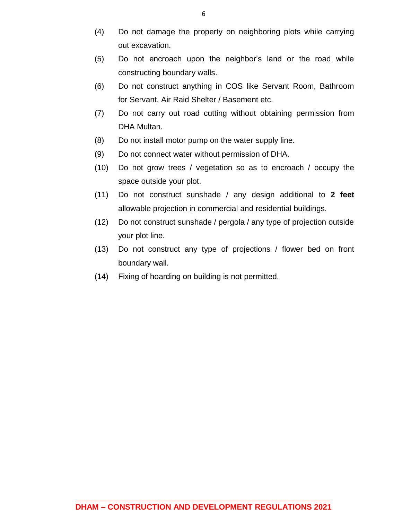- (4) Do not damage the property on neighboring plots while carrying out excavation.
- (5) Do not encroach upon the neighbor's land or the road while constructing boundary walls.
- (6) Do not construct anything in COS like Servant Room, Bathroom for Servant, Air Raid Shelter / Basement etc.
- (7) Do not carry out road cutting without obtaining permission from DHA Multan.
- (8) Do not install motor pump on the water supply line.
- (9) Do not connect water without permission of DHA.
- (10) Do not grow trees / vegetation so as to encroach / occupy the space outside your plot.
- (11) Do not construct sunshade / any design additional to **2 feet**  allowable projection in commercial and residential buildings.
- (12) Do not construct sunshade / pergola / any type of projection outside your plot line.
- (13) Do not construct any type of projections / flower bed on front boundary wall.
- (14) Fixing of hoarding on building is not permitted.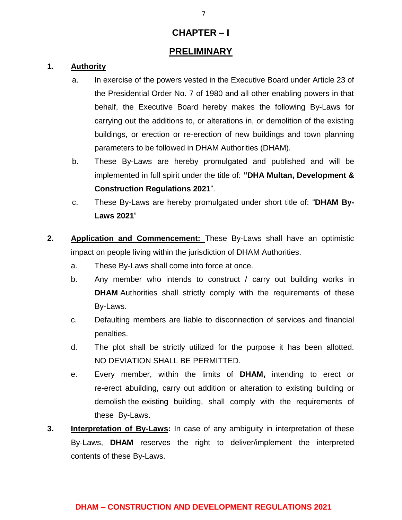### **CHAPTER – I**

### **PRELIMINARY**

### **1. Authority**

- a. In exercise of the powers vested in the Executive Board under Article 23 of the Presidential Order No. 7 of 1980 and all other enabling powers in that behalf, the Executive Board hereby makes the following By-Laws for carrying out the additions to, or alterations in, or demolition of the existing buildings, or erection or re-erection of new buildings and town planning parameters to be followed in DHAM Authorities (DHAM).
- b. These By-Laws are hereby promulgated and published and will be implemented in full spirit under the title of: **"DHA Multan, Development & Construction Regulations 2021**".
- c. These By-Laws are hereby promulgated under short title of: "**DHAM By-Laws 2021**"
- **2. Application and Commencement:** These By-Laws shall have an optimistic impact on people living within the jurisdiction of DHAM Authorities.
	- a. These By-Laws shall come into force at once.
	- b. Any member who intends to construct / carry out building works in **DHAM** Authorities shall strictly comply with the requirements of these By-Laws.
	- c. Defaulting members are liable to disconnection of services and financial penalties.
	- d. The plot shall be strictly utilized for the purpose it has been allotted. NO DEVIATION SHALL BE PERMITTED.
	- e. Every member, within the limits of **DHAM,** intending to erect or re-erect abuilding, carry out addition or alteration to existing building or demolish the existing building, shall comply with the requirements of these By-Laws.
- **3. Interpretation of By-Laws:** In case of any ambiguity in interpretation of these By-Laws, **DHAM** reserves the right to deliver/implement the interpreted contents of these By-Laws.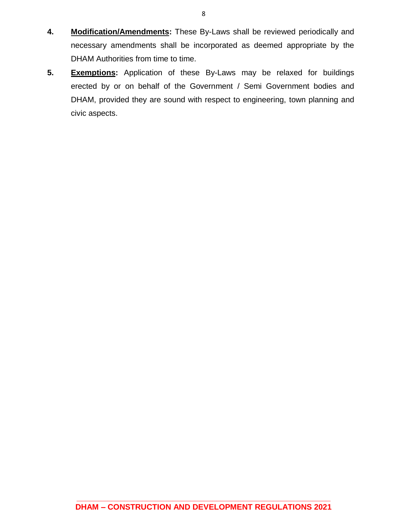- **4. Modification/Amendments:** These By-Laws shall be reviewed periodically and necessary amendments shall be incorporated as deemed appropriate by the DHAM Authorities from time to time.
- **5. Exemptions:** Application of these By-Laws may be relaxed for buildings erected by or on behalf of the Government / Semi Government bodies and DHAM, provided they are sound with respect to engineering, town planning and civic aspects.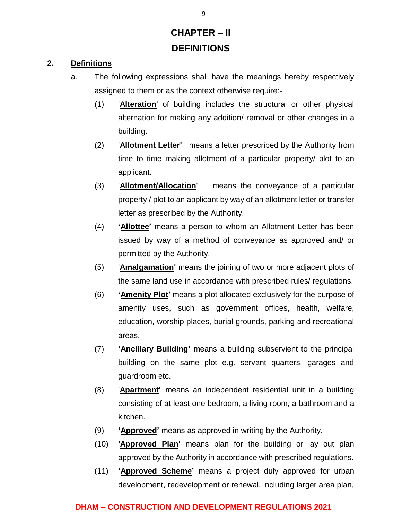# **CHAPTER – II DEFINITIONS**

### **2. Definitions**

- a. The following expressions shall have the meanings hereby respectively assigned to them or as the context otherwise require:-
	- (1) '**Alteration**' of building includes the structural or other physical alternation for making any addition/ removal or other changes in a building.
	- (2) '**Allotment Letter'** means a letter prescribed by the Authority from time to time making allotment of a particular property/ plot to an applicant.
	- (3) '**Allotment/Allocation**' means the conveyance of a particular property / plot to an applicant by way of an allotment letter or transfer letter as prescribed by the Authority.
	- (4) **'Allottee'** means a person to whom an Allotment Letter has been issued by way of a method of conveyance as approved and/ or permitted by the Authority.
	- (5) '**Amalgamation'** means the joining of two or more adjacent plots of the same land use in accordance with prescribed rules/ regulations.
	- (6) **'Amenity Plot'** means a plot allocated exclusively for the purpose of amenity uses, such as government offices, health, welfare, education, worship places, burial grounds, parking and recreational areas.
	- (7) **'Ancillary Building'** means a building subservient to the principal building on the same plot e.g. servant quarters, garages and guardroom etc.
	- (8) '**Apartment**' means an independent residential unit in a building consisting of at least one bedroom, a living room, a bathroom and a kitchen.
	- (9) **'Approved'** means as approved in writing by the Authority.
	- (10) **'Approved Plan'** means plan for the building or lay out plan approved by the Authority in accordance with prescribed regulations.
	- (11) **'Approved Scheme'** means a project duly approved for urban development, redevelopment or renewal, including larger area plan,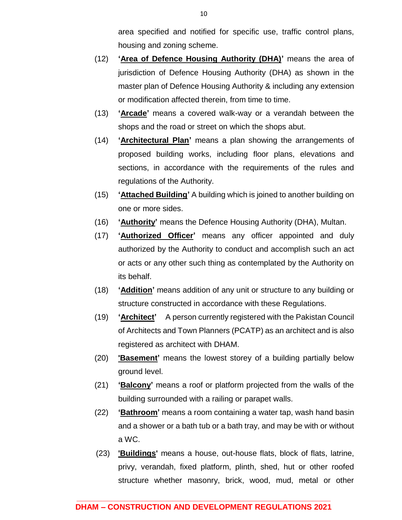area specified and notified for specific use, traffic control plans, housing and zoning scheme.

- (12) **'Area of Defence Housing Authority (DHA)'** means the area of jurisdiction of Defence Housing Authority (DHA) as shown in the master plan of Defence Housing Authority & including any extension or modification affected therein, from time to time.
- (13) **'Arcade'** means a covered walk-way or a verandah between the shops and the road or street on which the shops abut.
- (14) **'Architectural Plan'** means a plan showing the arrangements of proposed building works, including floor plans, elevations and sections, in accordance with the requirements of the rules and regulations of the Authority.
- (15) **'Attached Building'** A building which is joined to another building on one or more sides.
- (16) **'Authority'** means the Defence Housing Authority (DHA), Multan.
- (17) **'Authorized Officer'** means any officer appointed and duly authorized by the Authority to conduct and accomplish such an act or acts or any other such thing as contemplated by the Authority on its behalf.
- (18) **'Addition'** means addition of any unit or structure to any building or structure constructed in accordance with these Regulations.
- (19) **'Architect'** A person currently registered with the Pakistan Council of Architects and Town Planners (PCATP) as an architect and is also registered as architect with DHAM.
- (20) **'Basement'** means the lowest storey of a building partially below ground level.
- (21) **'Balcony'** means a roof or platform projected from the walls of the building surrounded with a railing or parapet walls.
- (22) **'Bathroom'** means a room containing a water tap, wash hand basin and a shower or a bath tub or a bath tray, and may be with or without a WC.
- (23) **'Buildings'** means a house, out-house flats, block of flats, latrine, privy, verandah, fixed platform, plinth, shed, hut or other roofed structure whether masonry, brick, wood, mud, metal or other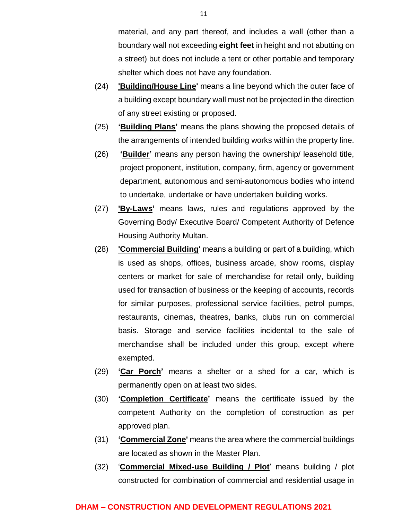material, and any part thereof, and includes a wall (other than a boundary wall not exceeding **eight feet** in height and not abutting on a street) but does not include a tent or other portable and temporary shelter which does not have any foundation.

- (24) **'Building/House Line'** means a line beyond which the outer face of a building except boundary wall must not be projected in the direction of any street existing or proposed.
- (25) **'Building Plans'** means the plans showing the proposed details of the arrangements of intended building works within the property line.
- (26) **'Builder'** means any person having the ownership/ leasehold title, project proponent, institution, company, firm, agency or government department, autonomous and semi-autonomous bodies who intend to undertake, undertake or have undertaken building works.
- (27) **'By-Laws'** means laws, rules and regulations approved by the Governing Body/ Executive Board/ Competent Authority of Defence Housing Authority Multan.
- (28) **'Commercial Building'** means a building or part of a building, which is used as shops, offices, business arcade, show rooms, display centers or market for sale of merchandise for retail only, building used for transaction of business or the keeping of accounts, records for similar purposes, professional service facilities, petrol pumps, restaurants, cinemas, theatres, banks, clubs run on commercial basis. Storage and service facilities incidental to the sale of merchandise shall be included under this group, except where exempted.
- (29) **'Car Porch'** means a shelter or a shed for a car, which is permanently open on at least two sides.
- (30) **'Completion Certificate'** means the certificate issued by the competent Authority on the completion of construction as per approved plan.
- (31) **'Commercial Zone'** means the area where the commercial buildings are located as shown in the Master Plan.
- (32) '**Commercial Mixed-use Building / Plot**' means building / plot constructed for combination of commercial and residential usage in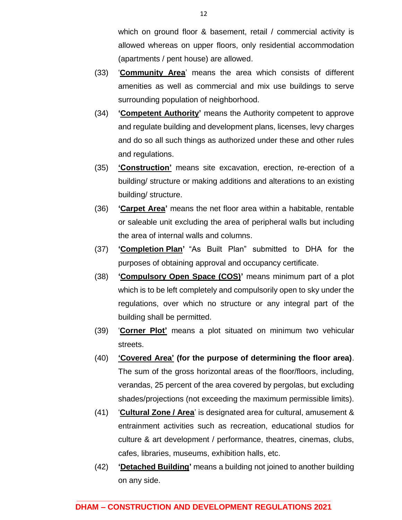which on ground floor & basement, retail / commercial activity is allowed whereas on upper floors, only residential accommodation (apartments / pent house) are allowed.

- (33) '**Community Area**' means the area which consists of different amenities as well as commercial and mix use buildings to serve surrounding population of neighborhood.
- (34) **'Competent Authority'** means the Authority competent to approve and regulate building and development plans, licenses, levy charges and do so all such things as authorized under these and other rules and regulations.
- (35) **'Construction'** means site excavation, erection, re-erection of a building/ structure or making additions and alterations to an existing building/ structure.
- (36) **'Carpet Area'** means the net floor area within a habitable, rentable or saleable unit excluding the area of peripheral walls but including the area of internal walls and columns.
- (37) **'Completion Plan'** "As Built Plan" submitted to DHA for the purposes of obtaining approval and occupancy certificate.
- (38) **'Compulsory Open Space (COS)'** means minimum part of a plot which is to be left completely and compulsorily open to sky under the regulations, over which no structure or any integral part of the building shall be permitted.
- (39) '**Corner Plot'** means a plot situated on minimum two vehicular streets.
- (40) **'Covered Area' (for the purpose of determining the floor area)**. The sum of the gross horizontal areas of the floor/floors, including, verandas, 25 percent of the area covered by pergolas, but excluding shades/projections (not exceeding the maximum permissible limits).
- (41) '**Cultural Zone / Area**' is designated area for cultural, amusement & entrainment activities such as recreation, educational studios for culture & art development / performance, theatres, cinemas, clubs, cafes, libraries, museums, exhibition halls, etc.
- (42) **'Detached Building'** means a building not joined to another building on any side.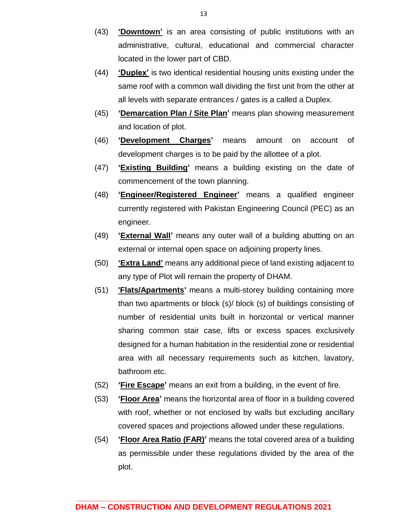- (43) **'Downtown'** is an area consisting of public institutions with an administrative, cultural, educational and commercial character located in the lower part of CBD.
- (44) **'Duplex'** is two identical residential housing units existing under the same roof with a common wall dividing the first unit from the other at all levels with separate entrances / gates is a called a Duplex.
- (45) **'Demarcation Plan / Site Plan'** means plan showing measurement and location of plot.
- (46) **'Development Charges'** means amount on account of development charges is to be paid by the allottee of a plot.
- (47) **'Existing Building'** means a building existing on the date of commencement of the town planning.
- (48) **'Engineer/Registered Engineer'** means a qualified engineer currently registered with Pakistan Engineering Council (PEC) as an engineer.
- (49) **'External Wall'** means any outer wall of a building abutting on an external or internal open space on adjoining property lines.
- (50) **'Extra Land'** means any additional piece of land existing adjacent to any type of Plot will remain the property of DHAM.
- (51) **'Flats/Apartments'** means a multi-storey building containing more than two apartments or block (s)/ block (s) of buildings consisting of number of residential units built in horizontal or vertical manner sharing common stair case, lifts or excess spaces exclusively designed for a human habitation in the residential zone or residential area with all necessary requirements such as kitchen, lavatory, bathroom etc.
- (52) **'Fire Escape'** means an exit from a building, in the event of fire.
- (53) **'Floor Area'** means the horizontal area of floor in a building covered with roof, whether or not enclosed by walls but excluding ancillary covered spaces and projections allowed under these regulations.
- (54) **'Floor Area Ratio (FAR)'** means the total covered area of a building as permissible under these regulations divided by the area of the plot.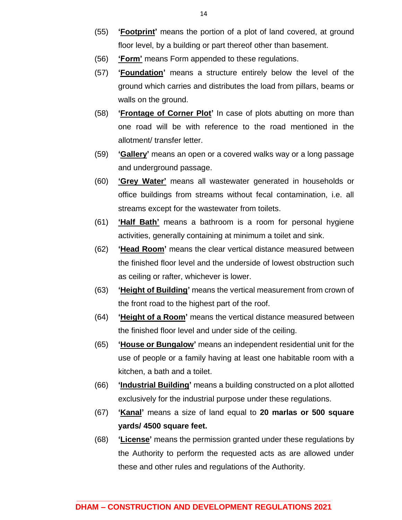- (55) **'Footprint'** means the portion of a plot of land covered, at ground floor level, by a building or part thereof other than basement.
- (56) **'Form'** means Form appended to these regulations.
- (57) **'Foundation'** means a structure entirely below the level of the ground which carries and distributes the load from pillars, beams or walls on the ground.
- (58) **'Frontage of Corner Plot'** In case of plots abutting on more than one road will be with reference to the road mentioned in the allotment/ transfer letter.
- (59) **'Gallery'** means an open or a covered walks way or a long passage and underground passage.
- (60) **'Grey Water'** means all wastewater generated in households or office buildings from streams without fecal contamination, i.e. all streams except for the wastewater from toilets.
- (61) **'Half Bath'** means a bathroom is a room for personal hygiene activities, generally containing at minimum a toilet and sink.
- (62) **'Head Room'** means the clear vertical distance measured between the finished floor level and the underside of lowest obstruction such as ceiling or rafter, whichever is lower.
- (63) **'Height of Building'** means the vertical measurement from crown of the front road to the highest part of the roof.
- (64) **'Height of a Room'** means the vertical distance measured between the finished floor level and under side of the ceiling.
- (65) **'House or Bungalow'** means an independent residential unit for the use of people or a family having at least one habitable room with a kitchen, a bath and a toilet.
- (66) **'Industrial Building'** means a building constructed on a plot allotted exclusively for the industrial purpose under these regulations.
- (67) **'Kanal'** means a size of land equal to **20 marlas or 500 square yards/ 4500 square feet.**
- (68) **'License'** means the permission granted under these regulations by the Authority to perform the requested acts as are allowed under these and other rules and regulations of the Authority.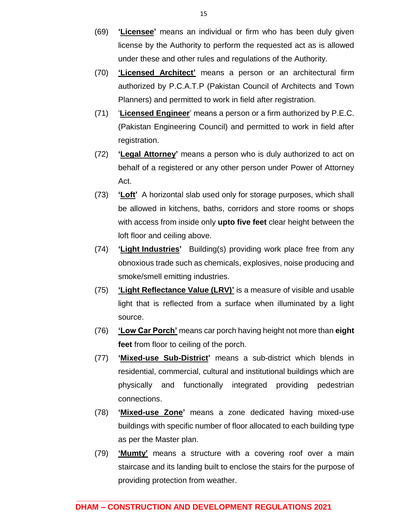- (69) **'Licensee'** means an individual or firm who has been duly given license by the Authority to perform the requested act as is allowed under these and other rules and regulations of the Authority.
- (70) **'Licensed Architect'** means a person or an architectural firm authorized by P.C.A.T.P (Pakistan Council of Architects and Town Planners) and permitted to work in field after registration.
- (71) '**Licensed Engineer**' means a person or a firm authorized by P.E.C. (Pakistan Engineering Council) and permitted to work in field after registration.
- (72) **'Legal Attorney'** means a person who is duly authorized to act on behalf of a registered or any other person under Power of Attorney Act.
- (73) **'Loft'** A horizontal slab used only for storage purposes, which shall be allowed in kitchens, baths, corridors and store rooms or shops with access from inside only **upto five feet** clear height between the loft floor and ceiling above.
- (74) **'Light Industries'** Building(s) providing work place free from any obnoxious trade such as chemicals, explosives, noise producing and smoke/smell emitting industries.
- (75) **'Light Reflectance Value (LRV)'** is a measure of visible and usable light that is reflected from a surface when illuminated by a light source.
- (76) **'Low Car Porch'** means car porch having height not more than **eight feet** from floor to ceiling of the porch.
- (77) **'Mixed-use Sub-District'** means a sub-district which blends in residential, commercial, cultural and institutional buildings which are physically and functionally integrated providing pedestrian connections.
- (78) **'Mixed-use Zone'** means a zone dedicated having mixed-use buildings with specific number of floor allocated to each building type as per the Master plan.
- (79) **'Mumty'** means a structure with a covering roof over a main staircase and its landing built to enclose the stairs for the purpose of providing protection from weather.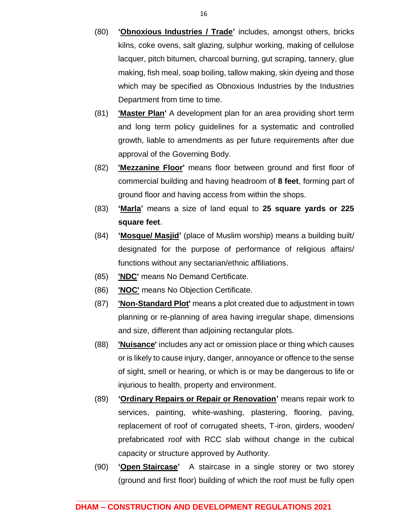- (80) **'Obnoxious Industries / Trade'** includes, amongst others, bricks kilns, coke ovens, salt glazing, sulphur working, making of cellulose lacquer, pitch bitumen, charcoal burning, gut scraping, tannery, glue making, fish meal, soap boiling, tallow making, skin dyeing and those which may be specified as Obnoxious Industries by the Industries Department from time to time.
- (81) **'Master Plan'** A development plan for an area providing short term and long term policy guidelines for a systematic and controlled growth, liable to amendments as per future requirements after due approval of the Governing Body.
- (82) **'Mezzanine Floor'** means floor between ground and first floor of commercial building and having headroom of **8 feet**, forming part of ground floor and having access from within the shops.
- (83) **'Marla'** means a size of land equal to **25 square yards or 225 square feet**.
- (84) **'Mosque/ Masjid'** (place of Muslim worship) means a building built/ designated for the purpose of performance of religious affairs/ functions without any sectarian/ethnic affiliations.
- (85) **'NDC'** means No Demand Certificate.
- (86) **'NOC'** means No Objection Certificate.
- (87) **'Non-Standard Plot'** means a plot created due to adjustment in town planning or re-planning of area having irregular shape, dimensions and size, different than adjoining rectangular plots.
- (88) **'Nuisance'** includes any act or omission place or thing which causes or is likely to cause injury, danger, annoyance or offence to the sense of sight, smell or hearing, or which is or may be dangerous to life or injurious to health, property and environment.
- (89) **'Ordinary Repairs or Repair or Renovation'** means repair work to services, painting, white-washing, plastering, flooring, paving, replacement of roof of corrugated sheets, T-iron, girders, wooden/ prefabricated roof with RCC slab without change in the cubical capacity or structure approved by Authority.
- (90) **'Open Staircase'** A staircase in a single storey or two storey (ground and first floor) building of which the roof must be fully open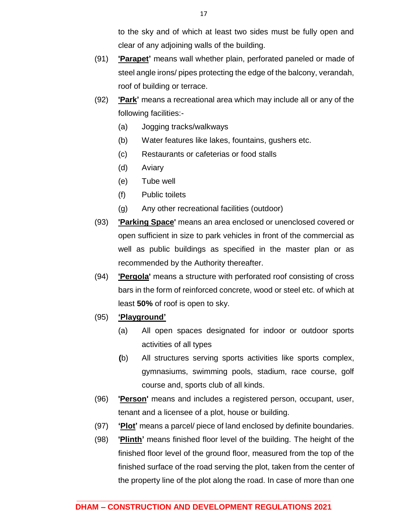to the sky and of which at least two sides must be fully open and clear of any adjoining walls of the building.

- (91) **'Parapet'** means wall whether plain, perforated paneled or made of steel angle irons/ pipes protecting the edge of the balcony, verandah, roof of building or terrace.
- (92) **'Park'** means a recreational area which may include all or any of the following facilities:-
	- (a) Jogging tracks/walkways
	- (b) Water features like lakes, fountains, gushers etc.
	- (c) Restaurants or cafeterias or food stalls
	- (d) Aviary
	- (e) Tube well
	- (f) Public toilets
	- (g) Any other recreational facilities (outdoor)
- (93) **'Parking Space'** means an area enclosed or unenclosed covered or open sufficient in size to park vehicles in front of the commercial as well as public buildings as specified in the master plan or as recommended by the Authority thereafter.
- (94) **'Pergola'** means a structure with perforated roof consisting of cross bars in the form of reinforced concrete, wood or steel etc. of which at least **50%** of roof is open to sky.
- (95) **'Playground'**
	- (a) All open spaces designated for indoor or outdoor sports activities of all types
	- **(**b) All structures serving sports activities like sports complex, gymnasiums, swimming pools, stadium, race course, golf course and, sports club of all kinds.
- (96) **'Person'** means and includes a registered person, occupant, user, tenant and a licensee of a plot, house or building.
- (97) **'Plot'** means a parcel/ piece of land enclosed by definite boundaries.
- (98) **'Plinth'** means finished floor level of the building. The height of the finished floor level of the ground floor, measured from the top of the finished surface of the road serving the plot, taken from the center of the property line of the plot along the road. In case of more than one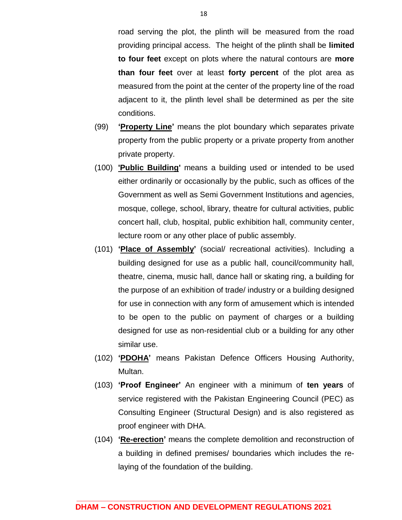road serving the plot, the plinth will be measured from the road providing principal access. The height of the plinth shall be **limited to four feet** except on plots where the natural contours are **more than four feet** over at least **forty percent** of the plot area as measured from the point at the center of the property line of the road adjacent to it, the plinth level shall be determined as per the site conditions.

- (99) **'Property Line'** means the plot boundary which separates private property from the public property or a private property from another private property.
- (100) **'Public Building'** means a building used or intended to be used either ordinarily or occasionally by the public, such as offices of the Government as well as Semi Government Institutions and agencies, mosque, college, school, library, theatre for cultural activities, public concert hall, club, hospital, public exhibition hall, community center, lecture room or any other place of public assembly.
- (101) **'Place of Assembly'** (social/ recreational activities). Including a building designed for use as a public hall, council/community hall, theatre, cinema, music hall, dance hall or skating ring, a building for the purpose of an exhibition of trade/ industry or a building designed for use in connection with any form of amusement which is intended to be open to the public on payment of charges or a building designed for use as non-residential club or a building for any other similar use.
- (102) **'PDOHA'** means Pakistan Defence Officers Housing Authority, Multan.
- (103) **'Proof Engineer'** An engineer with a minimum of **ten years** of service registered with the Pakistan Engineering Council (PEC) as Consulting Engineer (Structural Design) and is also registered as proof engineer with DHA.
- (104) **'Re-erection'** means the complete demolition and reconstruction of a building in defined premises/ boundaries which includes the relaying of the foundation of the building.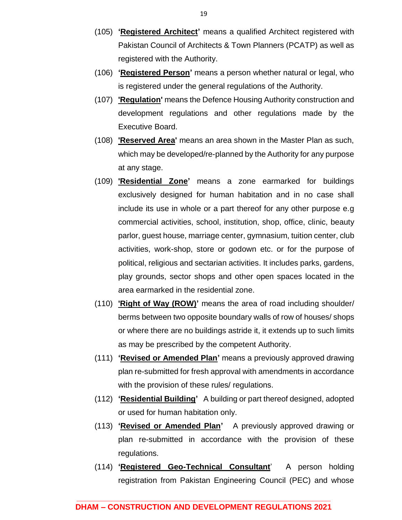- (105) **'Registered Architect'** means a qualified Architect registered with Pakistan Council of Architects & Town Planners (PCATP) as well as registered with the Authority.
- (106) **'Registered Person'** means a person whether natural or legal, who is registered under the general regulations of the Authority.
- (107) **'Regulation'** means the Defence Housing Authority construction and development regulations and other regulations made by the Executive Board.
- (108) **'Reserved Area'** means an area shown in the Master Plan as such, which may be developed/re-planned by the Authority for any purpose at any stage.
- (109) **'Residential Zone'** means a zone earmarked for buildings exclusively designed for human habitation and in no case shall include its use in whole or a part thereof for any other purpose e.g commercial activities, school, institution, shop, office, clinic, beauty parlor, guest house, marriage center, gymnasium, tuition center, club activities, work-shop, store or godown etc. or for the purpose of political, religious and sectarian activities. It includes parks, gardens, play grounds, sector shops and other open spaces located in the area earmarked in the residential zone.
- (110) **'Right of Way (ROW)'** means the area of road including shoulder/ berms between two opposite boundary walls of row of houses/ shops or where there are no buildings astride it, it extends up to such limits as may be prescribed by the competent Authority.
- (111) **'Revised or Amended Plan'** means a previously approved drawing plan re-submitted for fresh approval with amendments in accordance with the provision of these rules/ regulations.
- (112) **'Residential Building'** A building or part thereof designed, adopted or used for human habitation only.
- (113) **'Revised or Amended Plan'** A previously approved drawing or plan re-submitted in accordance with the provision of these regulations.
- (114) **'Registered Geo-Technical Consultant**' A person holding registration from Pakistan Engineering Council (PEC) and whose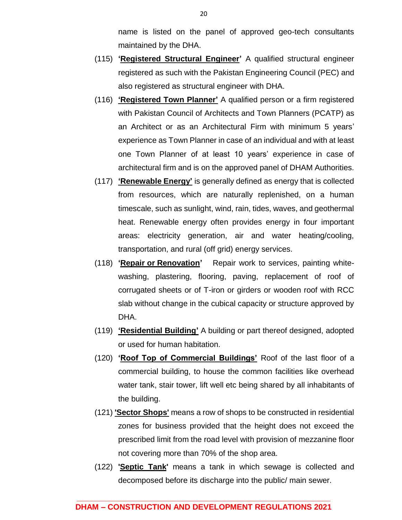name is listed on the panel of approved geo-tech consultants maintained by the DHA.

- (115) **'Registered Structural Engineer'** A qualified structural engineer registered as such with the Pakistan Engineering Council (PEC) and also registered as structural engineer with DHA.
- (116) **'Registered Town Planner'** A qualified person or a firm registered with Pakistan Council of Architects and Town Planners (PCATP) as an Architect or as an Architectural Firm with minimum 5 years' experience as Town Planner in case of an individual and with at least one Town Planner of at least 10 years' experience in case of architectural firm and is on the approved panel of DHAM Authorities.
- (117) **'Renewable Energy'** is generally defined as energy that is collected from resources, which are naturally replenished, on a human timescale, such as sunlight, wind, rain, tides, waves, and geothermal heat. Renewable energy often provides energy in four important areas: electricity generation, air and water heating/cooling, transportation, and rural (off grid) energy services.
- (118) **'Repair or Renovation'** Repair work to services, painting whitewashing, plastering, flooring, paving, replacement of roof of corrugated sheets or of T-iron or girders or wooden roof with RCC slab without change in the cubical capacity or structure approved by DHA.
- (119) **'Residential Building'** A building or part thereof designed, adopted or used for human habitation.
- (120) **'Roof Top of Commercial Buildings'** Roof of the last floor of a commercial building, to house the common facilities like overhead water tank, stair tower, lift well etc being shared by all inhabitants of the building.
- (121) **'Sector Shops'** means a row of shops to be constructed in residential zones for business provided that the height does not exceed the prescribed limit from the road level with provision of mezzanine floor not covering more than 70% of the shop area.
- (122) **'Septic Tank'** means a tank in which sewage is collected and decomposed before its discharge into the public/ main sewer.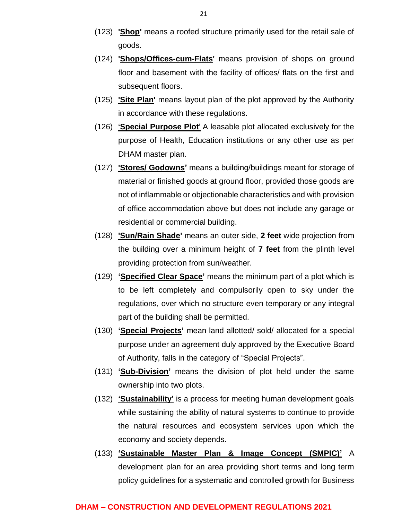- (123) **'Shop'** means a roofed structure primarily used for the retail sale of goods.
- (124) **'Shops/Offices-cum-Flats'** means provision of shops on ground floor and basement with the facility of offices/ flats on the first and subsequent floors.
- (125) **'Site Plan'** means layout plan of the plot approved by the Authority in accordance with these regulations.
- (126) **'Special Purpose Plot'** A leasable plot allocated exclusively for the purpose of Health, Education institutions or any other use as per DHAM master plan.
- (127) **'Stores/ Godowns'** means a building/buildings meant for storage of material or finished goods at ground floor, provided those goods are not of inflammable or objectionable characteristics and with provision of office accommodation above but does not include any garage or residential or commercial building.
- (128) **'Sun/Rain Shade'** means an outer side, **2 feet** wide projection from the building over a minimum height of **7 feet** from the plinth level providing protection from sun/weather.
- (129) **'Specified Clear Space'** means the minimum part of a plot which is to be left completely and compulsorily open to sky under the regulations, over which no structure even temporary or any integral part of the building shall be permitted.
- (130) **'Special Projects'** mean land allotted/ sold/ allocated for a special purpose under an agreement duly approved by the Executive Board of Authority, falls in the category of "Special Projects".
- (131) **'Sub-Division'** means the division of plot held under the same ownership into two plots.
- (132) **'Sustainability'** is a process for meeting human development goals while sustaining the ability of natural systems to continue to provide the natural resources and ecosystem services upon which the economy and society depends.
- (133) **'Sustainable Master Plan & Image Concept (SMPIC)'** A development plan for an area providing short terms and long term policy guidelines for a systematic and controlled growth for Business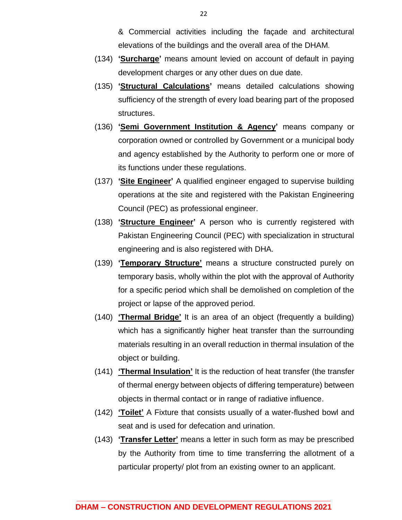& Commercial activities including the façade and architectural elevations of the buildings and the overall area of the DHAM.

- (134) **'Surcharge'** means amount levied on account of default in paying development charges or any other dues on due date.
- (135) **'Structural Calculations'** means detailed calculations showing sufficiency of the strength of every load bearing part of the proposed structures.
- (136) **'Semi Government Institution & Agency'** means company or corporation owned or controlled by Government or a municipal body and agency established by the Authority to perform one or more of its functions under these regulations.
- (137) **'Site Engineer'** A qualified engineer engaged to supervise building operations at the site and registered with the Pakistan Engineering Council (PEC) as professional engineer.
- (138) **'Structure Engineer'** A person who is currently registered with Pakistan Engineering Council (PEC) with specialization in structural engineering and is also registered with DHA.
- (139) **'Temporary Structure'** means a structure constructed purely on temporary basis, wholly within the plot with the approval of Authority for a specific period which shall be demolished on completion of the project or lapse of the approved period.
- (140) **'Thermal Bridge'** It is an area of an object (frequently a building) which has a significantly higher heat transfer than the surrounding materials resulting in an overall reduction in thermal insulation of the object or building.
- (141) **'Thermal Insulation'** It is the reduction of heat transfer (the transfer of thermal energy between objects of differing temperature) between objects in thermal contact or in range of radiative influence.
- (142) **'Toilet'** A Fixture that consists usually of a water-flushed bowl and seat and is used for defecation and urination.
- (143) **'Transfer Letter'** means a letter in such form as may be prescribed by the Authority from time to time transferring the allotment of a particular property/ plot from an existing owner to an applicant.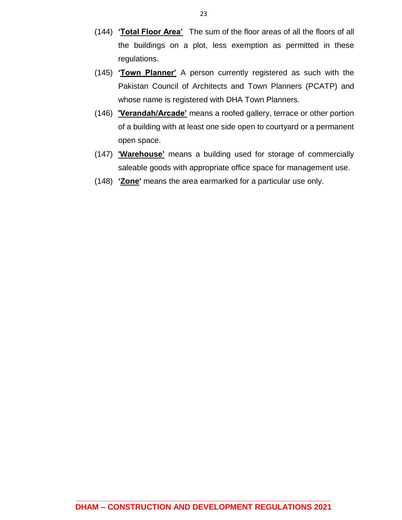- (144) **'Total Floor Area'** The sum of the floor areas of all the floors of all the buildings on a plot, less exemption as permitted in these regulations.
- (145) **'Town Planner'** A person currently registered as such with the Pakistan Council of Architects and Town Planners (PCATP) and whose name is registered with DHA Town Planners.
- (146) **'Verandah/Arcade'** means a roofed gallery, terrace or other portion of a building with at least one side open to courtyard or a permanent open space.
- (147) **'Warehouse'** means a building used for storage of commercially saleable goods with appropriate office space for management use.
- (148) **'Zone'** means the area earmarked for a particular use only.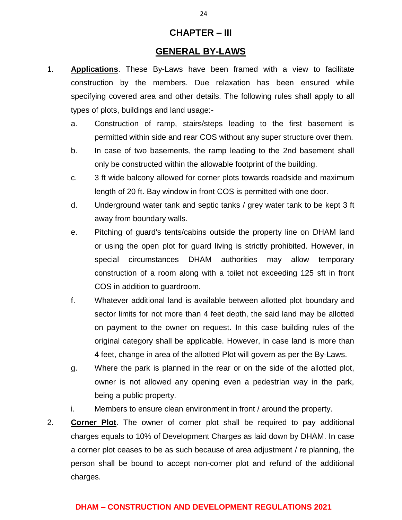### **CHAPTER – III**

### **GENERAL BY-LAWS**

- 1. **Applications**. These By-Laws have been framed with a view to facilitate construction by the members. Due relaxation has been ensured while specifying covered area and other details. The following rules shall apply to all types of plots, buildings and land usage:
	- a. Construction of ramp, stairs/steps leading to the first basement is permitted within side and rear COS without any super structure over them.
	- b. In case of two basements, the ramp leading to the 2nd basement shall only be constructed within the allowable footprint of the building.
	- c. 3 ft wide balcony allowed for corner plots towards roadside and maximum length of 20 ft. Bay window in front COS is permitted with one door.
	- d. Underground water tank and septic tanks / grey water tank to be kept 3 ft away from boundary walls.
	- e. Pitching of guard's tents/cabins outside the property line on DHAM land or using the open plot for guard living is strictly prohibited. However, in special circumstances DHAM authorities may allow temporary construction of a room along with a toilet not exceeding 125 sft in front COS in addition to guardroom.
	- f. Whatever additional land is available between allotted plot boundary and sector limits for not more than 4 feet depth, the said land may be allotted on payment to the owner on request. In this case building rules of the original category shall be applicable. However, in case land is more than 4 feet, change in area of the allotted Plot will govern as per the By-Laws.
	- g. Where the park is planned in the rear or on the side of the allotted plot, owner is not allowed any opening even a pedestrian way in the park, being a public property.
	- i. Members to ensure clean environment in front / around the property.
- 2. **Corner Plot**. The owner of corner plot shall be required to pay additional charges equals to 10% of Development Charges as laid down by DHAM. In case a corner plot ceases to be as such because of area adjustment / re planning, the person shall be bound to accept non-corner plot and refund of the additional charges.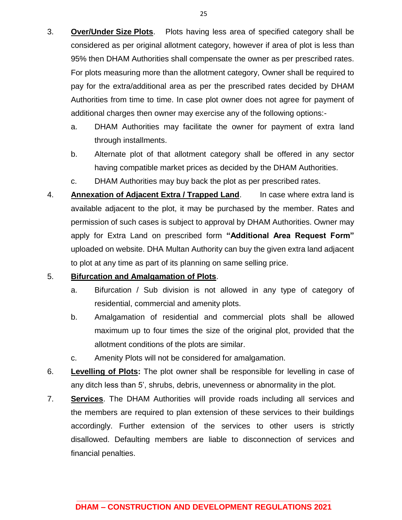- 3. **Over/Under Size Plots**. Plots having less area of specified category shall be considered as per original allotment category, however if area of plot is less than 95% then DHAM Authorities shall compensate the owner as per prescribed rates. For plots measuring more than the allotment category, Owner shall be required to pay for the extra/additional area as per the prescribed rates decided by DHAM Authorities from time to time. In case plot owner does not agree for payment of additional charges then owner may exercise any of the following options:
	- a. DHAM Authorities may facilitate the owner for payment of extra land through installments.
	- b. Alternate plot of that allotment category shall be offered in any sector having compatible market prices as decided by the DHAM Authorities.
	- c. DHAM Authorities may buy back the plot as per prescribed rates.
- 4. **Annexation of Adjacent Extra / Trapped Land**. In case where extra land is available adjacent to the plot, it may be purchased by the member. Rates and permission of such cases is subject to approval by DHAM Authorities. Owner may apply for Extra Land on prescribed form **"Additional Area Request Form"** uploaded on website. DHA Multan Authority can buy the given extra land adjacent to plot at any time as part of its planning on same selling price.

### 5. **Bifurcation and Amalgamation of Plots**.

- a. Bifurcation / Sub division is not allowed in any type of category of residential, commercial and amenity plots.
- b. Amalgamation of residential and commercial plots shall be allowed maximum up to four times the size of the original plot, provided that the allotment conditions of the plots are similar.
- c. Amenity Plots will not be considered for amalgamation.
- 6. **Levelling of Plots:** The plot owner shall be responsible for levelling in case of any ditch less than 5', shrubs, debris, unevenness or abnormality in the plot.
- 7. **Services**. The DHAM Authorities will provide roads including all services and the members are required to plan extension of these services to their buildings accordingly. Further extension of the services to other users is strictly disallowed. Defaulting members are liable to disconnection of services and financial penalties.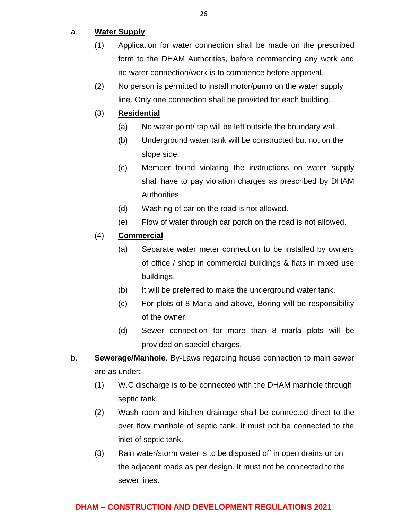### a. **Water Supply**

- (1) Application for water connection shall be made on the prescribed form to the DHAM Authorities, before commencing any work and no water connection/work is to commence before approval.
- (2) No person is permitted to install motor/pump on the water supply line. Only one connection shall be provided for each building.

### (3) **Residential**

- (a) No water point/ tap will be left outside the boundary wall.
- (b) Underground water tank will be constructed but not on the slope side.
- (c) Member found violating the instructions on water supply shall have to pay violation charges as prescribed by DHAM Authorities.
- (d) Washing of car on the road is not allowed.
- (e) Flow of water through car porch on the road is not allowed.

### (4) **Commercial**

- (a) Separate water meter connection to be installed by owners of office / shop in commercial buildings & flats in mixed use buildings.
- (b) It will be preferred to make the underground water tank.
- (c) For plots of 8 Marla and above, Boring will be responsibility of the owner.
- (d) Sewer connection for more than 8 marla plots will be provided on special charges.
- b. **Sewerage/Manhole**. By-Laws regarding house connection to main sewer are as under:-
	- (1) W.C discharge is to be connected with the DHAM manhole through septic tank.
	- (2) Wash room and kitchen drainage shall be connected direct to the over flow manhole of septic tank. It must not be connected to the inlet of septic tank.
	- (3) Rain water/storm water is to be disposed off in open drains or on the adjacent roads as per design. It must not be connected to the sewer lines.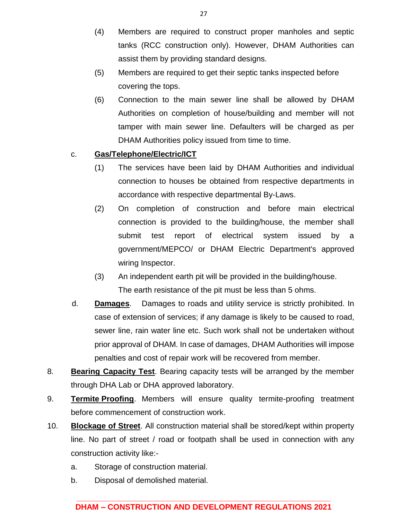- (4) Members are required to construct proper manholes and septic tanks (RCC construction only). However, DHAM Authorities can assist them by providing standard designs.
- (5) Members are required to get their septic tanks inspected before covering the tops.
- (6) Connection to the main sewer line shall be allowed by DHAM Authorities on completion of house/building and member will not tamper with main sewer line. Defaulters will be charged as per DHAM Authorities policy issued from time to time.

### c. **Gas/Telephone/Electric/ICT**

- (1) The services have been laid by DHAM Authorities and individual connection to houses be obtained from respective departments in accordance with respective departmental By-Laws.
- (2) On completion of construction and before main electrical connection is provided to the building/house, the member shall submit test report of electrical system issued by a government/MEPCO/ or DHAM Electric Department's approved wiring Inspector.
- (3) An independent earth pit will be provided in the building/house. The earth resistance of the pit must be less than 5 ohms.
- d. **Damages**. Damages to roads and utility service is strictly prohibited. In case of extension of services; if any damage is likely to be caused to road, sewer line, rain water line etc. Such work shall not be undertaken without prior approval of DHAM. In case of damages, DHAM Authorities will impose penalties and cost of repair work will be recovered from member.
- 8. **Bearing Capacity Test**. Bearing capacity tests will be arranged by the member through DHA Lab or DHA approved laboratory.
- 9. **Termite Proofing**. Members will ensure quality termite-proofing treatment before commencement of construction work.
- 10. **Blockage of Street**. All construction material shall be stored/kept within property line. No part of street / road or footpath shall be used in connection with any construction activity like:
	- a. Storage of construction material.
	- b. Disposal of demolished material.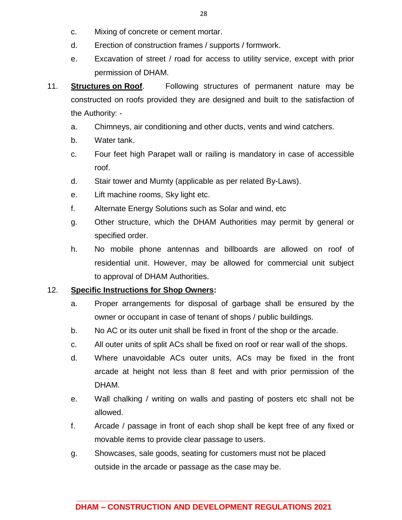- c. Mixing of concrete or cement mortar.
- d. Erection of construction frames / supports / formwork.
- e. Excavation of street / road for access to utility service, except with prior permission of DHAM.
- 11. **Structures on Roof**. Following structures of permanent nature may be constructed on roofs provided they are designed and built to the satisfaction of the Authority:
	- a. Chimneys, air conditioning and other ducts, vents and wind catchers.
	- b. Water tank.
	- c. Four feet high Parapet wall or railing is mandatory in case of accessible roof.
	- d. Stair tower and Mumty (applicable as per related By-Laws).
	- e. Lift machine rooms, Sky light etc.
	- f. Alternate Energy Solutions such as Solar and wind, etc
	- g. Other structure, which the DHAM Authorities may permit by general or specified order.
	- h. No mobile phone antennas and billboards are allowed on roof of residential unit. However, may be allowed for commercial unit subject to approval of DHAM Authorities.

#### 12. **Specific Instructions for Shop Owners:**

- a. Proper arrangements for disposal of garbage shall be ensured by the owner or occupant in case of tenant of shops / public buildings.
- b. No AC or its outer unit shall be fixed in front of the shop or the arcade.
- c. All outer units of split ACs shall be fixed on roof or rear wall of the shops.
- d. Where unavoidable ACs outer units, ACs may be fixed in the front arcade at height not less than 8 feet and with prior permission of the DHAM.
- e. Wall chalking / writing on walls and pasting of posters etc shall not be allowed.
- f. Arcade / passage in front of each shop shall be kept free of any fixed or movable items to provide clear passage to users.
- g. Showcases, sale goods, seating for customers must not be placed outside in the arcade or passage as the case may be.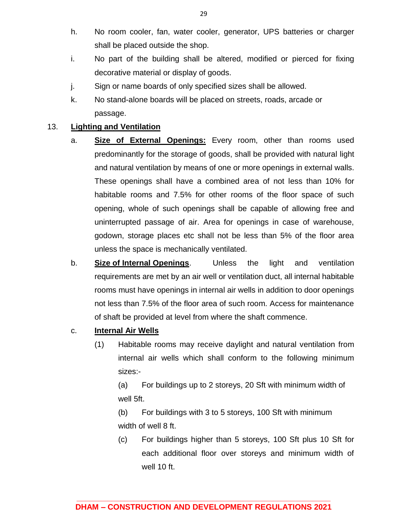- h. No room cooler, fan, water cooler, generator, UPS batteries or charger shall be placed outside the shop.
- i. No part of the building shall be altered, modified or pierced for fixing decorative material or display of goods.
- j. Sign or name boards of only specified sizes shall be allowed.
- k. No stand-alone boards will be placed on streets, roads, arcade or passage.

### 13. **Lighting and Ventilation**

- a. **Size of External Openings:** Every room, other than rooms used predominantly for the storage of goods, shall be provided with natural light and natural ventilation by means of one or more openings in external walls. These openings shall have a combined area of not less than 10% for habitable rooms and 7.5% for other rooms of the floor space of such opening, whole of such openings shall be capable of allowing free and uninterrupted passage of air. Area for openings in case of warehouse, godown, storage places etc shall not be less than 5% of the floor area unless the space is mechanically ventilated.
- b. **Size of Internal Openings**. Unless the light and ventilation requirements are met by an air well or ventilation duct, all internal habitable rooms must have openings in internal air wells in addition to door openings not less than 7.5% of the floor area of such room. Access for maintenance of shaft be provided at level from where the shaft commence.
- c. **Internal Air Wells**
	- (1) Habitable rooms may receive daylight and natural ventilation from internal air wells which shall conform to the following minimum sizes:-

(a) For buildings up to 2 storeys, 20 Sft with minimum width of well 5ft.

(b) For buildings with 3 to 5 storeys, 100 Sft with minimum width of well 8 ft.

(c) For buildings higher than 5 storeys, 100 Sft plus 10 Sft for each additional floor over storeys and minimum width of well 10 ft.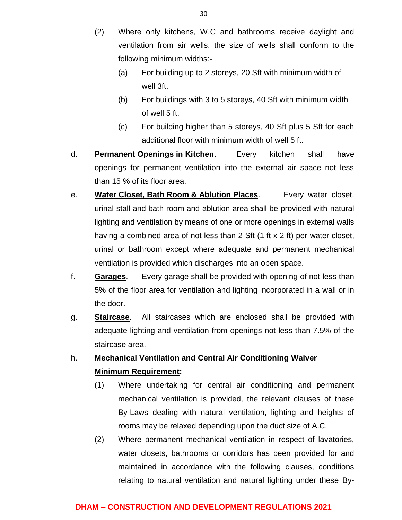- (2) Where only kitchens, W.C and bathrooms receive daylight and ventilation from air wells, the size of wells shall conform to the following minimum widths:-
	- (a) For building up to 2 storeys, 20 Sft with minimum width of well 3ft.
	- (b) For buildings with 3 to 5 storeys, 40 Sft with minimum width of well 5 ft.
	- (c) For building higher than 5 storeys, 40 Sft plus 5 Sft for each additional floor with minimum width of well 5 ft.
- d. **Permanent Openings in Kitchen**. Every kitchen shall have openings for permanent ventilation into the external air space not less than 15 % of its floor area.
- e. **Water Closet, Bath Room & Ablution Places**. Every water closet, urinal stall and bath room and ablution area shall be provided with natural lighting and ventilation by means of one or more openings in external walls having a combined area of not less than 2 Sft (1 ft x 2 ft) per water closet, urinal or bathroom except where adequate and permanent mechanical ventilation is provided which discharges into an open space.
- f. **Garages**. Every garage shall be provided with opening of not less than 5% of the floor area for ventilation and lighting incorporated in a wall or in the door.
- g. **Staircase**. All staircases which are enclosed shall be provided with adequate lighting and ventilation from openings not less than 7.5% of the staircase area.

## h. **Mechanical Ventilation and Central Air Conditioning Waiver Minimum Requirement:**

- (1) Where undertaking for central air conditioning and permanent mechanical ventilation is provided, the relevant clauses of these By-Laws dealing with natural ventilation, lighting and heights of rooms may be relaxed depending upon the duct size of A.C.
- (2) Where permanent mechanical ventilation in respect of lavatories, water closets, bathrooms or corridors has been provided for and maintained in accordance with the following clauses, conditions relating to natural ventilation and natural lighting under these By-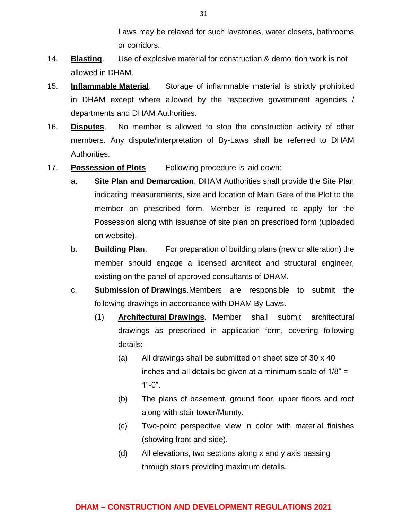Laws may be relaxed for such lavatories, water closets, bathrooms or corridors.

- 14. **Blasting**. Use of explosive material for construction & demolition work is not allowed in DHAM.
- 15. **Inflammable Material**. Storage of inflammable material is strictly prohibited in DHAM except where allowed by the respective government agencies / departments and DHAM Authorities.
- 16. **Disputes**. No member is allowed to stop the construction activity of other members. Any dispute/interpretation of By-Laws shall be referred to DHAM Authorities.
- 17. **Possession of Plots**. Following procedure is laid down:
	- a. **Site Plan and Demarcation**. DHAM Authorities shall provide the Site Plan indicating measurements, size and location of Main Gate of the Plot to the member on prescribed form. Member is required to apply for the Possession along with issuance of site plan on prescribed form (uploaded on website).
	- b. **Building Plan**. For preparation of building plans (new or alteration) the member should engage a licensed architect and structural engineer, existing on the panel of approved consultants of DHAM.
	- c. **Submission of Drawings**.Members are responsible to submit the following drawings in accordance with DHAM By-Laws.
		- (1) **Architectural Drawings**. Member shall submit architectural drawings as prescribed in application form, covering following details:-
			- (a) All drawings shall be submitted on sheet size of 30 x 40 inches and all details be given at a minimum scale of 1/8" =  $1"$ -0".
			- (b) The plans of basement, ground floor, upper floors and roof along with stair tower/Mumty.
			- (c) Two-point perspective view in color with material finishes (showing front and side).
			- (d) All elevations, two sections along x and y axis passing through stairs providing maximum details.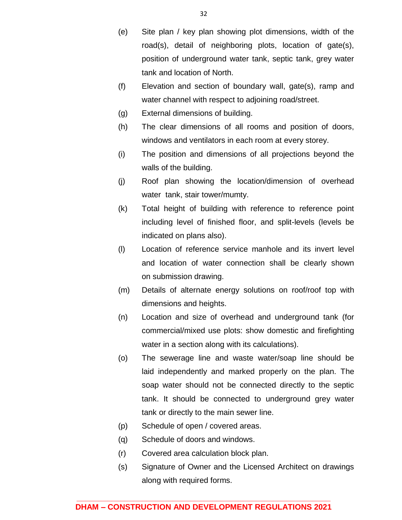- (e) Site plan / key plan showing plot dimensions, width of the road(s), detail of neighboring plots, location of gate(s), position of underground water tank, septic tank, grey water tank and location of North.
- (f) Elevation and section of boundary wall, gate(s), ramp and water channel with respect to adjoining road/street.
- (g) External dimensions of building.
- (h) The clear dimensions of all rooms and position of doors, windows and ventilators in each room at every storey.
- (i) The position and dimensions of all projections beyond the walls of the building.
- (j) Roof plan showing the location/dimension of overhead water tank, stair tower/mumty.
- (k) Total height of building with reference to reference point including level of finished floor, and split-levels (levels be indicated on plans also).
- (l) Location of reference service manhole and its invert level and location of water connection shall be clearly shown on submission drawing.
- (m) Details of alternate energy solutions on roof/roof top with dimensions and heights.
- (n) Location and size of overhead and underground tank (for commercial/mixed use plots: show domestic and firefighting water in a section along with its calculations).
- (o) The sewerage line and waste water/soap line should be laid independently and marked properly on the plan. The soap water should not be connected directly to the septic tank. It should be connected to underground grey water tank or directly to the main sewer line.
- (p) Schedule of open / covered areas.
- (q) Schedule of doors and windows.
- (r) Covered area calculation block plan.
- (s) Signature of Owner and the Licensed Architect on drawings along with required forms.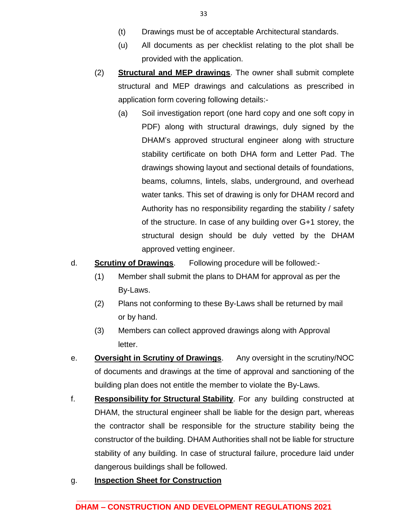- (t) Drawings must be of acceptable Architectural standards.
- (u) All documents as per checklist relating to the plot shall be provided with the application.
- (2) **Structural and MEP drawings**. The owner shall submit complete structural and MEP drawings and calculations as prescribed in application form covering following details:-
	- (a) Soil investigation report (one hard copy and one soft copy in PDF) along with structural drawings, duly signed by the DHAM's approved structural engineer along with structure stability certificate on both DHA form and Letter Pad. The drawings showing layout and sectional details of foundations, beams, columns, lintels, slabs, underground, and overhead water tanks. This set of drawing is only for DHAM record and Authority has no responsibility regarding the stability / safety of the structure. In case of any building over G+1 storey, the structural design should be duly vetted by the DHAM approved vetting engineer.

d. **Scrutiny of Drawings**. Following procedure will be followed:-

- (1) Member shall submit the plans to DHAM for approval as per the By-Laws.
- (2) Plans not conforming to these By-Laws shall be returned by mail or by hand.
- (3) Members can collect approved drawings along with Approval letter.
- e. **Oversight in Scrutiny of Drawings**. Any oversight in the scrutiny/NOC of documents and drawings at the time of approval and sanctioning of the building plan does not entitle the member to violate the By-Laws.
- f. **Responsibility for Structural Stability**. For any building constructed at DHAM, the structural engineer shall be liable for the design part, whereas the contractor shall be responsible for the structure stability being the constructor of the building. DHAM Authorities shall not be liable for structure stability of any building. In case of structural failure, procedure laid under dangerous buildings shall be followed.
- g. **Inspection Sheet for Construction**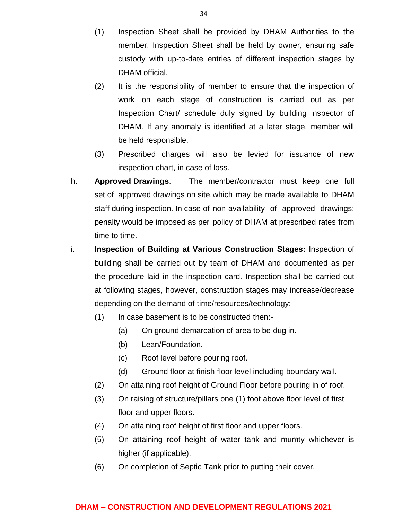- (1) Inspection Sheet shall be provided by DHAM Authorities to the member. Inspection Sheet shall be held by owner, ensuring safe custody with up-to-date entries of different inspection stages by DHAM official.
- (2) It is the responsibility of member to ensure that the inspection of work on each stage of construction is carried out as per Inspection Chart/ schedule duly signed by building inspector of DHAM. If any anomaly is identified at a later stage, member will be held responsible.
- (3) Prescribed charges will also be levied for issuance of new inspection chart, in case of loss.
- h. **Approved Drawings**. The member/contractor must keep one full set of approved drawings on site,which may be made available to DHAM staff during inspection. In case of non-availability of approved drawings; penalty would be imposed as per policy of DHAM at prescribed rates from time to time.
- i. **Inspection of Building at Various Construction Stages:** Inspection of building shall be carried out by team of DHAM and documented as per the procedure laid in the inspection card. Inspection shall be carried out at following stages, however, construction stages may increase/decrease depending on the demand of time/resources/technology:
	- (1) In case basement is to be constructed then:-
		- (a) On ground demarcation of area to be dug in.
		- (b) Lean/Foundation.
		- (c) Roof level before pouring roof.
		- (d) Ground floor at finish floor level including boundary wall.
	- (2) On attaining roof height of Ground Floor before pouring in of roof.
	- (3) On raising of structure/pillars one (1) foot above floor level of first floor and upper floors.
	- (4) On attaining roof height of first floor and upper floors.
	- (5) On attaining roof height of water tank and mumty whichever is higher (if applicable).
	- (6) On completion of Septic Tank prior to putting their cover.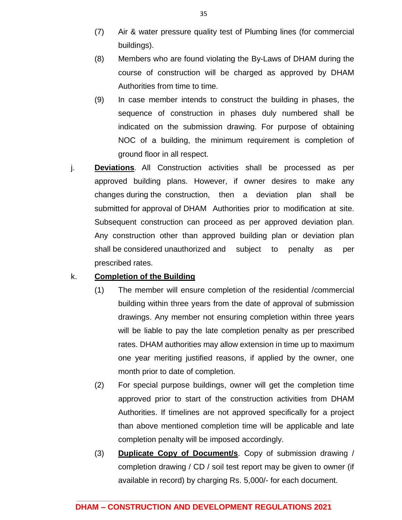- (7) Air & water pressure quality test of Plumbing lines (for commercial buildings).
- (8) Members who are found violating the By-Laws of DHAM during the course of construction will be charged as approved by DHAM Authorities from time to time.
- (9) In case member intends to construct the building in phases, the sequence of construction in phases duly numbered shall be indicated on the submission drawing. For purpose of obtaining NOC of a building, the minimum requirement is completion of ground floor in all respect.
- j. **Deviations**. All Construction activities shall be processed as per approved building plans. However, if owner desires to make any changes during the construction, then a deviation plan shall be submitted for approval of DHAM Authorities prior to modification at site. Subsequent construction can proceed as per approved deviation plan. Any construction other than approved building plan or deviation plan shall be considered unauthorized and subject to penalty as per prescribed rates.

#### k. **Completion of the Building**

- (1) The member will ensure completion of the residential /commercial building within three years from the date of approval of submission drawings. Any member not ensuring completion within three years will be liable to pay the late completion penalty as per prescribed rates. DHAM authorities may allow extension in time up to maximum one year meriting justified reasons, if applied by the owner, one month prior to date of completion.
- (2) For special purpose buildings, owner will get the completion time approved prior to start of the construction activities from DHAM Authorities. If timelines are not approved specifically for a project than above mentioned completion time will be applicable and late completion penalty will be imposed accordingly.
- (3) **Duplicate Copy of Document/s**. Copy of submission drawing / completion drawing / CD / soil test report may be given to owner (if available in record) by charging Rs. 5,000/- for each document.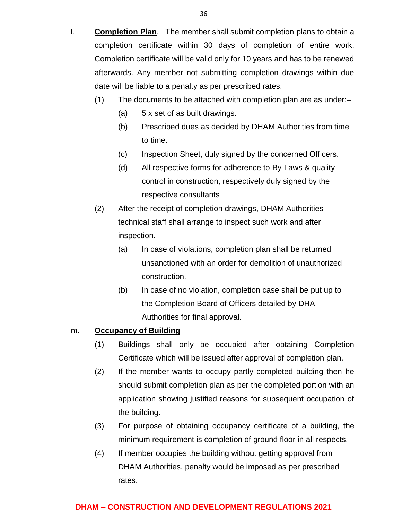- (1) The documents to be attached with completion plan are as under:–
	- (a) 5 x set of as built drawings.

date will be liable to a penalty as per prescribed rates.

- (b) Prescribed dues as decided by DHAM Authorities from time to time.
- (c) Inspection Sheet, duly signed by the concerned Officers.
- (d) All respective forms for adherence to By-Laws & quality control in construction, respectively duly signed by the respective consultants
- (2) After the receipt of completion drawings, DHAM Authorities technical staff shall arrange to inspect such work and after inspection.
	- (a) In case of violations, completion plan shall be returned unsanctioned with an order for demolition of unauthorized construction.
	- (b) In case of no violation, completion case shall be put up to the Completion Board of Officers detailed by DHA Authorities for final approval.

#### m. **Occupancy of Building**

- (1) Buildings shall only be occupied after obtaining Completion Certificate which will be issued after approval of completion plan.
- (2) If the member wants to occupy partly completed building then he should submit completion plan as per the completed portion with an application showing justified reasons for subsequent occupation of the building.
- (3) For purpose of obtaining occupancy certificate of a building, the minimum requirement is completion of ground floor in all respects.
- (4) If member occupies the building without getting approval from DHAM Authorities, penalty would be imposed as per prescribed rates.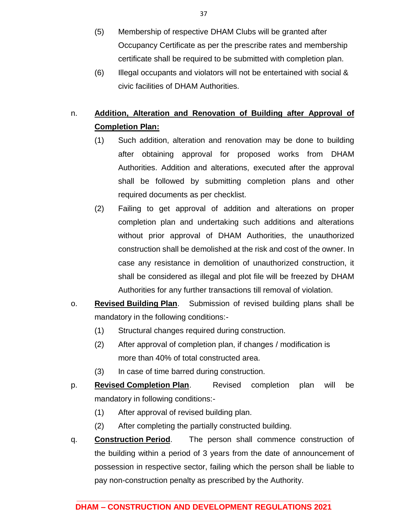- (5) Membership of respective DHAM Clubs will be granted after Occupancy Certificate as per the prescribe rates and membership certificate shall be required to be submitted with completion plan.
- (6) Illegal occupants and violators will not be entertained with social & civic facilities of DHAM Authorities.

## n. **Addition, Alteration and Renovation of Building after Approval of Completion Plan:**

- (1) Such addition, alteration and renovation may be done to building after obtaining approval for proposed works from DHAM Authorities. Addition and alterations, executed after the approval shall be followed by submitting completion plans and other required documents as per checklist.
- (2) Failing to get approval of addition and alterations on proper completion plan and undertaking such additions and alterations without prior approval of DHAM Authorities, the unauthorized construction shall be demolished at the risk and cost of the owner. In case any resistance in demolition of unauthorized construction, it shall be considered as illegal and plot file will be freezed by DHAM Authorities for any further transactions till removal of violation.
- o. **Revised Building Plan**. Submission of revised building plans shall be mandatory in the following conditions:-
	- (1) Structural changes required during construction.
	- (2) After approval of completion plan, if changes / modification is more than 40% of total constructed area.
	- (3) In case of time barred during construction.
- p. **Revised Completion Plan**. Revised completion plan will be mandatory in following conditions:-
	- (1) After approval of revised building plan.
	- (2) After completing the partially constructed building.
- q. **Construction Period**. The person shall commence construction of the building within a period of 3 years from the date of announcement of possession in respective sector, failing which the person shall be liable to pay non-construction penalty as prescribed by the Authority.

37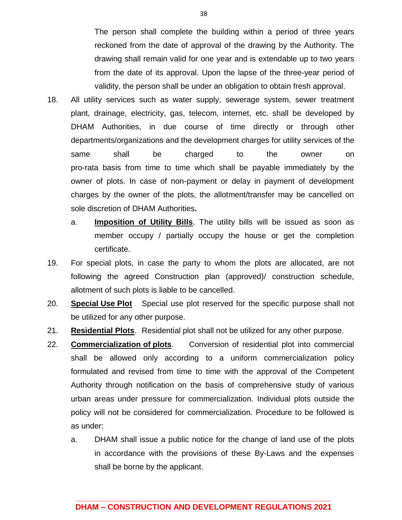The person shall complete the building within a period of three years reckoned from the date of approval of the drawing by the Authority. The drawing shall remain valid for one year and is extendable up to two years from the date of its approval. Upon the lapse of the three-year period of validity, the person shall be under an obligation to obtain fresh approval.

- 18. All utility services such as water supply, sewerage system, sewer treatment plant, drainage, electricity, gas, telecom, internet, etc. shall be developed by DHAM Authorities, in due course of time directly or through other departments/organizations and the development charges for utility services of the same shall be charged to the owner on pro-rata basis from time to time which shall be payable immediately by the owner of plots. In case of non-payment or delay in payment of development charges by the owner of the plots, the allotment/transfer may be cancelled on sole discretion of DHAM Authorities**.**
	- a. **Imposition of Utility Bills**. The utility bills will be issued as soon as member occupy / partially occupy the house or get the completion certificate.
- 19. For special plots, in case the party to whom the plots are allocated, are not following the agreed Construction plan (approved)/ construction schedule, allotment of such plots is liable to be cancelled.
- 20. **Special Use Plot** Special use plot reserved for the specific purpose shall not be utilized for any other purpose.
- 21. **Residential Plots**. Residential plot shall not be utilized for any other purpose.
- 22. **Commercialization of plots**. Conversion of residential plot into commercial shall be allowed only according to a uniform commercialization policy formulated and revised from time to time with the approval of the Competent Authority through notification on the basis of comprehensive study of various urban areas under pressure for commercialization. Individual plots outside the policy will not be considered for commercialization. Procedure to be followed is as under:
	- a. DHAM shall issue a public notice for the change of land use of the plots in accordance with the provisions of these By-Laws and the expenses shall be borne by the applicant.

38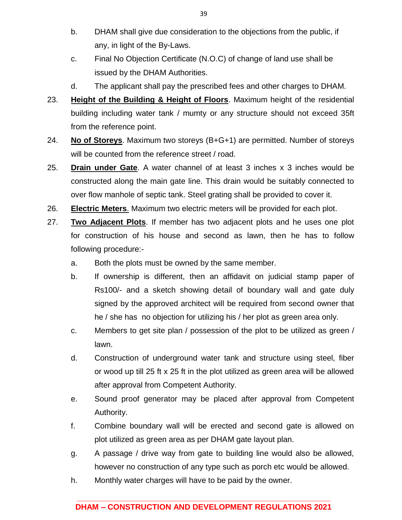- b. DHAM shall give due consideration to the objections from the public, if any, in light of the By-Laws.
- c. Final No Objection Certificate (N.O.C) of change of land use shall be issued by the DHAM Authorities.
- d. The applicant shall pay the prescribed fees and other charges to DHAM.
- 23. **Height of the Building & Height of Floors**. Maximum height of the residential building including water tank / mumty or any structure should not exceed 35ft from the reference point.
- 24. **No of Storeys**. Maximum two storeys (B+G+1) are permitted. Number of storeys will be counted from the reference street / road.
- 25. **Drain under Gate**. A water channel of at least 3 inches x 3 inches would be constructed along the main gate line. This drain would be suitably connected to over flow manhole of septic tank. Steel grating shall be provided to cover it.
- 26. **Electric Meters**. Maximum two electric meters will be provided for each plot.
- 27. **Two Adjacent Plots**. If member has two adjacent plots and he uses one plot for construction of his house and second as lawn, then he has to follow following procedure:
	- a. Both the plots must be owned by the same member.
	- b. If ownership is different, then an affidavit on judicial stamp paper of Rs100/- and a sketch showing detail of boundary wall and gate duly signed by the approved architect will be required from second owner that he / she has no objection for utilizing his / her plot as green area only.
	- c. Members to get site plan / possession of the plot to be utilized as green / lawn.
	- d. Construction of underground water tank and structure using steel, fiber or wood up till 25 ft x 25 ft in the plot utilized as green area will be allowed after approval from Competent Authority.
	- e. Sound proof generator may be placed after approval from Competent Authority.
	- f. Combine boundary wall will be erected and second gate is allowed on plot utilized as green area as per DHAM gate layout plan.
	- g. A passage / drive way from gate to building line would also be allowed, however no construction of any type such as porch etc would be allowed.
	- h. Monthly water charges will have to be paid by the owner.

### **\_\_\_\_\_\_\_\_\_\_\_\_\_\_\_\_\_\_\_\_\_\_\_\_\_\_\_\_\_\_\_\_\_\_\_\_\_\_\_\_\_\_\_\_\_\_\_\_\_\_\_\_\_\_\_\_\_\_ DHAM – CONSTRUCTION AND DEVELOPMENT REGULATIONS 2021**

39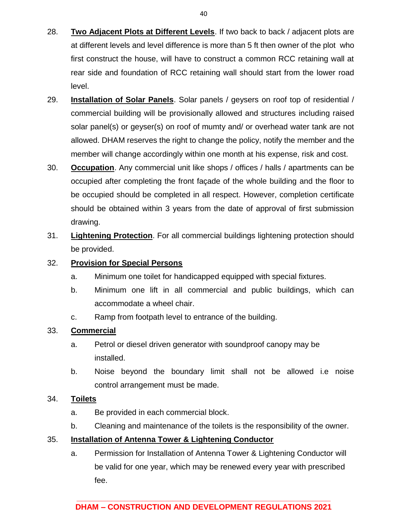- 28. **Two Adjacent Plots at Different Levels**. If two back to back / adjacent plots are at different levels and level difference is more than 5 ft then owner of the plot who first construct the house, will have to construct a common RCC retaining wall at rear side and foundation of RCC retaining wall should start from the lower road level.
- 29. **Installation of Solar Panels**. Solar panels / geysers on roof top of residential / commercial building will be provisionally allowed and structures including raised solar panel(s) or geyser(s) on roof of mumty and/ or overhead water tank are not allowed. DHAM reserves the right to change the policy, notify the member and the member will change accordingly within one month at his expense, risk and cost.
- 30. **Occupation**. Any commercial unit like shops / offices / halls / apartments can be occupied after completing the front façade of the whole building and the floor to be occupied should be completed in all respect. However, completion certificate should be obtained within 3 years from the date of approval of first submission drawing.
- 31. **Lightening Protection**. For all commercial buildings lightening protection should be provided.

## 32. **Provision for Special Persons**

- a. Minimum one toilet for handicapped equipped with special fixtures.
- b. Minimum one lift in all commercial and public buildings, which can accommodate a wheel chair.
- c. Ramp from footpath level to entrance of the building.

### 33. **Commercial**

- a. Petrol or diesel driven generator with soundproof canopy may be installed.
- b. Noise beyond the boundary limit shall not be allowed i.e noise control arrangement must be made.

### 34. **Toilets**

- a. Be provided in each commercial block.
- b. Cleaning and maintenance of the toilets is the responsibility of the owner.

### 35. **Installation of Antenna Tower & Lightening Conductor**

a. Permission for Installation of Antenna Tower & Lightening Conductor will be valid for one year, which may be renewed every year with prescribed fee.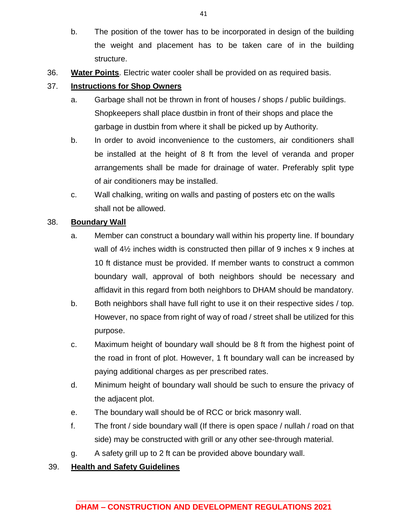- b. The position of the tower has to be incorporated in design of the building the weight and placement has to be taken care of in the building structure.
- 36. **Water Points**. Electric water cooler shall be provided on as required basis.

## 37. **Instructions for Shop Owners**

- a. Garbage shall not be thrown in front of houses / shops / public buildings. Shopkeepers shall place dustbin in front of their shops and place the garbage in dustbin from where it shall be picked up by Authority.
- b. In order to avoid inconvenience to the customers, air conditioners shall be installed at the height of 8 ft from the level of veranda and proper arrangements shall be made for drainage of water. Preferably split type of air conditioners may be installed.
- c. Wall chalking, writing on walls and pasting of posters etc on the walls shall not be allowed.

## 38. **Boundary Wall**

- a. Member can construct a boundary wall within his property line. If boundary wall of  $4\frac{1}{2}$  inches width is constructed then pillar of 9 inches x 9 inches at 10 ft distance must be provided. If member wants to construct a common boundary wall, approval of both neighbors should be necessary and affidavit in this regard from both neighbors to DHAM should be mandatory.
- b. Both neighbors shall have full right to use it on their respective sides / top. However, no space from right of way of road / street shall be utilized for this purpose.
- c. Maximum height of boundary wall should be 8 ft from the highest point of the road in front of plot. However, 1 ft boundary wall can be increased by paying additional charges as per prescribed rates.
- d. Minimum height of boundary wall should be such to ensure the privacy of the adjacent plot.
- e. The boundary wall should be of RCC or brick masonry wall.
- f. The front / side boundary wall (If there is open space / nullah / road on that side) may be constructed with grill or any other see-through material.
- g. A safety grill up to 2 ft can be provided above boundary wall.

### 39. **Health and Safety Guidelines**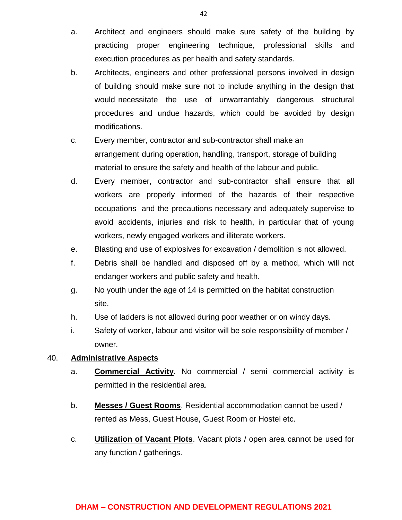- a. Architect and engineers should make sure safety of the building by practicing proper engineering technique, professional skills and execution procedures as per health and safety standards.
- b. Architects, engineers and other professional persons involved in design of building should make sure not to include anything in the design that would necessitate the use of unwarrantably dangerous structural procedures and undue hazards, which could be avoided by design modifications.
- c. Every member, contractor and sub-contractor shall make an arrangement during operation, handling, transport, storage of building material to ensure the safety and health of the labour and public.
- d. Every member, contractor and sub-contractor shall ensure that all workers are properly informed of the hazards of their respective occupations and the precautions necessary and adequately supervise to avoid accidents, injuries and risk to health, in particular that of young workers, newly engaged workers and illiterate workers.
- e. Blasting and use of explosives for excavation / demolition is not allowed.
- f. Debris shall be handled and disposed off by a method, which will not endanger workers and public safety and health.
- g. No youth under the age of 14 is permitted on the habitat construction site.
- h. Use of ladders is not allowed during poor weather or on windy days.
- i. Safety of worker, labour and visitor will be sole responsibility of member / owner.

### 40. **Administrative Aspects**

- a. **Commercial Activity**. No commercial / semi commercial activity is permitted in the residential area.
- b. **Messes / Guest Rooms**. Residential accommodation cannot be used / rented as Mess, Guest House, Guest Room or Hostel etc.
- c. **Utilization of Vacant Plots**. Vacant plots / open area cannot be used for any function / gatherings.

42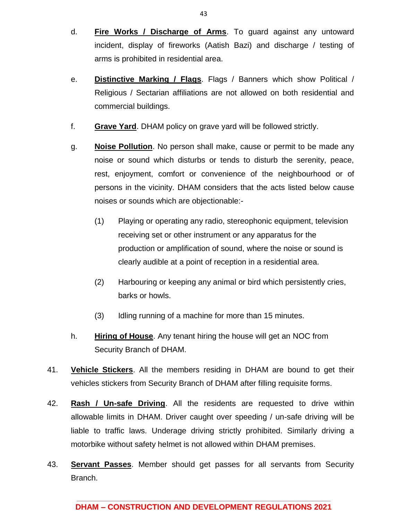- d. **Fire Works / Discharge of Arms**. To guard against any untoward incident, display of fireworks (Aatish Bazi) and discharge / testing of arms is prohibited in residential area.
- e. **Distinctive Marking / Flags**. Flags / Banners which show Political / Religious / Sectarian affiliations are not allowed on both residential and commercial buildings.
- f. **Grave Yard**. DHAM policy on grave yard will be followed strictly.
- g. **Noise Pollution**. No person shall make, cause or permit to be made any noise or sound which disturbs or tends to disturb the serenity, peace, rest, enjoyment, comfort or convenience of the neighbourhood or of persons in the vicinity. DHAM considers that the acts listed below cause noises or sounds which are objectionable:-
	- (1) Playing or operating any radio, stereophonic equipment, television receiving set or other instrument or any apparatus for the production or amplification of sound, where the noise or sound is clearly audible at a point of reception in a residential area.
	- (2) Harbouring or keeping any animal or bird which persistently cries, barks or howls.
	- (3) Idling running of a machine for more than 15 minutes.
- h. **Hiring of House**. Any tenant hiring the house will get an NOC from Security Branch of DHAM.
- 41. **Vehicle Stickers**. All the members residing in DHAM are bound to get their vehicles stickers from Security Branch of DHAM after filling requisite forms.
- 42. **Rash / Un-safe Driving**. All the residents are requested to drive within allowable limits in DHAM. Driver caught over speeding / un-safe driving will be liable to traffic laws. Underage driving strictly prohibited. Similarly driving a motorbike without safety helmet is not allowed within DHAM premises.
- 43. **Servant Passes**. Member should get passes for all servants from Security Branch.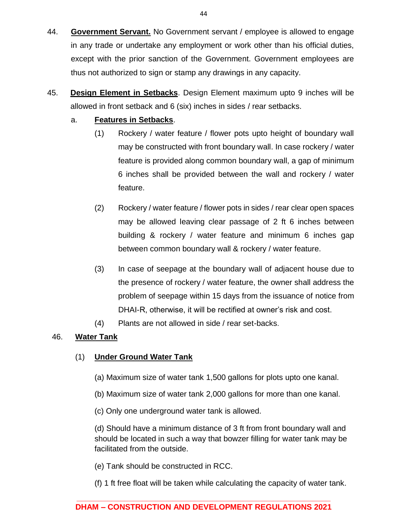- 44. **Government Servant.** No Government servant / employee is allowed to engage in any trade or undertake any employment or work other than his official duties, except with the prior sanction of the Government. Government employees are thus not authorized to sign or stamp any drawings in any capacity.
- 45. **Design Element in Setbacks**. Design Element maximum upto 9 inches will be allowed in front setback and 6 (six) inches in sides / rear setbacks.

### a. **Features in Setbacks**.

- (1) Rockery / water feature / flower pots upto height of boundary wall may be constructed with front boundary wall. In case rockery / water feature is provided along common boundary wall, a gap of minimum 6 inches shall be provided between the wall and rockery / water feature.
- (2) Rockery / water feature / flower pots in sides / rear clear open spaces may be allowed leaving clear passage of 2 ft 6 inches between building & rockery / water feature and minimum 6 inches gap between common boundary wall & rockery / water feature.
- (3) In case of seepage at the boundary wall of adjacent house due to the presence of rockery / water feature, the owner shall address the problem of seepage within 15 days from the issuance of notice from DHAI-R, otherwise, it will be rectified at owner's risk and cost.
- (4) Plants are not allowed in side / rear set-backs.

### 46. **Water Tank**

### (1) **Under Ground Water Tank**

- (a) Maximum size of water tank 1,500 gallons for plots upto one kanal.
- (b) Maximum size of water tank 2,000 gallons for more than one kanal.
- (c) Only one underground water tank is allowed.

(d) Should have a minimum distance of 3 ft from front boundary wall and should be located in such a way that bowzer filling for water tank may be facilitated from the outside.

- (e) Tank should be constructed in RCC.
- (f) 1 ft free float will be taken while calculating the capacity of water tank.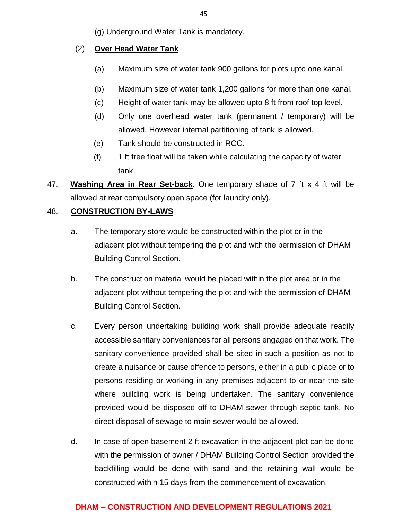(g) Underground Water Tank is mandatory.

## (2) **Over Head Water Tank**

- (a) Maximum size of water tank 900 gallons for plots upto one kanal.
- (b) Maximum size of water tank 1,200 gallons for more than one kanal.
- (c) Height of water tank may be allowed upto 8 ft from roof top level.
- (d) Only one overhead water tank (permanent / temporary) will be allowed. However internal partitioning of tank is allowed.
- (e) Tank should be constructed in RCC.
- (f) 1 ft free float will be taken while calculating the capacity of water tank.
- 47. **Washing Area in Rear Set-back**. One temporary shade of 7 ft x 4 ft will be allowed at rear compulsory open space (for laundry only).

## 48. **CONSTRUCTION BY-LAWS**

- a. The temporary store would be constructed within the plot or in the adjacent plot without tempering the plot and with the permission of DHAM Building Control Section.
- b. The construction material would be placed within the plot area or in the adjacent plot without tempering the plot and with the permission of DHAM Building Control Section.
- c. Every person undertaking building work shall provide adequate readily accessible sanitary conveniences for all persons engaged on that work. The sanitary convenience provided shall be sited in such a position as not to create a nuisance or cause offence to persons, either in a public place or to persons residing or working in any premises adjacent to or near the site where building work is being undertaken. The sanitary convenience provided would be disposed off to DHAM sewer through septic tank. No direct disposal of sewage to main sewer would be allowed.
- d. In case of open basement 2 ft excavation in the adjacent plot can be done with the permission of owner / DHAM Building Control Section provided the backfilling would be done with sand and the retaining wall would be constructed within 15 days from the commencement of excavation.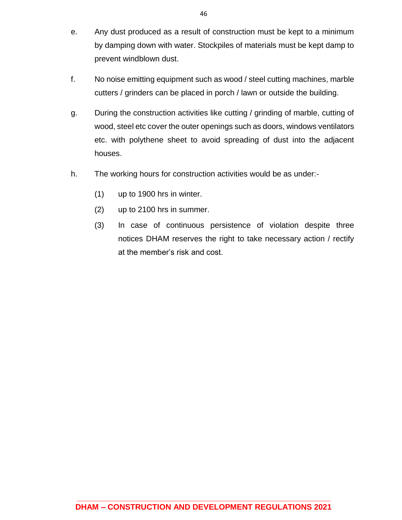- e. Any dust produced as a result of construction must be kept to a minimum by damping down with water. Stockpiles of materials must be kept damp to prevent windblown dust.
- f. No noise emitting equipment such as wood / steel cutting machines, marble cutters / grinders can be placed in porch / lawn or outside the building.
- g. During the construction activities like cutting / grinding of marble, cutting of wood, steel etc cover the outer openings such as doors, windows ventilators etc. with polythene sheet to avoid spreading of dust into the adjacent houses.
- h. The working hours for construction activities would be as under:-
	- (1) up to 1900 hrs in winter.
	- (2) up to 2100 hrs in summer.
	- (3) In case of continuous persistence of violation despite three notices DHAM reserves the right to take necessary action / rectify at the member's risk and cost.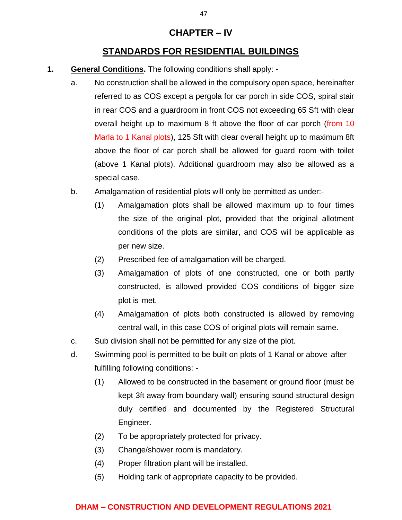## **CHAPTER – IV**

## **STANDARDS FOR RESIDENTIAL BUILDINGS**

- **1. General Conditions.** The following conditions shall apply:
	- a. No construction shall be allowed in the compulsory open space, hereinafter referred to as COS except a pergola for car porch in side COS, spiral stair in rear COS and a guardroom in front COS not exceeding 65 Sft with clear overall height up to maximum 8 ft above the floor of car porch (from 10 Marla to 1 Kanal plots), 125 Sft with clear overall height up to maximum 8ft above the floor of car porch shall be allowed for guard room with toilet (above 1 Kanal plots). Additional guardroom may also be allowed as a special case.
	- b. Amalgamation of residential plots will only be permitted as under:-
		- (1) Amalgamation plots shall be allowed maximum up to four times the size of the original plot, provided that the original allotment conditions of the plots are similar, and COS will be applicable as per new size.
		- (2) Prescribed fee of amalgamation will be charged.
		- (3) Amalgamation of plots of one constructed, one or both partly constructed, is allowed provided COS conditions of bigger size plot is met.
		- (4) Amalgamation of plots both constructed is allowed by removing central wall, in this case COS of original plots will remain same.
	- c. Sub division shall not be permitted for any size of the plot.
	- d. Swimming pool is permitted to be built on plots of 1 Kanal or above after fulfilling following conditions: -
		- (1) Allowed to be constructed in the basement or ground floor (must be kept 3ft away from boundary wall) ensuring sound structural design duly certified and documented by the Registered Structural Engineer.
		- (2) To be appropriately protected for privacy.
		- (3) Change/shower room is mandatory.
		- (4) Proper filtration plant will be installed.
		- (5) Holding tank of appropriate capacity to be provided.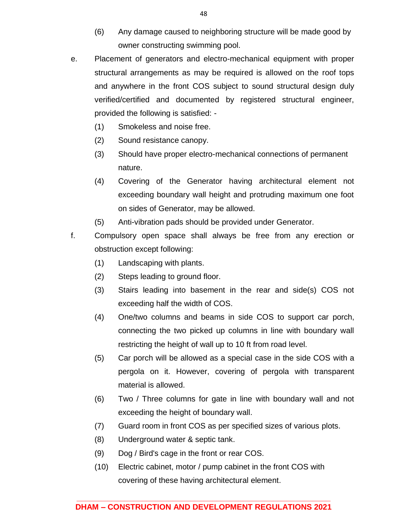- (6) Any damage caused to neighboring structure will be made good by owner constructing swimming pool.
- e. Placement of generators and electro-mechanical equipment with proper structural arrangements as may be required is allowed on the roof tops and anywhere in the front COS subject to sound structural design duly verified/certified and documented by registered structural engineer, provided the following is satisfied: -
	- (1) Smokeless and noise free.
	- (2) Sound resistance canopy.
	- (3) Should have proper electro-mechanical connections of permanent nature.
	- (4) Covering of the Generator having architectural element not exceeding boundary wall height and protruding maximum one foot on sides of Generator, may be allowed.
	- (5) Anti-vibration pads should be provided under Generator.
- f. Compulsory open space shall always be free from any erection or obstruction except following:
	- (1) Landscaping with plants.
	- (2) Steps leading to ground floor.
	- (3) Stairs leading into basement in the rear and side(s) COS not exceeding half the width of COS.
	- (4) One/two columns and beams in side COS to support car porch, connecting the two picked up columns in line with boundary wall restricting the height of wall up to 10 ft from road level.
	- (5) Car porch will be allowed as a special case in the side COS with a pergola on it. However, covering of pergola with transparent material is allowed.
	- (6) Two / Three columns for gate in line with boundary wall and not exceeding the height of boundary wall.
	- (7) Guard room in front COS as per specified sizes of various plots.
	- (8) Underground water & septic tank.
	- (9) Dog / Bird's cage in the front or rear COS.
	- (10) Electric cabinet, motor / pump cabinet in the front COS with covering of these having architectural element.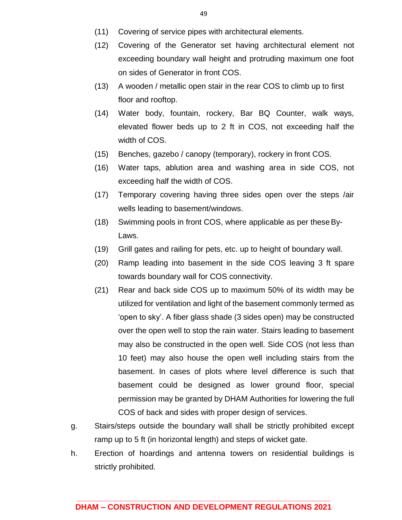- (11) Covering of service pipes with architectural elements.
- (12) Covering of the Generator set having architectural element not exceeding boundary wall height and protruding maximum one foot on sides of Generator in front COS.
- (13) A wooden / metallic open stair in the rear COS to climb up to first floor and rooftop.
- (14) Water body, fountain, rockery, Bar BQ Counter, walk ways, elevated flower beds up to 2 ft in COS, not exceeding half the width of COS.
- (15) Benches, gazebo / canopy (temporary), rockery in front COS.
- (16) Water taps, ablution area and washing area in side COS, not exceeding half the width of COS.
- (17) Temporary covering having three sides open over the steps /air wells leading to basement/windows.
- (18) Swimming pools in front COS, where applicable as per theseBy-Laws.
- (19) Grill gates and railing for pets, etc. up to height of boundary wall.
- (20) Ramp leading into basement in the side COS leaving 3 ft spare towards boundary wall for COS connectivity.
- (21) Rear and back side COS up to maximum 50% of its width may be utilized for ventilation and light of the basement commonly termed as 'open to sky'. A fiber glass shade (3 sides open) may be constructed over the open well to stop the rain water. Stairs leading to basement may also be constructed in the open well. Side COS (not less than 10 feet) may also house the open well including stairs from the basement. In cases of plots where level difference is such that basement could be designed as lower ground floor, special permission may be granted by DHAM Authorities for lowering the full COS of back and sides with proper design of services.
- g. Stairs/steps outside the boundary wall shall be strictly prohibited except ramp up to 5 ft (in horizontal length) and steps of wicket gate.
- h. Erection of hoardings and antenna towers on residential buildings is strictly prohibited.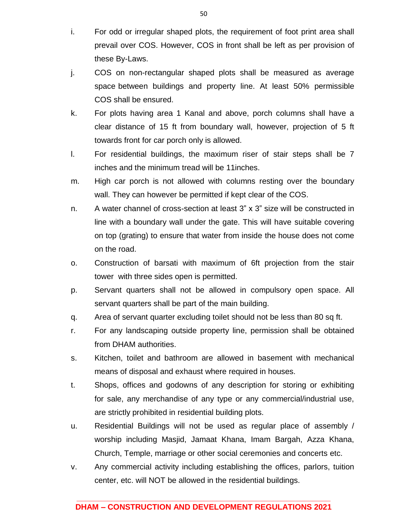- i. For odd or irregular shaped plots, the requirement of foot print area shall prevail over COS. However, COS in front shall be left as per provision of these By-Laws.
- j. COS on non-rectangular shaped plots shall be measured as average space between buildings and property line. At least 50% permissible COS shall be ensured.
- k. For plots having area 1 Kanal and above, porch columns shall have a clear distance of 15 ft from boundary wall, however, projection of 5 ft towards front for car porch only is allowed.
- l. For residential buildings, the maximum riser of stair steps shall be 7 inches and the minimum tread will be 11inches.
- m. High car porch is not allowed with columns resting over the boundary wall. They can however be permitted if kept clear of the COS.
- n. A water channel of cross-section at least 3" x 3" size will be constructed in line with a boundary wall under the gate. This will have suitable covering on top (grating) to ensure that water from inside the house does not come on the road.
- o. Construction of barsati with maximum of 6ft projection from the stair tower with three sides open is permitted.
- p. Servant quarters shall not be allowed in compulsory open space. All servant quarters shall be part of the main building.
- q. Area of servant quarter excluding toilet should not be less than 80 sq ft.
- r. For any landscaping outside property line, permission shall be obtained from DHAM authorities.
- s. Kitchen, toilet and bathroom are allowed in basement with mechanical means of disposal and exhaust where required in houses.
- t. Shops, offices and godowns of any description for storing or exhibiting for sale, any merchandise of any type or any commercial/industrial use, are strictly prohibited in residential building plots.
- u. Residential Buildings will not be used as regular place of assembly / worship including Masjid, Jamaat Khana, Imam Bargah, Azza Khana, Church, Temple, marriage or other social ceremonies and concerts etc.
- v. Any commercial activity including establishing the offices, parlors, tuition center, etc. will NOT be allowed in the residential buildings.

50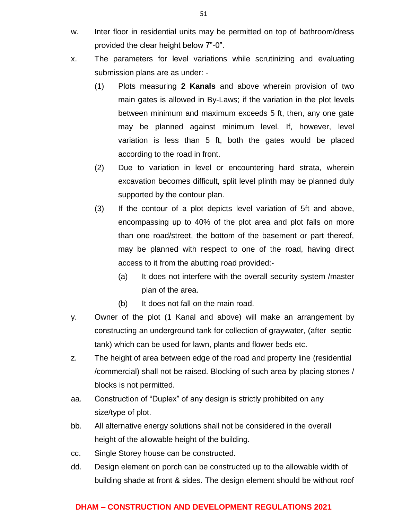- w. Inter floor in residential units may be permitted on top of bathroom/dress provided the clear height below 7"-0".
- x. The parameters for level variations while scrutinizing and evaluating submission plans are as under: -
	- (1) Plots measuring **2 Kanals** and above wherein provision of two main gates is allowed in By-Laws; if the variation in the plot levels between minimum and maximum exceeds 5 ft, then, any one gate may be planned against minimum level. If, however, level variation is less than 5 ft, both the gates would be placed according to the road in front.
	- (2) Due to variation in level or encountering hard strata, wherein excavation becomes difficult, split level plinth may be planned duly supported by the contour plan.
	- (3) If the contour of a plot depicts level variation of 5ft and above, encompassing up to 40% of the plot area and plot falls on more than one road/street, the bottom of the basement or part thereof, may be planned with respect to one of the road, having direct access to it from the abutting road provided:-
		- (a) It does not interfere with the overall security system /master plan of the area.
		- (b) It does not fall on the main road.
- y. Owner of the plot (1 Kanal and above) will make an arrangement by constructing an underground tank for collection of graywater, (after septic tank) which can be used for lawn, plants and flower beds etc.
- z. The height of area between edge of the road and property line (residential /commercial) shall not be raised. Blocking of such area by placing stones / blocks is not permitted.
- aa. Construction of "Duplex" of any design is strictly prohibited on any size/type of plot.
- bb. All alternative energy solutions shall not be considered in the overall height of the allowable height of the building.
- cc. Single Storey house can be constructed.
- dd. Design element on porch can be constructed up to the allowable width of building shade at front & sides. The design element should be without roof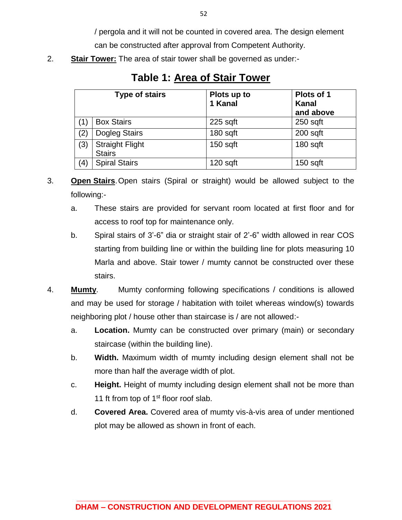/ pergola and it will not be counted in covered area. The design element

can be constructed after approval from Competent Authority.

2. **Stair Tower:** The area of stair tower shall be governed as under:-

|                   | <b>Type of stairs</b>                   | Plots up to<br>1 Kanal | Plots of 1<br><b>Kanal</b><br>and above |
|-------------------|-----------------------------------------|------------------------|-----------------------------------------|
|                   | <b>Box Stairs</b>                       | $225$ sqft             | $250$ sqft                              |
| $\left( 2\right)$ | Dogleg Stairs                           | $180$ sqft             | $200$ sqft                              |
| (3)               | <b>Straight Flight</b><br><b>Stairs</b> | $150$ sqft             | 180 sqft                                |
| $\left( 4\right)$ | <b>Spiral Stairs</b>                    | $120$ sqft             | $150$ sqft                              |

**Table 1: Area of Stair Tower**

- 3. **Open Stairs**.Open stairs (Spiral or straight) would be allowed subject to the following:
	- a. These stairs are provided for servant room located at first floor and for access to roof top for maintenance only.
	- b. Spiral stairs of 3'-6" dia or straight stair of 2'-6" width allowed in rear COS starting from building line or within the building line for plots measuring 10 Marla and above. Stair tower / mumty cannot be constructed over these stairs.
- 4. **Mumty**. Mumty conforming following specifications / conditions is allowed and may be used for storage / habitation with toilet whereas window(s) towards neighboring plot / house other than staircase is / are not allowed:
	- a. **Location.** Mumty can be constructed over primary (main) or secondary staircase (within the building line).
	- b. **Width.** Maximum width of mumty including design element shall not be more than half the average width of plot.
	- c. **Height.** Height of mumty including design element shall not be more than 11 ft from top of  $1<sup>st</sup>$  floor roof slab.
	- d. **Covered Area.** Covered area of mumty vis-à-vis area of under mentioned plot may be allowed as shown in front of each.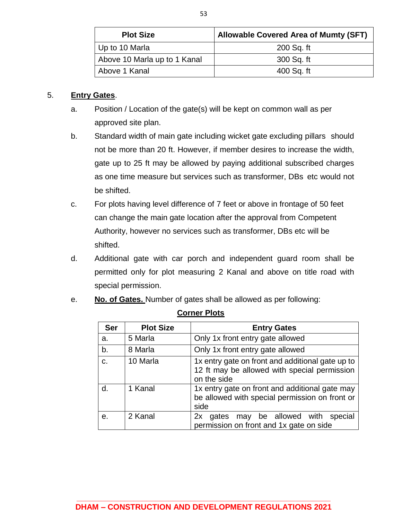| <b>Plot Size</b>             | <b>Allowable Covered Area of Mumty (SFT)</b> |
|------------------------------|----------------------------------------------|
| Up to 10 Marla               | 200 Sq. ft                                   |
| Above 10 Marla up to 1 Kanal | 300 Sq. ft                                   |
| Above 1 Kanal                | 400 Sq. ft                                   |

### 5. **Entry Gates**.

- a. Position / Location of the gate(s) will be kept on common wall as per approved site plan.
- b. Standard width of main gate including wicket gate excluding pillars should not be more than 20 ft. However, if member desires to increase the width, gate up to 25 ft may be allowed by paying additional subscribed charges as one time measure but services such as transformer, DBs etc would not be shifted.
- c. For plots having level difference of 7 feet or above in frontage of 50 feet can change the main gate location after the approval from Competent Authority, however no services such as transformer, DBs etc will be shifted.
- d. Additional gate with car porch and independent guard room shall be permitted only for plot measuring 2 Kanal and above on title road with special permission.
- e. **No. of Gates.** Number of gates shall be allowed as per following:

| <b>Ser</b> | <b>Plot Size</b> | <b>Entry Gates</b>                                                                                              |
|------------|------------------|-----------------------------------------------------------------------------------------------------------------|
| a.         | 5 Marla          | Only 1x front entry gate allowed                                                                                |
| b.         | 8 Marla          | Only 1x front entry gate allowed                                                                                |
| C.         | 10 Marla         | 1x entry gate on front and additional gate up to<br>12 ft may be allowed with special permission<br>on the side |
| d.         | 1 Kanal          | 1x entry gate on front and additional gate may<br>be allowed with special permission on front or<br>side        |
| е.         | 2 Kanal          | may be allowed with<br>special<br>gates<br>2x<br>permission on front and 1x gate on side                        |

### **Corner Plots**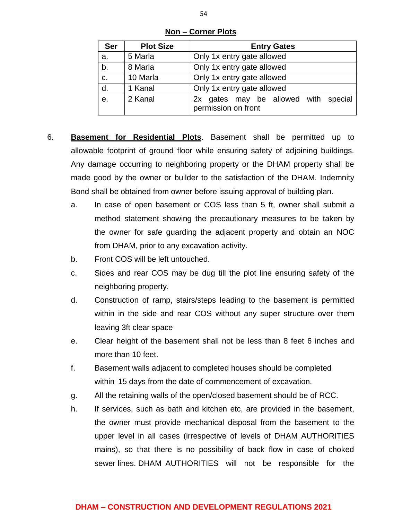| Ser | <b>Plot Size</b> | <b>Entry Gates</b>                                             |  |  |
|-----|------------------|----------------------------------------------------------------|--|--|
| a.  | 5 Marla          | Only 1x entry gate allowed                                     |  |  |
| b.  | 8 Marla          | Only 1x entry gate allowed                                     |  |  |
| C.  | 10 Marla         | Only 1x entry gate allowed                                     |  |  |
| d.  | 1 Kanal          | Only 1x entry gate allowed                                     |  |  |
| e.  | 2 Kanal          | gates may be allowed with special<br>2x<br>permission on front |  |  |

**Non – Corner Plots**

- 6. **Basement for Residential Plots**. Basement shall be permitted up to allowable footprint of ground floor while ensuring safety of adjoining buildings. Any damage occurring to neighboring property or the DHAM property shall be made good by the owner or builder to the satisfaction of the DHAM. Indemnity Bond shall be obtained from owner before issuing approval of building plan.
	- a. In case of open basement or COS less than 5 ft, owner shall submit a method statement showing the precautionary measures to be taken by the owner for safe guarding the adjacent property and obtain an NOC from DHAM, prior to any excavation activity.
	- b. Front COS will be left untouched.
	- c. Sides and rear COS may be dug till the plot line ensuring safety of the neighboring property.
	- d. Construction of ramp, stairs/steps leading to the basement is permitted within in the side and rear COS without any super structure over them leaving 3ft clear space
	- e. Clear height of the basement shall not be less than 8 feet 6 inches and more than 10 feet.
	- f. Basement walls adjacent to completed houses should be completed within 15 days from the date of commencement of excavation.
	- g. All the retaining walls of the open/closed basement should be of RCC.
	- h. If services, such as bath and kitchen etc, are provided in the basement, the owner must provide mechanical disposal from the basement to the upper level in all cases (irrespective of levels of DHAM AUTHORITIES mains), so that there is no possibility of back flow in case of choked sewer lines. DHAM AUTHORITIES will not be responsible for the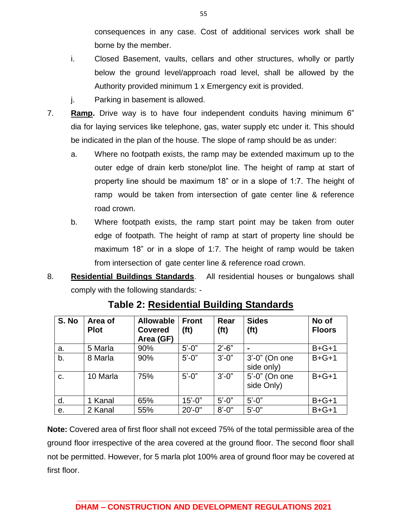consequences in any case. Cost of additional services work shall be borne by the member.

- i. Closed Basement, vaults, cellars and other structures, wholly or partly below the ground level/approach road level, shall be allowed by the Authority provided minimum 1 x Emergency exit is provided.
- j. Parking in basement is allowed.
- 7. **Ramp.** Drive way is to have four independent conduits having minimum 6" dia for laying services like telephone, gas, water supply etc under it. This should be indicated in the plan of the house. The slope of ramp should be as under:
	- a. Where no footpath exists, the ramp may be extended maximum up to the outer edge of drain kerb stone/plot line. The height of ramp at start of property line should be maximum 18" or in a slope of 1:7. The height of ramp would be taken from intersection of gate center line & reference road crown.
	- b. Where footpath exists, the ramp start point may be taken from outer edge of footpath. The height of ramp at start of property line should be maximum 18" or in a slope of 1:7. The height of ramp would be taken from intersection of gate center line & reference road crown.
- 8. **Residential Buildings Standards**. All residential houses or bungalows shall comply with the following standards: -

| S. No | Area of<br><b>Plot</b> | <b>Allowable</b><br><b>Covered</b><br>Area (GF) | <b>Front</b><br>(f <sub>t</sub> ) | Rear<br>(f <sub>t</sub> ) | <b>Sides</b><br>(f <sub>t</sub> ) | No of<br><b>Floors</b> |
|-------|------------------------|-------------------------------------------------|-----------------------------------|---------------------------|-----------------------------------|------------------------|
| a.    | 5 Marla                | 90%                                             | $5' - 0''$                        | $2' - 6"$                 |                                   | $B + G + 1$            |
| b.    | 8 Marla                | 90%                                             | $5' - 0''$                        | $3' - 0''$                | 3'-0" (On one<br>side only)       | $B + G + 1$            |
| C.    | 10 Marla               | 75%                                             | $5' - 0''$                        | $3'-0$ "                  | 5'-0" (On one<br>side Only)       | $B + G + 1$            |
| d.    | 1 Kanal                | 65%                                             | $15' - 0"$                        | $5'-0$ "                  | $5' - 0''$                        | $B + G + 1$            |
| е.    | 2 Kanal                | 55%                                             | $20' - 0''$                       | $8' - 0''$                | $5' - 0''$                        | $B + G + 1$            |

**Table 2: Residential Building Standards**

**Note:** Covered area of first floor shall not exceed 75% of the total permissible area of the ground floor irrespective of the area covered at the ground floor. The second floor shall not be permitted. However, for 5 marla plot 100% area of ground floor may be covered at first floor.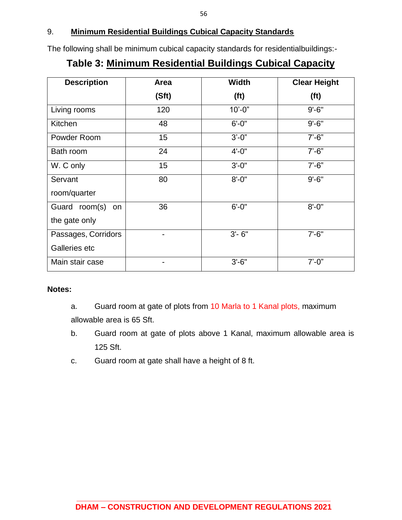## 9. **Minimum Residential Buildings Cubical Capacity Standards**

The following shall be minimum cubical capacity standards for residentialbuildings:-

## **Table 3: Minimum Residential Buildings Cubical Capacity**

| <b>Description</b>  | Area  | <b>Width</b>      | <b>Clear Height</b> |
|---------------------|-------|-------------------|---------------------|
|                     | (Sft) | (f <sub>t</sub> ) | (f <sub>t</sub> )   |
| Living rooms        | 120   | $10'-0$ "         | $9' - 6"$           |
| Kitchen             | 48    | $6' - 0''$        | $9' - 6"$           |
| Powder Room         | 15    | $3'-0''$          | $7' - 6''$          |
| Bath room           | 24    | $4' - 0''$        | $7' - 6''$          |
| W. C only           | 15    | $3' - 0''$        | $7' - 6''$          |
| Servant             | 80    | $8' - 0''$        | $9' - 6"$           |
| room/quarter        |       |                   |                     |
| Guard room(s)<br>on | 36    | $6' - 0''$        | $8' - 0''$          |
| the gate only       |       |                   |                     |
| Passages, Corridors |       | $3' - 6''$        | $7' - 6''$          |
| Galleries etc       |       |                   |                     |
| Main stair case     |       | $3' - 6"$         | $7' - 0''$          |

### **Notes:**

- a. Guard room at gate of plots from 10 Marla to 1 Kanal plots, maximum allowable area is 65 Sft.
- b. Guard room at gate of plots above 1 Kanal, maximum allowable area is 125 Sft.
- c. Guard room at gate shall have a height of 8 ft.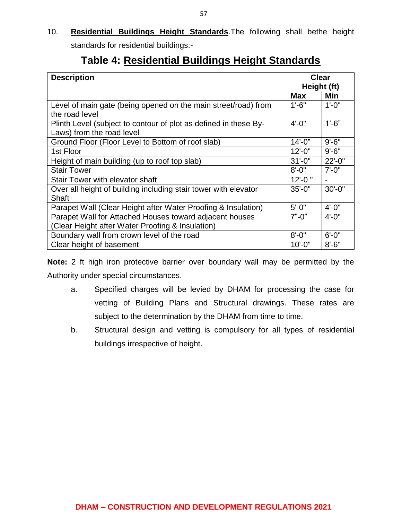10. **Residential Buildings Height Standards**.The following shall bethe height standards for residential buildings:-

| <b>Description</b>                                                               | Clear       |            |
|----------------------------------------------------------------------------------|-------------|------------|
|                                                                                  | Height (ft) |            |
|                                                                                  | <b>Max</b>  | Min        |
| Level of main gate (being opened on the main street/road) from<br>the road level | $1'-6''$    | $1' - 0''$ |
|                                                                                  |             |            |
| Plinth Level (subject to contour of plot as defined in these By-                 | $4' - 0''$  | $1'-6$ "   |
| Laws) from the road level                                                        |             |            |
| Ground Floor (Floor Level to Bottom of roof slab)                                | $14 - 0$ "  | $9' - 6"$  |
| 1st Floor                                                                        | $12 - 0$ "  | $9' - 6''$ |
| Height of main building (up to roof top slab)                                    | $31' - 0''$ | $22 - 0$ " |
| <b>Stair Tower</b>                                                               | $8' - 0''$  | $7' - 0''$ |
| Stair Tower with elevator shaft                                                  | $12 - 0$ "  |            |
| Over all height of building including stair tower with elevator                  | $35' - 0''$ | $30'-0$ "  |
| <b>Shaft</b>                                                                     |             |            |
| Parapet Wall (Clear Height after Water Proofing & Insulation)                    | $5' - 0''$  | $4' - 0''$ |
| Parapet Wall for Attached Houses toward adjacent houses                          | $7" - 0"$   | $4' - 0''$ |
| (Clear Height after Water Proofing & Insulation)                                 |             |            |
| Boundary wall from crown level of the road                                       | $8' - 0''$  | $6' - 0''$ |
| Clear height of basement                                                         | $10' - 0"$  | $8' - 6"$  |

# **Table 4: Residential Buildings Height Standards**

**Note:** 2 ft high iron protective barrier over boundary wall may be permitted by the Authority under special circumstances.

- a. Specified charges will be levied by DHAM for processing the case for vetting of Building Plans and Structural drawings. These rates are subject to the determination by the DHAM from time to time.
- b. Structural design and vetting is compulsory for all types of residential buildings irrespective of height.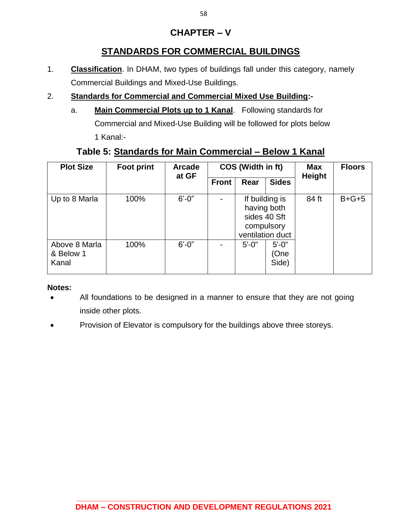## **CHAPTER – V**

## **STANDARDS FOR COMMERCIAL BUILDINGS**

- 1. **Classification**. In DHAM, two types of buildings fall under this category, namely Commercial Buildings and Mixed-Use Buildings.
- 2. **Standards for Commercial and Commercial Mixed Use Building:**
	- a. **Main Commercial Plots up to 1 Kanal**. Following standards for Commercial and Mixed-Use Building will be followed for plots below 1 Kanal:-

## **Table 5: Standards for Main Commercial – Below 1 Kanal**

| <b>Plot Size</b>                    | <b>Foot print</b> | <b>Arcade</b><br>at GF | COS (Width in ft) |                           | <b>Max</b><br><b>Height</b>                        | <b>Floors</b> |         |
|-------------------------------------|-------------------|------------------------|-------------------|---------------------------|----------------------------------------------------|---------------|---------|
|                                     |                   |                        | <b>Front</b>      | Rear                      | <b>Sides</b>                                       |               |         |
| Up to 8 Marla                       | 100%              | $6' - 0''$             |                   | having both<br>compulsory | If building is<br>sides 40 Sft<br>ventilation duct | 84 ft         | $B+G+5$ |
| Above 8 Marla<br>& Below 1<br>Kanal | 100%              | $6' - 0''$             |                   | $5' - 0''$                | $5' - 0''$<br>(One<br>Side)                        |               |         |

### **Notes:**

- All foundations to be designed in a manner to ensure that they are not going inside other plots.
- Provision of Elevator is compulsory for the buildings above three storeys.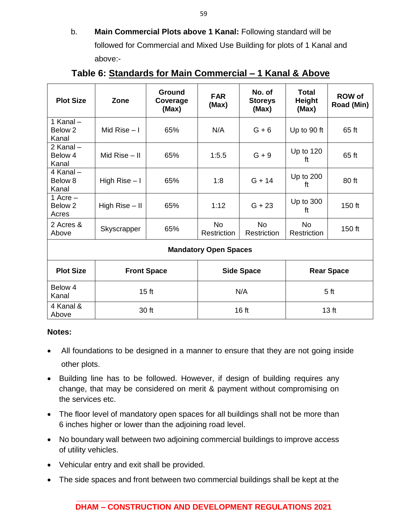b. **Main Commercial Plots above 1 Kanal:** Following standard will be followed for Commercial and Mixed Use Building for plots of 1 Kanal and above:-

| <b>Plot Size</b>               | Zone               | <b>Ground</b><br>Coverage<br>(Max) | <b>FAR</b><br>(Max)          | No. of<br><b>Storeys</b><br>(Max) | Total<br><b>Height</b><br>(Max) | <b>ROW of</b><br>Road (Min) |
|--------------------------------|--------------------|------------------------------------|------------------------------|-----------------------------------|---------------------------------|-----------------------------|
| 1 Kanal-<br>Below 2<br>Kanal   | Mid Rise $-1$      | 65%                                | N/A                          | $G + 6$                           | Up to 90 ft                     | 65 ft                       |
| 2 Kanal –<br>Below 4<br>Kanal  | Mid Rise $-$ II    | 65%                                | 1:5.5                        | $G + 9$                           | Up to 120<br>ft                 | 65 ft                       |
| 4 Kanal-<br>Below 8<br>Kanal   | High Rise $-1$     | 65%                                | 1:8                          | $G + 14$                          | Up to 200<br>ft                 | 80 ft                       |
| 1 Acre $-$<br>Below 2<br>Acres | High Rise $-$ II   | 65%                                | 1:12                         | $G + 23$                          | Up to 300<br>ft                 | 150 ft                      |
| 2 Acres &<br>Above             | Skyscrapper        | 65%                                | <b>No</b><br>Restriction     | <b>No</b><br>Restriction          | <b>No</b><br>Restriction        | 150 ft                      |
|                                |                    |                                    | <b>Mandatory Open Spaces</b> |                                   |                                 |                             |
| <b>Plot Size</b>               | <b>Front Space</b> |                                    | <b>Side Space</b>            |                                   |                                 | <b>Rear Space</b>           |
| Below 4<br>Kanal               | 15 <sub>ft</sub>   |                                    | N/A                          |                                   |                                 | 5 <sub>ft</sub>             |
| 4 Kanal &<br>Above             |                    | 30 ft<br>16 ft<br>13 <sub>ft</sub> |                              |                                   |                                 |                             |

## **Table 6: Standards for Main Commercial – 1 Kanal & Above**

### **Notes:**

- All foundations to be designed in a manner to ensure that they are not going inside other plots.
- Building line has to be followed. However, if design of building requires any change, that may be considered on merit & payment without compromising on the services etc.
- The floor level of mandatory open spaces for all buildings shall not be more than 6 inches higher or lower than the adjoining road level.
- No boundary wall between two adjoining commercial buildings to improve access of utility vehicles.
- Vehicular entry and exit shall be provided.
- The side spaces and front between two commercial buildings shall be kept at the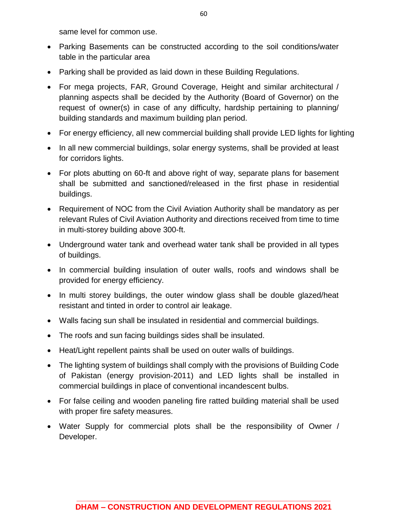same level for common use.

- Parking Basements can be constructed according to the soil conditions/water table in the particular area
- Parking shall be provided as laid down in these Building Regulations.
- For mega projects, FAR, Ground Coverage, Height and similar architectural / planning aspects shall be decided by the Authority (Board of Governor) on the request of owner(s) in case of any difficulty, hardship pertaining to planning/ building standards and maximum building plan period.
- For energy efficiency, all new commercial building shall provide LED lights for lighting
- In all new commercial buildings, solar energy systems, shall be provided at least for corridors lights.
- For plots abutting on 60-ft and above right of way, separate plans for basement shall be submitted and sanctioned/released in the first phase in residential buildings.
- Requirement of NOC from the Civil Aviation Authority shall be mandatory as per relevant Rules of Civil Aviation Authority and directions received from time to time in multi-storey building above 300-ft.
- Underground water tank and overhead water tank shall be provided in all types of buildings.
- In commercial building insulation of outer walls, roofs and windows shall be provided for energy efficiency.
- In multi storey buildings, the outer window glass shall be double glazed/heat resistant and tinted in order to control air leakage.
- Walls facing sun shall be insulated in residential and commercial buildings.
- The roofs and sun facing buildings sides shall be insulated.
- Heat/Light repellent paints shall be used on outer walls of buildings.
- The lighting system of buildings shall comply with the provisions of Building Code of Pakistan (energy provision-2011) and LED lights shall be installed in commercial buildings in place of conventional incandescent bulbs.
- For false ceiling and wooden paneling fire ratted building material shall be used with proper fire safety measures.
- Water Supply for commercial plots shall be the responsibility of Owner / Developer.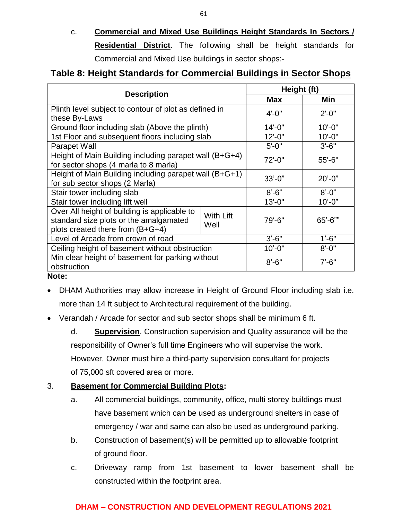c. **Commercial and Mixed Use Buildings Height Standards In Sectors / Residential District**. The following shall be height standards for Commercial and Mixed Use buildings in sector shops:-

## **Table 8: Height Standards for Commercial Buildings in Sector Shops**

| <b>Description</b>                                                                                                                              |             | Height (ft) |              |
|-------------------------------------------------------------------------------------------------------------------------------------------------|-------------|-------------|--------------|
|                                                                                                                                                 |             |             | Min          |
| Plinth level subject to contour of plot as defined in<br>these By-Laws                                                                          |             | $4' - 0''$  | $2' - 0''$   |
| Ground floor including slab (Above the plinth)                                                                                                  |             | $14 - 0$ "  | $10'-0$ "    |
| 1st Floor and subsequent floors including slab                                                                                                  |             | $12 - 0$ "  | $10'-0$ "    |
| Parapet Wall                                                                                                                                    |             | $5' - 0''$  | $3' - 6''$   |
| Height of Main Building including parapet wall (B+G+4)<br>for sector shops (4 marla to 8 marla)                                                 | 72'-0"      | 55'-6"      |              |
| Height of Main Building including parapet wall (B+G+1)<br>for sub sector shops (2 Marla)                                                        | $33' - 0''$ | $20' - 0"$  |              |
| Stair tower including slab                                                                                                                      |             | $8' - 6"$   | $8' - 0''$   |
| Stair tower including lift well                                                                                                                 |             | $13' - 0''$ | $10' - 0"$   |
| Over All height of building is applicable to<br>With Lift<br>standard size plots or the amalgamated<br>Well<br>plots created there from (B+G+4) |             | 79'-6"      | $65' - 6'''$ |
| Level of Arcade from crown of road                                                                                                              | $3'-6''$    | $1' - 6"$   |              |
| Ceiling height of basement without obstruction                                                                                                  | $10' - 0''$ | $8' - 0''$  |              |
| Min clear height of basement for parking without<br>obstruction                                                                                 |             | $8' - 6''$  | $7' - 6''$   |

#### **Note:**

- DHAM Authorities may allow increase in Height of Ground Floor including slab i.e. more than 14 ft subject to Architectural requirement of the building.
- Verandah / Arcade for sector and sub sector shops shall be minimum 6 ft.

d. **Supervision**. Construction supervision and Quality assurance will be the responsibility of Owner's full time Engineers who will supervise the work. However, Owner must hire a third-party supervision consultant for projects of 75,000 sft covered area or more.

### 3. **Basement for Commercial Building Plots:**

- a. All commercial buildings, community, office, multi storey buildings must have basement which can be used as underground shelters in case of emergency / war and same can also be used as underground parking.
- b. Construction of basement(s) will be permitted up to allowable footprint of ground floor.
- c. Driveway ramp from 1st basement to lower basement shall be constructed within the footprint area.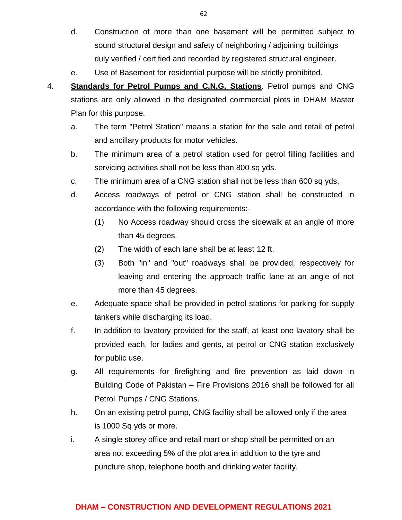- d. Construction of more than one basement will be permitted subject to sound structural design and safety of neighboring / adjoining buildings duly verified / certified and recorded by registered structural engineer.
- e. Use of Basement for residential purpose will be strictly prohibited.
- 4. **Standards for Petrol Pumps and C.N.G. Stations**. Petrol pumps and CNG stations are only allowed in the designated commercial plots in DHAM Master Plan for this purpose.
	- a. The term "Petrol Station" means a station for the sale and retail of petrol and ancillary products for motor vehicles.
	- b. The minimum area of a petrol station used for petrol filling facilities and servicing activities shall not be less than 800 sq yds.
	- c. The minimum area of a CNG station shall not be less than 600 sq yds.
	- d. Access roadways of petrol or CNG station shall be constructed in accordance with the following requirements:-
		- (1) No Access roadway should cross the sidewalk at an angle of more than 45 degrees.
		- (2) The width of each lane shall be at least 12 ft.
		- (3) Both "in" and "out" roadways shall be provided, respectively for leaving and entering the approach traffic lane at an angle of not more than 45 degrees.
	- e. Adequate space shall be provided in petrol stations for parking for supply tankers while discharging its load.
	- f. In addition to lavatory provided for the staff, at least one lavatory shall be provided each, for ladies and gents, at petrol or CNG station exclusively for public use.
	- g. All requirements for firefighting and fire prevention as laid down in Building Code of Pakistan – Fire Provisions 2016 shall be followed for all Petrol Pumps / CNG Stations.
	- h. On an existing petrol pump, CNG facility shall be allowed only if the area is 1000 Sq yds or more.
	- i. A single storey office and retail mart or shop shall be permitted on an area not exceeding 5% of the plot area in addition to the tyre and puncture shop, telephone booth and drinking water facility.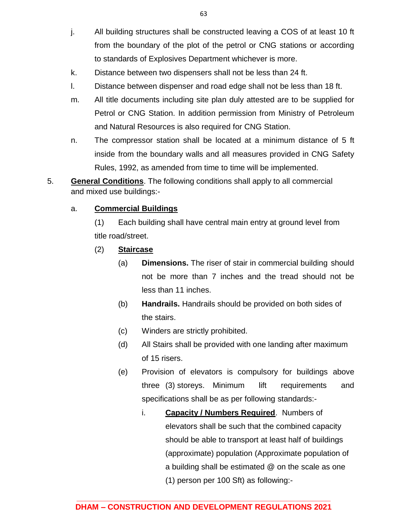- j. All building structures shall be constructed leaving a COS of at least 10 ft from the boundary of the plot of the petrol or CNG stations or according to standards of Explosives Department whichever is more.
- k. Distance between two dispensers shall not be less than 24 ft.
- l. Distance between dispenser and road edge shall not be less than 18 ft.
- m. All title documents including site plan duly attested are to be supplied for Petrol or CNG Station. In addition permission from Ministry of Petroleum and Natural Resources is also required for CNG Station.
- n. The compressor station shall be located at a minimum distance of 5 ft inside from the boundary walls and all measures provided in CNG Safety Rules, 1992, as amended from time to time will be implemented.
- 5. **General Conditions**. The following conditions shall apply to all commercial and mixed use buildings:-

### a. **Commercial Buildings**

(1) Each building shall have central main entry at ground level from title road/street.

- (2) **Staircase**
	- (a) **Dimensions.** The riser of stair in commercial building should not be more than 7 inches and the tread should not be less than 11 inches.
	- (b) **Handrails.** Handrails should be provided on both sides of the stairs.
	- (c) Winders are strictly prohibited.
	- (d) All Stairs shall be provided with one landing after maximum of 15 risers.
	- (e) Provision of elevators is compulsory for buildings above three (3) storeys. Minimum lift requirements and specifications shall be as per following standards:
		- i. **Capacity / Numbers Required**. Numbers of elevators shall be such that the combined capacity should be able to transport at least half of buildings (approximate) population (Approximate population of a building shall be estimated @ on the scale as one (1) person per 100 Sft) as following:-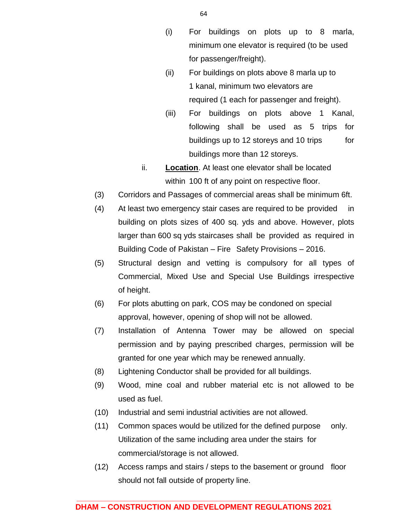- (i) For buildings on plots up to 8 marla, minimum one elevator is required (to be used for passenger/freight).
- (ii) For buildings on plots above 8 marla up to 1 kanal, minimum two elevators are required (1 each for passenger and freight).
- (iii) For buildings on plots above 1 Kanal, following shall be used as 5 trips for buildings up to 12 storeys and 10 trips for buildings more than 12 storeys.
- ii. **Location**. At least one elevator shall be located within 100 ft of any point on respective floor.
- (3) Corridors and Passages of commercial areas shall be minimum 6ft.
- (4) At least two emergency stair cases are required to be provided in building on plots sizes of 400 sq. yds and above. However, plots larger than 600 sq yds staircases shall be provided as required in Building Code of Pakistan – Fire Safety Provisions – 2016.
- (5) Structural design and vetting is compulsory for all types of Commercial, Mixed Use and Special Use Buildings irrespective of height.
- (6) For plots abutting on park, COS may be condoned on special approval, however, opening of shop will not be allowed.
- (7) Installation of Antenna Tower may be allowed on special permission and by paying prescribed charges, permission will be granted for one year which may be renewed annually.
- (8) Lightening Conductor shall be provided for all buildings.
- (9) Wood, mine coal and rubber material etc is not allowed to be used as fuel.
- (10) Industrial and semi industrial activities are not allowed.
- (11) Common spaces would be utilized for the defined purpose only. Utilization of the same including area under the stairs for commercial/storage is not allowed.
- (12) Access ramps and stairs / steps to the basement or ground floor should not fall outside of property line.

64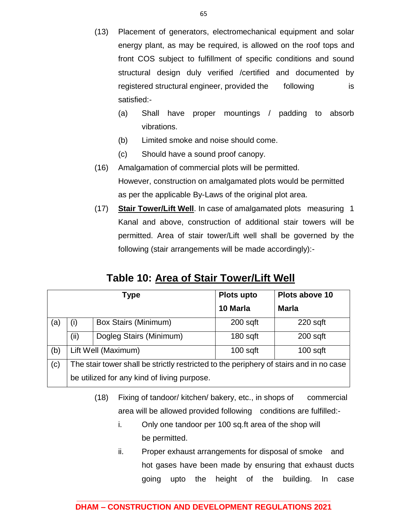- (13) Placement of generators, electromechanical equipment and solar energy plant, as may be required, is allowed on the roof tops and front COS subject to fulfillment of specific conditions and sound structural design duly verified /certified and documented by registered structural engineer, provided the following is satisfied:-
	- (a) Shall have proper mountings / padding to absorb vibrations.
	- (b) Limited smoke and noise should come.
	- (c) Should have a sound proof canopy.
- (16) Amalgamation of commercial plots will be permitted. However, construction on amalgamated plots would be permitted as per the applicable By-Laws of the original plot area.
- (17) **Stair Tower/Lift Well**. In case of amalgamated plots measuring 1 Kanal and above, construction of additional stair towers will be permitted. Area of stair tower/Lift well shall be governed by the following (stair arrangements will be made accordingly):-

|  | <b>Table 10: Area of Stair Tower/Lift Well</b> |  |
|--|------------------------------------------------|--|
|  |                                                |  |

|     |                                                                                        | Type                                        | Plots upto | Plots above 10 |  |
|-----|----------------------------------------------------------------------------------------|---------------------------------------------|------------|----------------|--|
|     |                                                                                        |                                             | 10 Marla   | <b>Marla</b>   |  |
| (a) | (i)                                                                                    | <b>Box Stairs (Minimum)</b>                 | $200$ sqft | $220$ sqft     |  |
|     | (ii)                                                                                   | Dogleg Stairs (Minimum)                     | $180$ sqft | $200$ sqft     |  |
| (b) |                                                                                        | Lift Well (Maximum)                         | $100$ sqft | $100$ sqft     |  |
| (c) | The stair tower shall be strictly restricted to the periphery of stairs and in no case |                                             |            |                |  |
|     |                                                                                        | be utilized for any kind of living purpose. |            |                |  |

- (18) Fixing of tandoor/ kitchen/ bakery, etc., in shops of commercial area will be allowed provided following conditions are fulfilled:
	- i. Only one tandoor per 100 sq.ft area of the shop will be permitted.
	- ii. Proper exhaust arrangements for disposal of smoke and hot gases have been made by ensuring that exhaust ducts going upto the height of the building. In case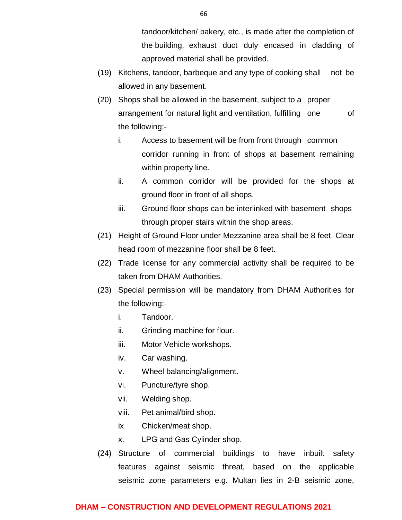tandoor/kitchen/ bakery, etc., is made after the completion of the building, exhaust duct duly encased in cladding of approved material shall be provided.

- (19) Kitchens, tandoor, barbeque and any type of cooking shall not be allowed in any basement.
- (20) Shops shall be allowed in the basement, subject to a proper arrangement for natural light and ventilation, fulfilling one of the following:
	- i. Access to basement will be from front through common corridor running in front of shops at basement remaining within property line.
	- ii. A common corridor will be provided for the shops at ground floor in front of all shops.
	- iii. Ground floor shops can be interlinked with basement shops through proper stairs within the shop areas.
- (21) Height of Ground Floor under Mezzanine area shall be 8 feet. Clear head room of mezzanine floor shall be 8 feet.
- (22) Trade license for any commercial activity shall be required to be taken from DHAM Authorities.
- (23) Special permission will be mandatory from DHAM Authorities for the following:
	- i. Tandoor.
	- ii. Grinding machine for flour.
	- iii. Motor Vehicle workshops.
	- iv. Car washing.
	- v. Wheel balancing/alignment.
	- vi. Puncture/tyre shop.
	- vii. Welding shop.
	- viii. Pet animal/bird shop.
	- ix Chicken/meat shop.
	- x. LPG and Gas Cylinder shop.
- (24) Structure of commercial buildings to have inbuilt safety features against seismic threat, based on the applicable seismic zone parameters e.g. Multan lies in 2-B seismic zone,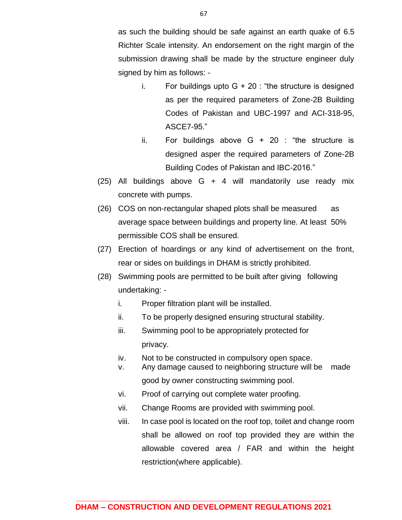as such the building should be safe against an earth quake of 6.5 Richter Scale intensity. An endorsement on the right margin of the submission drawing shall be made by the structure engineer duly signed by him as follows: -

- i. For buildings upto  $G + 20$ : "the structure is designed as per the required parameters of Zone-2B Building Codes of Pakistan and UBC-1997 and ACI-318-95, ASCE7-95."
- ii. For buildings above  $G + 20$ : "the structure is designed asper the required parameters of Zone-2B Building Codes of Pakistan and IBC-2016."
- (25) All buildings above G + 4 will mandatorily use ready mix concrete with pumps.
- (26) COS on non-rectangular shaped plots shall be measured as average space between buildings and property line. At least 50% permissible COS shall be ensured.
- (27) Erection of hoardings or any kind of advertisement on the front, rear or sides on buildings in DHAM is strictly prohibited.
- (28) Swimming pools are permitted to be built after giving following undertaking:
	- i. Proper filtration plant will be installed.
	- ii. To be properly designed ensuring structural stability.
	- iii. Swimming pool to be appropriately protected for privacy.
	- iv. Not to be constructed in compulsory open space.
	- v. Any damage caused to neighboring structure will be made good by owner constructing swimming pool.
	- vi. Proof of carrying out complete water proofing.
	- vii. Change Rooms are provided with swimming pool.
	- viii. In case pool is located on the roof top, toilet and change room shall be allowed on roof top provided they are within the allowable covered area / FAR and within the height restriction(where applicable).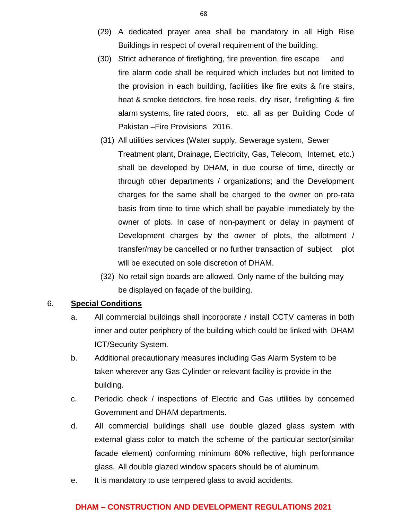- (29) A dedicated prayer area shall be mandatory in all High Rise Buildings in respect of overall requirement of the building.
- (30) Strict adherence of firefighting, fire prevention, fire escape and fire alarm code shall be required which includes but not limited to the provision in each building, facilities like fire exits & fire stairs, heat & smoke detectors, fire hose reels, dry riser, firefighting & fire alarm systems, fire rated doors, etc. all as per Building Code of Pakistan –Fire Provisions 2016.
- (31) All utilities services (Water supply, Sewerage system, Sewer Treatment plant, Drainage, Electricity, Gas, Telecom, Internet, etc.) shall be developed by DHAM, in due course of time, directly or through other departments / organizations; and the Development charges for the same shall be charged to the owner on pro-rata basis from time to time which shall be payable immediately by the owner of plots. In case of non-payment or delay in payment of Development charges by the owner of plots, the allotment / transfer/may be cancelled or no further transaction of subject plot will be executed on sole discretion of DHAM.
- (32) No retail sign boards are allowed. Only name of the building may be displayed on façade of the building.

### 6. **Special Conditions**

- a. All commercial buildings shall incorporate / install CCTV cameras in both inner and outer periphery of the building which could be linked with DHAM ICT/Security System.
- b. Additional precautionary measures including Gas Alarm System to be taken wherever any Gas Cylinder or relevant facility is provide in the building.
- c. Periodic check / inspections of Electric and Gas utilities by concerned Government and DHAM departments.
- d. All commercial buildings shall use double glazed glass system with external glass color to match the scheme of the particular sector(similar facade element) conforming minimum 60% reflective, high performance glass. All double glazed window spacers should be of aluminum.
- e. It is mandatory to use tempered glass to avoid accidents.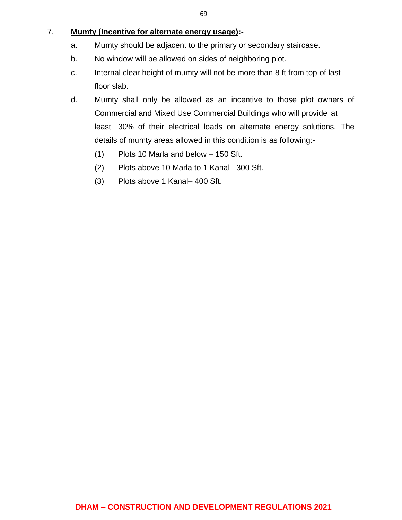### 7. **Mumty (Incentive for alternate energy usage):-**

- a. Mumty should be adjacent to the primary or secondary staircase.
- b. No window will be allowed on sides of neighboring plot.
- c. Internal clear height of mumty will not be more than 8 ft from top of last floor slab.
- d. Mumty shall only be allowed as an incentive to those plot owners of Commercial and Mixed Use Commercial Buildings who will provide at least 30% of their electrical loads on alternate energy solutions. The details of mumty areas allowed in this condition is as following:-
	- (1) Plots 10 Marla and below 150 Sft.
	- (2) Plots above 10 Marla to 1 Kanal– 300 Sft.
	- (3) Plots above 1 Kanal– 400 Sft.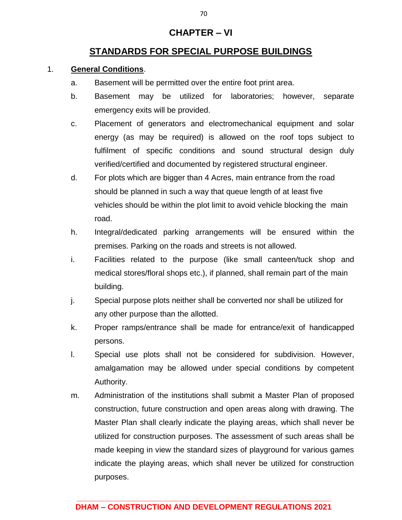## **CHAPTER – VI**

## **STANDARDS FOR SPECIAL PURPOSE BUILDINGS**

### 1. **General Conditions**.

- a. Basement will be permitted over the entire foot print area.
- b. Basement may be utilized for laboratories; however, separate emergency exits will be provided.
- c. Placement of generators and electromechanical equipment and solar energy (as may be required) is allowed on the roof tops subject to fulfilment of specific conditions and sound structural design duly verified/certified and documented by registered structural engineer.
- d. For plots which are bigger than 4 Acres, main entrance from the road should be planned in such a way that queue length of at least five vehicles should be within the plot limit to avoid vehicle blocking the main road.
- h. Integral/dedicated parking arrangements will be ensured within the premises. Parking on the roads and streets is not allowed.
- i. Facilities related to the purpose (like small canteen/tuck shop and medical stores/floral shops etc.), if planned, shall remain part of the main building.
- j. Special purpose plots neither shall be converted nor shall be utilized for any other purpose than the allotted.
- k. Proper ramps/entrance shall be made for entrance/exit of handicapped persons.
- l. Special use plots shall not be considered for subdivision. However, amalgamation may be allowed under special conditions by competent Authority.
- m. Administration of the institutions shall submit a Master Plan of proposed construction, future construction and open areas along with drawing. The Master Plan shall clearly indicate the playing areas, which shall never be utilized for construction purposes. The assessment of such areas shall be made keeping in view the standard sizes of playground for various games indicate the playing areas, which shall never be utilized for construction purposes.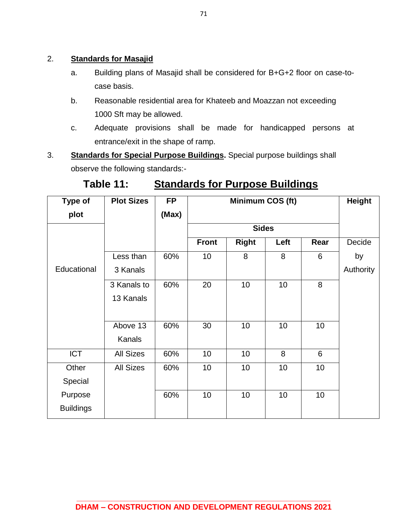## 2. **Standards for Masajid**

- a. Building plans of Masajid shall be considered for B+G+2 floor on case-tocase basis.
- b. Reasonable residential area for Khateeb and Moazzan not exceeding 1000 Sft may be allowed.
- c. Adequate provisions shall be made for handicapped persons at entrance/exit in the shape of ramp.
- 3. **Standards for Special Purpose Buildings.** Special purpose buildings shall observe the following standards:-

| Table 11: | <b>Standards for Purpose Buildings</b> |  |
|-----------|----------------------------------------|--|
|           |                                        |  |

| <b>Type of</b>   | <b>Plot Sizes</b> | <b>FP</b> | Minimum COS (ft) |              |      | Height |           |
|------------------|-------------------|-----------|------------------|--------------|------|--------|-----------|
| plot             |                   | (Max)     |                  |              |      |        |           |
|                  |                   |           | <b>Sides</b>     |              |      |        |           |
|                  |                   |           | <b>Front</b>     | <b>Right</b> | Left | Rear   | Decide    |
|                  | Less than         | 60%       | 10               | 8            | 8    | 6      | by        |
| Educational      | 3 Kanals          |           |                  |              |      |        | Authority |
|                  | 3 Kanals to       | 60%       | 20               | 10           | 10   | 8      |           |
|                  | 13 Kanals         |           |                  |              |      |        |           |
|                  |                   |           |                  |              |      |        |           |
|                  | Above 13          | 60%       | 30               | 10           | 10   | 10     |           |
|                  | <b>Kanals</b>     |           |                  |              |      |        |           |
| <b>ICT</b>       | <b>All Sizes</b>  | 60%       | 10               | 10           | 8    | 6      |           |
| Other            | <b>All Sizes</b>  | 60%       | 10               | 10           | 10   | 10     |           |
| Special          |                   |           |                  |              |      |        |           |
| Purpose          |                   | 60%       | 10               | 10           | 10   | 10     |           |
| <b>Buildings</b> |                   |           |                  |              |      |        |           |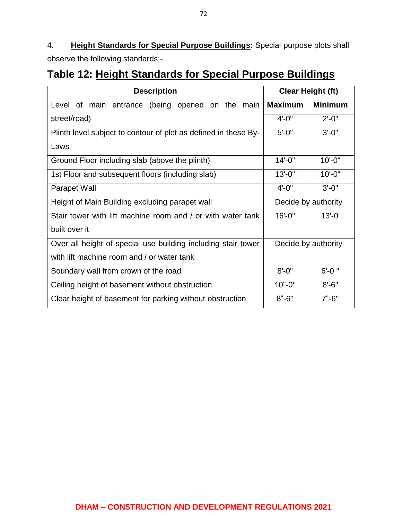4. **Height Standards for Special Purpose Buildings:** Special purpose plots shall observe the following standards:-

# **Table 12: Height Standards for Special Purpose Buildings**

| <b>Description</b>                                              | <b>Clear Height (ft)</b> |                |  |
|-----------------------------------------------------------------|--------------------------|----------------|--|
| Level of main entrance (being opened on the main                | <b>Maximum</b>           | <b>Minimum</b> |  |
| street/road)                                                    | $4' - 0''$               | $2' - 0''$     |  |
| Plinth level subject to contour of plot as defined in these By- | $5' - 0''$               | $3' - 0''$     |  |
| Laws                                                            |                          |                |  |
| Ground Floor including slab (above the plinth)                  | $14 - 0$ "               | $10 - 0"$      |  |
| 1st Floor and subsequent floors (including slab)                | $13 - 0$ "               | $10'-0$ "      |  |
| Parapet Wall                                                    | $4' - 0''$               | $3' - 0''$     |  |
| Height of Main Building excluding parapet wall                  | Decide by authority      |                |  |
| Stair tower with lift machine room and / or with water tank     | $16' - 0''$              | $13' - 0'$     |  |
| built over it                                                   |                          |                |  |
| Over all height of special use building including stair tower   | Decide by authority      |                |  |
| with lift machine room and / or water tank                      |                          |                |  |
| Boundary wall from crown of the road                            | $8' - 0''$               | $6' - 0$ "     |  |
| Ceiling height of basement without obstruction                  | $10" - 0"$               | $8' - 6''$     |  |
| Clear height of basement for parking without obstruction        | $8" - 6"$                | $7" - 6"$      |  |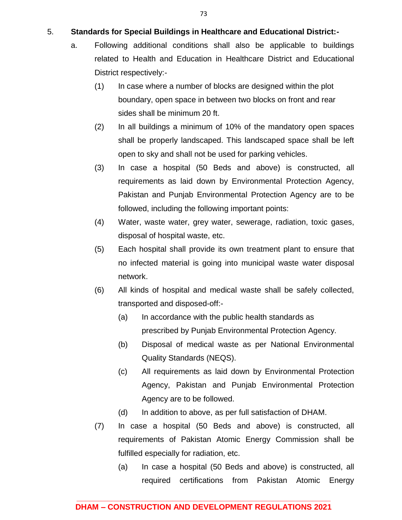### 5. **Standards for Special Buildings in Healthcare and Educational District:-**

- a. Following additional conditions shall also be applicable to buildings related to Health and Education in Healthcare District and Educational District respectively:-
	- (1) In case where a number of blocks are designed within the plot boundary, open space in between two blocks on front and rear sides shall be minimum 20 ft.
	- (2) In all buildings a minimum of 10% of the mandatory open spaces shall be properly landscaped. This landscaped space shall be left open to sky and shall not be used for parking vehicles.
	- (3) In case a hospital (50 Beds and above) is constructed, all requirements as laid down by Environmental Protection Agency, Pakistan and Punjab Environmental Protection Agency are to be followed, including the following important points:
	- (4) Water, waste water, grey water, sewerage, radiation, toxic gases, disposal of hospital waste, etc.
	- (5) Each hospital shall provide its own treatment plant to ensure that no infected material is going into municipal waste water disposal network.
	- (6) All kinds of hospital and medical waste shall be safely collected, transported and disposed-off:-
		- (a) In accordance with the public health standards as prescribed by Punjab Environmental Protection Agency.
		- (b) Disposal of medical waste as per National Environmental Quality Standards (NEQS).
		- (c) All requirements as laid down by Environmental Protection Agency, Pakistan and Punjab Environmental Protection Agency are to be followed.
		- (d) In addition to above, as per full satisfaction of DHAM.
	- (7) In case a hospital (50 Beds and above) is constructed, all requirements of Pakistan Atomic Energy Commission shall be fulfilled especially for radiation, etc.
		- (a) In case a hospital (50 Beds and above) is constructed, all required certifications from Pakistan Atomic Energy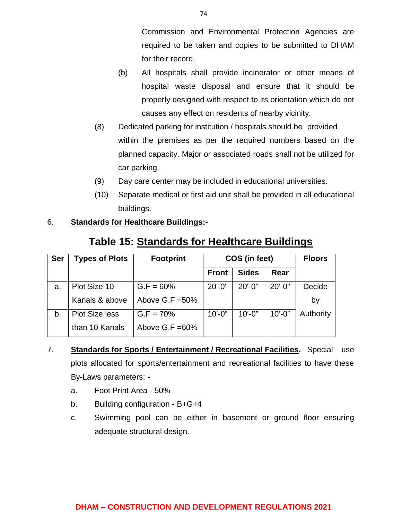Commission and Environmental Protection Agencies are required to be taken and copies to be submitted to DHAM for their record.

- (b) All hospitals shall provide incinerator or other means of hospital waste disposal and ensure that it should be properly designed with respect to its orientation which do not causes any effect on residents of nearby vicinity.
- (8) Dedicated parking for institution / hospitals should be provided within the premises as per the required numbers based on the planned capacity. Major or associated roads shall not be utilized for car parking.
- (9) Day care center may be included in educational universities.
- (10) Separate medical or first aid unit shall be provided in all educational buildings.

## 6. **Standards for Healthcare Buildings:-**

| <b>Ser</b> | <b>Types of Plots</b> | <b>Footprint</b>   | COS (in feet) |              |             | <b>Floors</b> |
|------------|-----------------------|--------------------|---------------|--------------|-------------|---------------|
|            |                       |                    | <b>Front</b>  | <b>Sides</b> | Rear        |               |
| a.         | Plot Size 10          | $G.F = 60%$        | $20' - 0''$   | $20' - 0''$  | $20' - 0''$ | Decide        |
|            | Kanals & above        | Above $G.F = 50\%$ |               |              |             | by            |
| b.         | <b>Plot Size less</b> | $G.F = 70%$        | $10' - 0"$    | $10' - 0''$  | $10'-0$ "   | Authority     |
|            | than 10 Kanals        | Above $G.F = 60\%$ |               |              |             |               |

# **Table 15: Standards for Healthcare Buildings**

- 7. **Standards for Sports / Entertainment / Recreational Facilities.** Special use plots allocated for sports/entertainment and recreational facilities to have these By-Laws parameters:
	- a. Foot Print Area 50%
	- b. Building configuration B+G+4
	- c. Swimming pool can be either in basement or ground floor ensuring adequate structural design.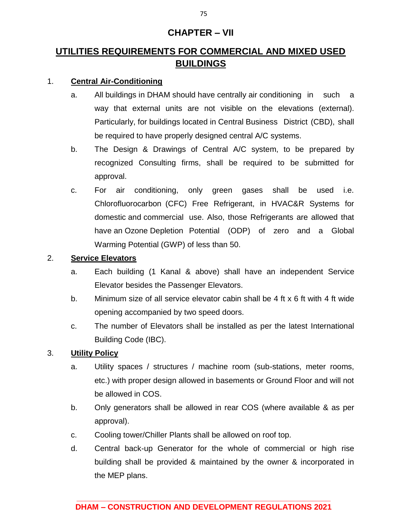## **CHAPTER – VII**

## **UTILITIES REQUIREMENTS FOR COMMERCIAL AND MIXED USED BUILDINGS**

## 1. **Central Air-Conditioning**

- a. All buildings in DHAM should have centrally air conditioning in such a way that external units are not visible on the elevations (external). Particularly, for buildings located in Central Business District (CBD), shall be required to have properly designed central A/C systems.
- b. The Design & Drawings of Central A/C system, to be prepared by recognized Consulting firms, shall be required to be submitted for approval.
- c. For air conditioning, only green gases shall be used i.e. Chlorofluorocarbon (CFC) Free Refrigerant, in HVAC&R Systems for domestic and commercial use. Also, those Refrigerants are allowed that have an Ozone Depletion Potential (ODP) of zero and a Global Warming Potential (GWP) of less than 50.

## 2. **Service Elevators**

- a. Each building (1 Kanal & above) shall have an independent Service Elevator besides the Passenger Elevators.
- b. Minimum size of all service elevator cabin shall be 4 ft x 6 ft with 4 ft wide opening accompanied by two speed doors.
- c. The number of Elevators shall be installed as per the latest International Building Code (IBC).

## 3. **Utility Policy**

- a. Utility spaces / structures / machine room (sub-stations, meter rooms, etc.) with proper design allowed in basements or Ground Floor and will not be allowed in COS.
- b. Only generators shall be allowed in rear COS (where available & as per approval).
- c. Cooling tower/Chiller Plants shall be allowed on roof top.
- d. Central back-up Generator for the whole of commercial or high rise building shall be provided & maintained by the owner & incorporated in the MEP plans.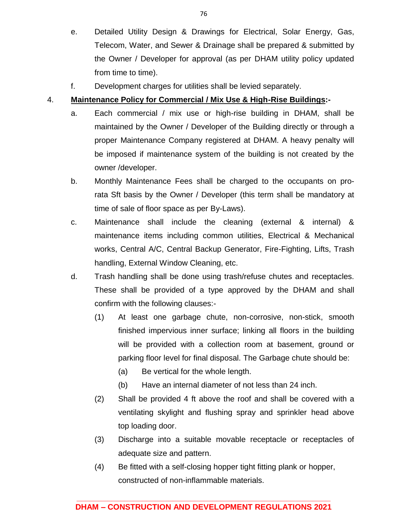- e. Detailed Utility Design & Drawings for Electrical, Solar Energy, Gas, Telecom, Water, and Sewer & Drainage shall be prepared & submitted by the Owner / Developer for approval (as per DHAM utility policy updated from time to time).
- f. Development charges for utilities shall be levied separately.

### 4. **Maintenance Policy for Commercial / Mix Use & High-Rise Buildings:-**

- a. Each commercial / mix use or high-rise building in DHAM, shall be maintained by the Owner / Developer of the Building directly or through a proper Maintenance Company registered at DHAM. A heavy penalty will be imposed if maintenance system of the building is not created by the owner /developer.
- b. Monthly Maintenance Fees shall be charged to the occupants on prorata Sft basis by the Owner / Developer (this term shall be mandatory at time of sale of floor space as per By-Laws).
- c. Maintenance shall include the cleaning (external & internal) & maintenance items including common utilities, Electrical & Mechanical works, Central A/C, Central Backup Generator, Fire-Fighting, Lifts, Trash handling, External Window Cleaning, etc.
- d. Trash handling shall be done using trash/refuse chutes and receptacles. These shall be provided of a type approved by the DHAM and shall confirm with the following clauses:-
	- (1) At least one garbage chute, non-corrosive, non-stick, smooth finished impervious inner surface; linking all floors in the building will be provided with a collection room at basement, ground or parking floor level for final disposal. The Garbage chute should be:
		- (a) Be vertical for the whole length.
		- (b) Have an internal diameter of not less than 24 inch.
	- (2) Shall be provided 4 ft above the roof and shall be covered with a ventilating skylight and flushing spray and sprinkler head above top loading door.
	- (3) Discharge into a suitable movable receptacle or receptacles of adequate size and pattern.
	- (4) Be fitted with a self-closing hopper tight fitting plank or hopper, constructed of non-inflammable materials.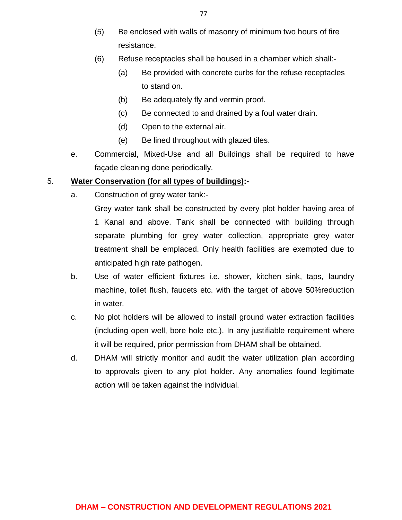- (5) Be enclosed with walls of masonry of minimum two hours of fire resistance.
- (6) Refuse receptacles shall be housed in a chamber which shall:-
	- (a) Be provided with concrete curbs for the refuse receptacles to stand on.
	- (b) Be adequately fly and vermin proof.
	- (c) Be connected to and drained by a foul water drain.
	- (d) Open to the external air.
	- (e) Be lined throughout with glazed tiles.
- e. Commercial, Mixed-Use and all Buildings shall be required to have façade cleaning done periodically.

### 5. **Water Conservation (for all types of buildings):-**

a. Construction of grey water tank:-

Grey water tank shall be constructed by every plot holder having area of 1 Kanal and above. Tank shall be connected with building through separate plumbing for grey water collection, appropriate grey water treatment shall be emplaced. Only health facilities are exempted due to anticipated high rate pathogen.

- b. Use of water efficient fixtures i.e. shower, kitchen sink, taps, laundry machine, toilet flush, faucets etc. with the target of above 50%reduction in water.
- c. No plot holders will be allowed to install ground water extraction facilities (including open well, bore hole etc.). In any justifiable requirement where it will be required, prior permission from DHAM shall be obtained.
- d. DHAM will strictly monitor and audit the water utilization plan according to approvals given to any plot holder. Any anomalies found legitimate action will be taken against the individual.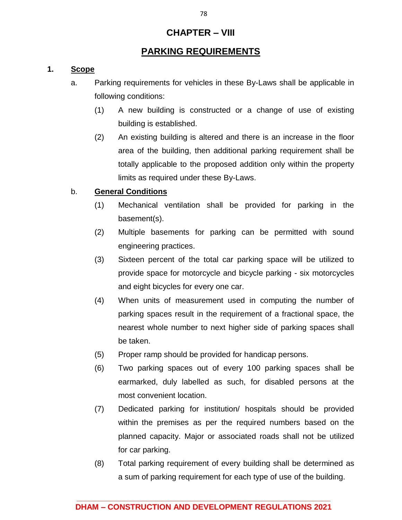## **CHAPTER – VIII**

## **PARKING REQUIREMENTS**

## **1. Scope**

- a. Parking requirements for vehicles in these By-Laws shall be applicable in following conditions:
	- (1) A new building is constructed or a change of use of existing building is established.
	- (2) An existing building is altered and there is an increase in the floor area of the building, then additional parking requirement shall be totally applicable to the proposed addition only within the property limits as required under these By-Laws.

### b. **General Conditions**

- (1) Mechanical ventilation shall be provided for parking in the basement(s).
- (2) Multiple basements for parking can be permitted with sound engineering practices.
- (3) Sixteen percent of the total car parking space will be utilized to provide space for motorcycle and bicycle parking - six motorcycles and eight bicycles for every one car.
- (4) When units of measurement used in computing the number of parking spaces result in the requirement of a fractional space, the nearest whole number to next higher side of parking spaces shall be taken.
- (5) Proper ramp should be provided for handicap persons.
- (6) Two parking spaces out of every 100 parking spaces shall be earmarked, duly labelled as such, for disabled persons at the most convenient location.
- (7) Dedicated parking for institution/ hospitals should be provided within the premises as per the required numbers based on the planned capacity. Major or associated roads shall not be utilized for car parking.
- (8) Total parking requirement of every building shall be determined as a sum of parking requirement for each type of use of the building.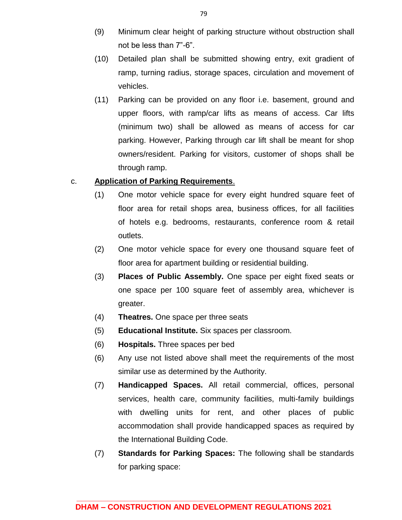- (9) Minimum clear height of parking structure without obstruction shall not be less than 7"-6".
- (10) Detailed plan shall be submitted showing entry, exit gradient of ramp, turning radius, storage spaces, circulation and movement of vehicles.
- (11) Parking can be provided on any floor i.e. basement, ground and upper floors, with ramp/car lifts as means of access. Car lifts (minimum two) shall be allowed as means of access for car parking. However, Parking through car lift shall be meant for shop owners/resident. Parking for visitors, customer of shops shall be through ramp.

### c. **Application of Parking Requirements**.

- (1) One motor vehicle space for every eight hundred square feet of floor area for retail shops area, business offices, for all facilities of hotels e.g. bedrooms, restaurants, conference room & retail outlets.
- (2) One motor vehicle space for every one thousand square feet of floor area for apartment building or residential building.
- (3) **Places of Public Assembly.** One space per eight fixed seats or one space per 100 square feet of assembly area, whichever is greater.
- (4) **Theatres.** One space per three seats
- (5) **Educational Institute.** Six spaces per classroom.
- (6) **Hospitals.** Three spaces per bed
- (6) Any use not listed above shall meet the requirements of the most similar use as determined by the Authority.
- (7) **Handicapped Spaces.** All retail commercial, offices, personal services, health care, community facilities, multi-family buildings with dwelling units for rent, and other places of public accommodation shall provide handicapped spaces as required by the International Building Code.
- (7) **Standards for Parking Spaces:** The following shall be standards for parking space: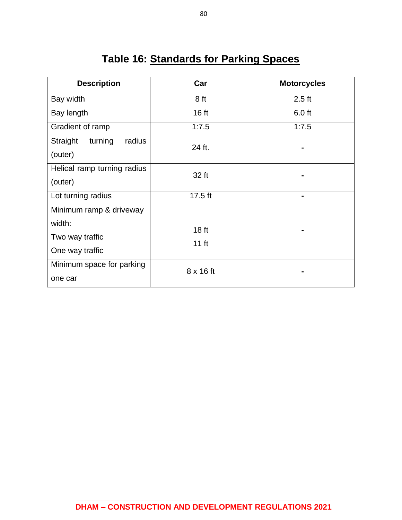# **Table 16: Standards for Parking Spaces**

| <b>Description</b>            | Car              | <b>Motorcycles</b> |  |  |
|-------------------------------|------------------|--------------------|--|--|
| Bay width                     | 8 ft             | $2.5$ ft           |  |  |
| Bay length                    | 16 ft            | 6.0 ft             |  |  |
| Gradient of ramp              | 1:7.5            | 1:7.5              |  |  |
| Straight<br>turning<br>radius | 24 ft.           |                    |  |  |
| (outer)                       |                  |                    |  |  |
| Helical ramp turning radius   | 32 ft            |                    |  |  |
| (outer)                       |                  |                    |  |  |
| Lot turning radius            | $17.5$ ft        | ۰                  |  |  |
| Minimum ramp & driveway       |                  |                    |  |  |
| width:                        | 18 <sub>ft</sub> |                    |  |  |
| Two way traffic               | $11$ ft          |                    |  |  |
| One way traffic               |                  |                    |  |  |
| Minimum space for parking     | $8 \times 16$ ft |                    |  |  |
| one car                       |                  |                    |  |  |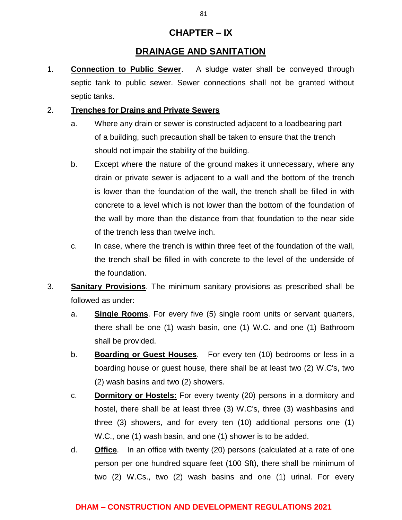## **CHAPTER – IX**

## **DRAINAGE AND SANITATION**

1. **Connection to Public Sewer**. A sludge water shall be conveyed through septic tank to public sewer. Sewer connections shall not be granted without septic tanks.

### 2. **Trenches for Drains and Private Sewers**

- a. Where any drain or sewer is constructed adjacent to a loadbearing part of a building, such precaution shall be taken to ensure that the trench should not impair the stability of the building.
- b. Except where the nature of the ground makes it unnecessary, where any drain or private sewer is adjacent to a wall and the bottom of the trench is lower than the foundation of the wall, the trench shall be filled in with concrete to a level which is not lower than the bottom of the foundation of the wall by more than the distance from that foundation to the near side of the trench less than twelve inch.
- c. In case, where the trench is within three feet of the foundation of the wall, the trench shall be filled in with concrete to the level of the underside of the foundation.
- 3. **Sanitary Provisions**. The minimum sanitary provisions as prescribed shall be followed as under:
	- a. **Single Rooms**. For every five (5) single room units or servant quarters, there shall be one (1) wash basin, one (1) W.C. and one (1) Bathroom shall be provided.
	- b. **Boarding or Guest Houses**. For every ten (10) bedrooms or less in a boarding house or guest house, there shall be at least two (2) W.C's, two (2) wash basins and two (2) showers.
	- c. **Dormitory or Hostels:** For every twenty (20) persons in a dormitory and hostel, there shall be at least three (3) W.C's, three (3) washbasins and three (3) showers, and for every ten (10) additional persons one (1) W.C., one (1) wash basin, and one (1) shower is to be added.
	- d. **Office**. In an office with twenty (20) persons (calculated at a rate of one person per one hundred square feet (100 Sft), there shall be minimum of two (2) W.Cs., two (2) wash basins and one (1) urinal. For every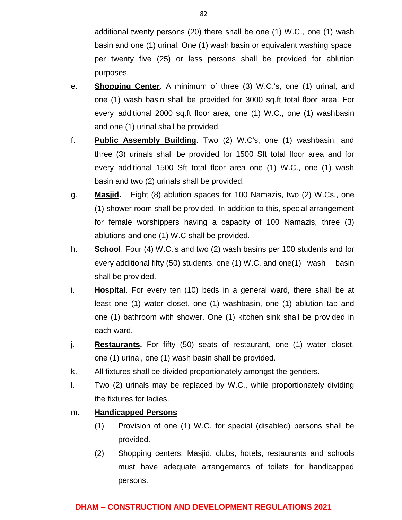additional twenty persons (20) there shall be one (1) W.C., one (1) wash basin and one (1) urinal. One (1) wash basin or equivalent washing space per twenty five (25) or less persons shall be provided for ablution purposes.

- e. **Shopping Center**. A minimum of three (3) W.C.'s, one (1) urinal, and one (1) wash basin shall be provided for 3000 sq.ft total floor area. For every additional 2000 sq.ft floor area, one (1) W.C., one (1) washbasin and one (1) urinal shall be provided.
- f. **Public Assembly Building**. Two (2) W.C's, one (1) washbasin, and three (3) urinals shall be provided for 1500 Sft total floor area and for every additional 1500 Sft total floor area one (1) W.C., one (1) wash basin and two (2) urinals shall be provided.
- g. **Masjid.** Eight (8) ablution spaces for 100 Namazis, two (2) W.Cs., one (1) shower room shall be provided. In addition to this, special arrangement for female worshippers having a capacity of 100 Namazis, three (3) ablutions and one (1) W.C shall be provided.
- h. **School**. Four (4) W.C.'s and two (2) wash basins per 100 students and for every additional fifty (50) students, one (1) W.C. and one(1) wash basin shall be provided.
- i. **Hospital**. For every ten (10) beds in a general ward, there shall be at least one (1) water closet, one (1) washbasin, one (1) ablution tap and one (1) bathroom with shower. One (1) kitchen sink shall be provided in each ward.
- j. **Restaurants.** For fifty (50) seats of restaurant, one (1) water closet, one (1) urinal, one (1) wash basin shall be provided.
- k. All fixtures shall be divided proportionately amongst the genders.
- l. Two (2) urinals may be replaced by W.C., while proportionately dividing the fixtures for ladies.

## m. **Handicapped Persons**

- (1) Provision of one (1) W.C. for special (disabled) persons shall be provided.
- (2) Shopping centers, Masjid, clubs, hotels, restaurants and schools must have adequate arrangements of toilets for handicapped persons.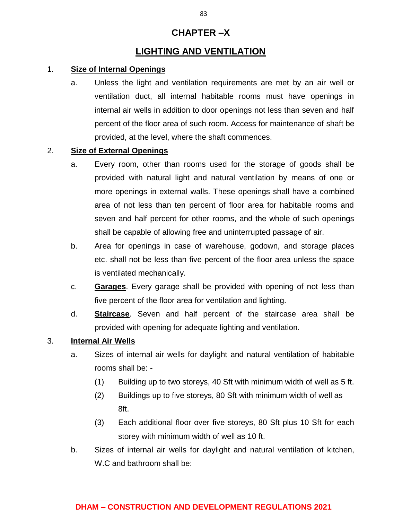## **CHAPTER –X**

## **LIGHTING AND VENTILATION**

### 1. **Size of Internal Openings**

a. Unless the light and ventilation requirements are met by an air well or ventilation duct, all internal habitable rooms must have openings in internal air wells in addition to door openings not less than seven and half percent of the floor area of such room. Access for maintenance of shaft be provided, at the level, where the shaft commences.

## 2. **Size of External Openings**

- a. Every room, other than rooms used for the storage of goods shall be provided with natural light and natural ventilation by means of one or more openings in external walls. These openings shall have a combined area of not less than ten percent of floor area for habitable rooms and seven and half percent for other rooms, and the whole of such openings shall be capable of allowing free and uninterrupted passage of air.
- b. Area for openings in case of warehouse, godown, and storage places etc. shall not be less than five percent of the floor area unless the space is ventilated mechanically.
- c. **Garages**. Every garage shall be provided with opening of not less than five percent of the floor area for ventilation and lighting.
- d. **Staircase**. Seven and half percent of the staircase area shall be provided with opening for adequate lighting and ventilation.

### 3. **Internal Air Wells**

- a. Sizes of internal air wells for daylight and natural ventilation of habitable rooms shall be: -
	- (1) Building up to two storeys, 40 Sft with minimum width of well as 5 ft.
	- (2) Buildings up to five storeys, 80 Sft with minimum width of well as 8ft.
	- (3) Each additional floor over five storeys, 80 Sft plus 10 Sft for each storey with minimum width of well as 10 ft.
- b. Sizes of internal air wells for daylight and natural ventilation of kitchen, W.C and bathroom shall be: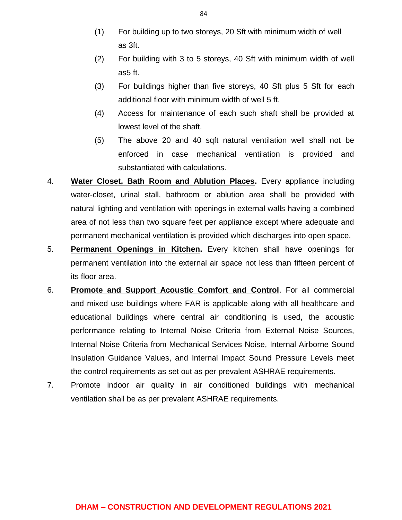- (1) For building up to two storeys, 20 Sft with minimum width of well as 3ft.
- (2) For building with 3 to 5 storeys, 40 Sft with minimum width of well as5 ft.
- (3) For buildings higher than five storeys, 40 Sft plus 5 Sft for each additional floor with minimum width of well 5 ft.
- (4) Access for maintenance of each such shaft shall be provided at lowest level of the shaft.
- (5) The above 20 and 40 sqft natural ventilation well shall not be enforced in case mechanical ventilation is provided and substantiated with calculations.
- 4. **Water Closet, Bath Room and Ablution Places.** Every appliance including water-closet, urinal stall, bathroom or ablution area shall be provided with natural lighting and ventilation with openings in external walls having a combined area of not less than two square feet per appliance except where adequate and permanent mechanical ventilation is provided which discharges into open space.
- 5. **Permanent Openings in Kitchen.** Every kitchen shall have openings for permanent ventilation into the external air space not less than fifteen percent of its floor area.
- 6. **Promote and Support Acoustic Comfort and Control**. For all commercial and mixed use buildings where FAR is applicable along with all healthcare and educational buildings where central air conditioning is used, the acoustic performance relating to Internal Noise Criteria from External Noise Sources, Internal Noise Criteria from Mechanical Services Noise, Internal Airborne Sound Insulation Guidance Values, and Internal Impact Sound Pressure Levels meet the control requirements as set out as per prevalent ASHRAE requirements.
- 7. Promote indoor air quality in air conditioned buildings with mechanical ventilation shall be as per prevalent ASHRAE requirements.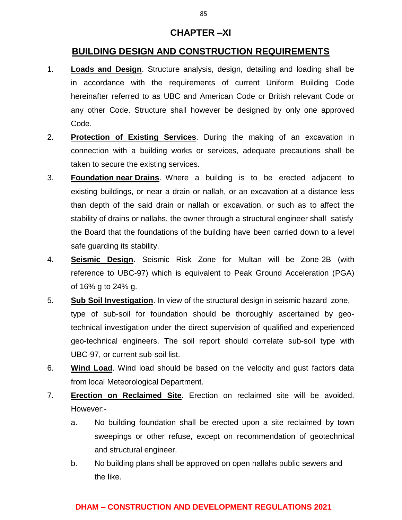## **CHAPTER –XI**

## **BUILDING DESIGN AND CONSTRUCTION REQUIREMENTS**

- 1. **Loads and Design**. Structure analysis, design, detailing and loading shall be in accordance with the requirements of current Uniform Building Code hereinafter referred to as UBC and American Code or British relevant Code or any other Code. Structure shall however be designed by only one approved Code.
- 2. **Protection of Existing Services**. During the making of an excavation in connection with a building works or services, adequate precautions shall be taken to secure the existing services.
- 3. **Foundation near Drains**. Where a building is to be erected adjacent to existing buildings, or near a drain or nallah, or an excavation at a distance less than depth of the said drain or nallah or excavation, or such as to affect the stability of drains or nallahs, the owner through a structural engineer shall satisfy the Board that the foundations of the building have been carried down to a level safe guarding its stability.
- 4. **Seismic Design**. Seismic Risk Zone for Multan will be Zone-2B (with reference to UBC-97) which is equivalent to Peak Ground Acceleration (PGA) of 16% g to 24% g.
- 5. **Sub Soil Investigation**. In view of the structural design in seismic hazard zone, type of sub-soil for foundation should be thoroughly ascertained by geotechnical investigation under the direct supervision of qualified and experienced geo-technical engineers. The soil report should correlate sub-soil type with UBC-97, or current sub-soil list.
- 6. **Wind Load**. Wind load should be based on the velocity and gust factors data from local Meteorological Department.
- 7. **Erection on Reclaimed Site**. Erection on reclaimed site will be avoided. However:
	- a. No building foundation shall be erected upon a site reclaimed by town sweepings or other refuse, except on recommendation of geotechnical and structural engineer.
	- b. No building plans shall be approved on open nallahs public sewers and the like.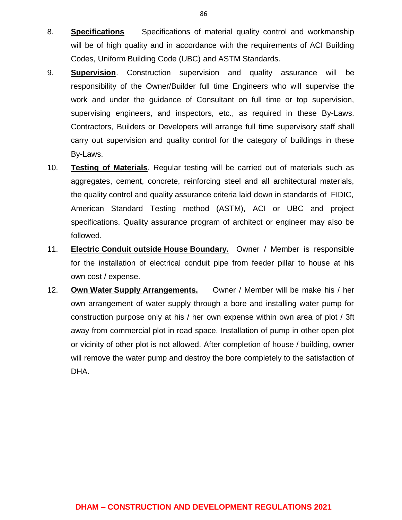- 8. **Specifications** Specifications of material quality control and workmanship will be of high quality and in accordance with the requirements of ACI Building Codes, Uniform Building Code (UBC) and ASTM Standards.
- 9. **Supervision**. Construction supervision and quality assurance will be responsibility of the Owner/Builder full time Engineers who will supervise the work and under the guidance of Consultant on full time or top supervision, supervising engineers, and inspectors, etc., as required in these By-Laws. Contractors, Builders or Developers will arrange full time supervisory staff shall carry out supervision and quality control for the category of buildings in these By-Laws.
- 10. **Testing of Materials**. Regular testing will be carried out of materials such as aggregates, cement, concrete, reinforcing steel and all architectural materials, the quality control and quality assurance criteria laid down in standards of FIDIC, American Standard Testing method (ASTM), ACI or UBC and project specifications. Quality assurance program of architect or engineer may also be followed.
- 11. **Electric Conduit outside House Boundary.** Owner / Member is responsible for the installation of electrical conduit pipe from feeder pillar to house at his own cost / expense.
- 12. **Own Water Supply Arrangements.** Owner / Member will be make his / her own arrangement of water supply through a bore and installing water pump for construction purpose only at his / her own expense within own area of plot / 3ft away from commercial plot in road space. Installation of pump in other open plot or vicinity of other plot is not allowed. After completion of house / building, owner will remove the water pump and destroy the bore completely to the satisfaction of DHA.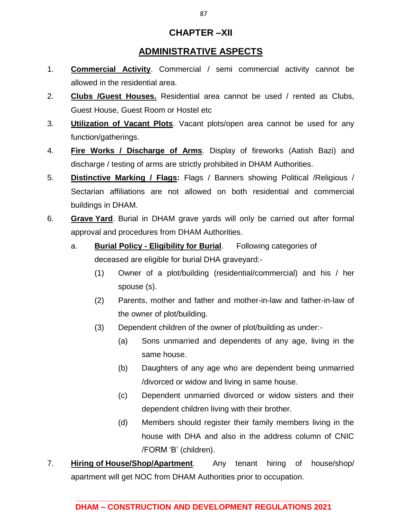## **CHAPTER –XII**

## **ADMINISTRATIVE ASPECTS**

- 1. **Commercial Activity**. Commercial / semi commercial activity cannot be allowed in the residential area.
- 2. **Clubs /Guest Houses.** Residential area cannot be used / rented as Clubs, Guest House, Guest Room or Hostel etc
- 3. **Utilization of Vacant Plots**. Vacant plots/open area cannot be used for any function/gatherings.
- 4. **Fire Works / Discharge of Arms**. Display of fireworks (Aatish Bazi) and discharge / testing of arms are strictly prohibited in DHAM Authorities.
- 5. **Distinctive Marking / Flags:** Flags / Banners showing Political /Religious / Sectarian affiliations are not allowed on both residential and commercial buildings in DHAM.
- 6. **Grave Yard**. Burial in DHAM grave yards will only be carried out after formal approval and procedures from DHAM Authorities.
	- a. **Burial Policy - Eligibility for Burial**. Following categories of deceased are eligible for burial DHA graveyard:-
		- (1) Owner of a plot/building (residential/commercial) and his / her spouse (s).
		- (2) Parents, mother and father and mother-in-law and father-in-law of the owner of plot/building.
		- (3) Dependent children of the owner of plot/building as under:-
			- (a) Sons unmarried and dependents of any age, living in the same house.
			- (b) Daughters of any age who are dependent being unmarried /divorced or widow and living in same house.
			- (c) Dependent unmarried divorced or widow sisters and their dependent children living with their brother.
			- (d) Members should register their family members living in the house with DHA and also in the address column of CNIC /FORM 'B' (children).
- 7. **Hiring of House/Shop/Apartment**. Any tenant hiring of house/shop/ apartment will get NOC from DHAM Authorities prior to occupation.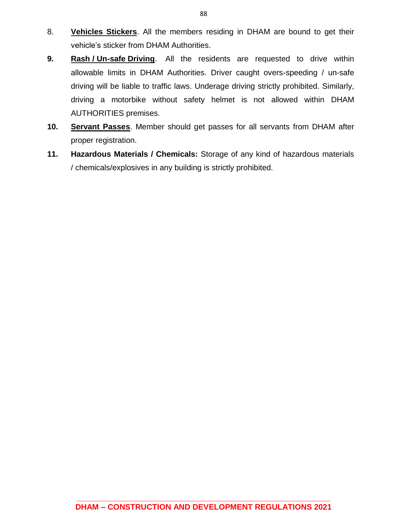- 8. **Vehicles Stickers**. All the members residing in DHAM are bound to get their vehicle's sticker from DHAM Authorities.
- **9. Rash / Un-safe Driving**. All the residents are requested to drive within allowable limits in DHAM Authorities. Driver caught overs-speeding / un-safe driving will be liable to traffic laws. Underage driving strictly prohibited. Similarly, driving a motorbike without safety helmet is not allowed within DHAM AUTHORITIES premises.
- **10. Servant Passes**. Member should get passes for all servants from DHAM after proper registration.
- **11. Hazardous Materials / Chemicals:** Storage of any kind of hazardous materials / chemicals/explosives in any building is strictly prohibited.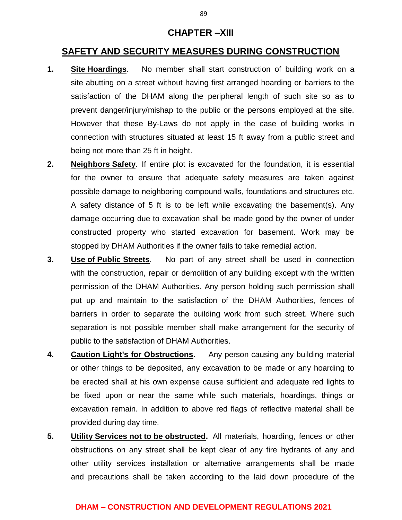## **CHAPTER –XIII**

## **SAFETY AND SECURITY MEASURES DURING CONSTRUCTION**

- **1. Site Hoardings**. No member shall start construction of building work on a site abutting on a street without having first arranged hoarding or barriers to the satisfaction of the DHAM along the peripheral length of such site so as to prevent danger/injury/mishap to the public or the persons employed at the site. However that these By-Laws do not apply in the case of building works in connection with structures situated at least 15 ft away from a public street and being not more than 25 ft in height.
- **2. Neighbors Safety**. If entire plot is excavated for the foundation, it is essential for the owner to ensure that adequate safety measures are taken against possible damage to neighboring compound walls, foundations and structures etc. A safety distance of 5 ft is to be left while excavating the basement(s). Any damage occurring due to excavation shall be made good by the owner of under constructed property who started excavation for basement. Work may be stopped by DHAM Authorities if the owner fails to take remedial action.
- **3. Use of Public Streets**. No part of any street shall be used in connection with the construction, repair or demolition of any building except with the written permission of the DHAM Authorities. Any person holding such permission shall put up and maintain to the satisfaction of the DHAM Authorities, fences of barriers in order to separate the building work from such street. Where such separation is not possible member shall make arrangement for the security of public to the satisfaction of DHAM Authorities.
- **4. Caution Light's for Obstructions.** Any person causing any building material or other things to be deposited, any excavation to be made or any hoarding to be erected shall at his own expense cause sufficient and adequate red lights to be fixed upon or near the same while such materials, hoardings, things or excavation remain. In addition to above red flags of reflective material shall be provided during day time.
- **5. Utility Services not to be obstructed.** All materials, hoarding, fences or other obstructions on any street shall be kept clear of any fire hydrants of any and other utility services installation or alternative arrangements shall be made and precautions shall be taken according to the laid down procedure of the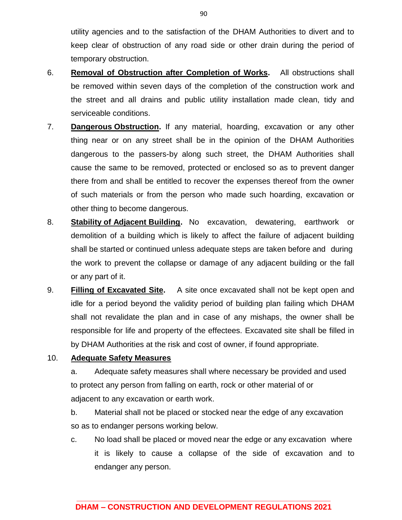utility agencies and to the satisfaction of the DHAM Authorities to divert and to keep clear of obstruction of any road side or other drain during the period of temporary obstruction.

- 6. **Removal of Obstruction after Completion of Works.** All obstructions shall be removed within seven days of the completion of the construction work and the street and all drains and public utility installation made clean, tidy and serviceable conditions.
- 7. **Dangerous Obstruction.** If any material, hoarding, excavation or any other thing near or on any street shall be in the opinion of the DHAM Authorities dangerous to the passers-by along such street, the DHAM Authorities shall cause the same to be removed, protected or enclosed so as to prevent danger there from and shall be entitled to recover the expenses thereof from the owner of such materials or from the person who made such hoarding, excavation or other thing to become dangerous.
- 8. **Stability of Adjacent Building.** No excavation, dewatering, earthwork or demolition of a building which is likely to affect the failure of adjacent building shall be started or continued unless adequate steps are taken before and during the work to prevent the collapse or damage of any adjacent building or the fall or any part of it.
- 9. **Filling of Excavated Site.** A site once excavated shall not be kept open and idle for a period beyond the validity period of building plan failing which DHAM shall not revalidate the plan and in case of any mishaps, the owner shall be responsible for life and property of the effectees. Excavated site shall be filled in by DHAM Authorities at the risk and cost of owner, if found appropriate.

### 10. **Adequate Safety Measures**

a. Adequate safety measures shall where necessary be provided and used to protect any person from falling on earth, rock or other material of or adjacent to any excavation or earth work.

- b. Material shall not be placed or stocked near the edge of any excavation so as to endanger persons working below.
- c. No load shall be placed or moved near the edge or any excavation where it is likely to cause a collapse of the side of excavation and to endanger any person.

90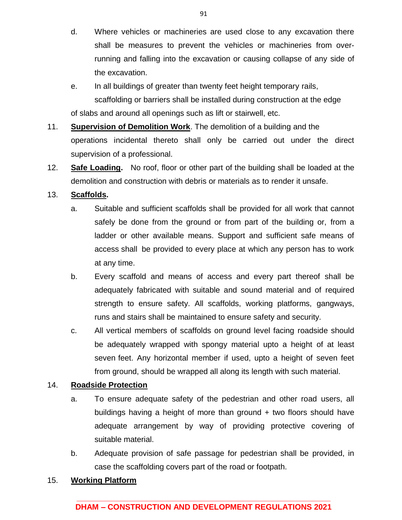- d. Where vehicles or machineries are used close to any excavation there shall be measures to prevent the vehicles or machineries from overrunning and falling into the excavation or causing collapse of any side of the excavation.
- e. In all buildings of greater than twenty feet height temporary rails, scaffolding or barriers shall be installed during construction at the edge of slabs and around all openings such as lift or stairwell, etc.
- 11. **Supervision of Demolition Work**. The demolition of a building and the operations incidental thereto shall only be carried out under the direct supervision of a professional.
- 12. **Safe Loading.** No roof, floor or other part of the building shall be loaded at the demolition and construction with debris or materials as to render it unsafe.

## 13. **Scaffolds.**

- a. Suitable and sufficient scaffolds shall be provided for all work that cannot safely be done from the ground or from part of the building or, from a ladder or other available means. Support and sufficient safe means of access shall be provided to every place at which any person has to work at any time.
- b. Every scaffold and means of access and every part thereof shall be adequately fabricated with suitable and sound material and of required strength to ensure safety. All scaffolds, working platforms, gangways, runs and stairs shall be maintained to ensure safety and security.
- c. All vertical members of scaffolds on ground level facing roadside should be adequately wrapped with spongy material upto a height of at least seven feet. Any horizontal member if used, upto a height of seven feet from ground, should be wrapped all along its length with such material.

## 14. **Roadside Protection**

- a. To ensure adequate safety of the pedestrian and other road users, all buildings having a height of more than ground + two floors should have adequate arrangement by way of providing protective covering of suitable material.
- b. Adequate provision of safe passage for pedestrian shall be provided, in case the scaffolding covers part of the road or footpath.

## 15. **Working Platform**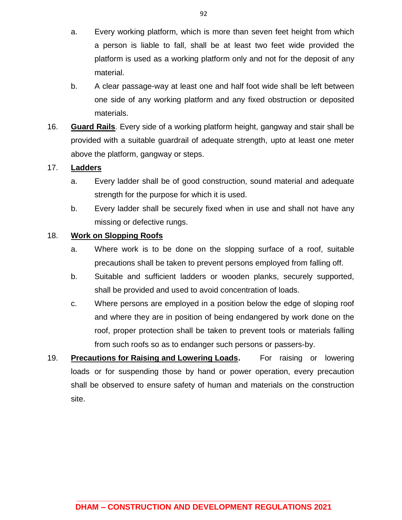- a. Every working platform, which is more than seven feet height from which a person is liable to fall, shall be at least two feet wide provided the platform is used as a working platform only and not for the deposit of any material.
- b. A clear passage-way at least one and half foot wide shall be left between one side of any working platform and any fixed obstruction or deposited materials.
- 16. **Guard Rails**. Every side of a working platform height, gangway and stair shall be provided with a suitable guardrail of adequate strength, upto at least one meter above the platform, gangway or steps.

### 17. **Ladders**

- a. Every ladder shall be of good construction, sound material and adequate strength for the purpose for which it is used.
- b. Every ladder shall be securely fixed when in use and shall not have any missing or defective rungs.

## 18. **Work on Slopping Roofs**

- a. Where work is to be done on the slopping surface of a roof, suitable precautions shall be taken to prevent persons employed from falling off.
- b. Suitable and sufficient ladders or wooden planks, securely supported, shall be provided and used to avoid concentration of loads.
- c. Where persons are employed in a position below the edge of sloping roof and where they are in position of being endangered by work done on the roof, proper protection shall be taken to prevent tools or materials falling from such roofs so as to endanger such persons or passers-by.
- 19. **Precautions for Raising and Lowering Loads.** For raising or lowering loads or for suspending those by hand or power operation, every precaution shall be observed to ensure safety of human and materials on the construction site.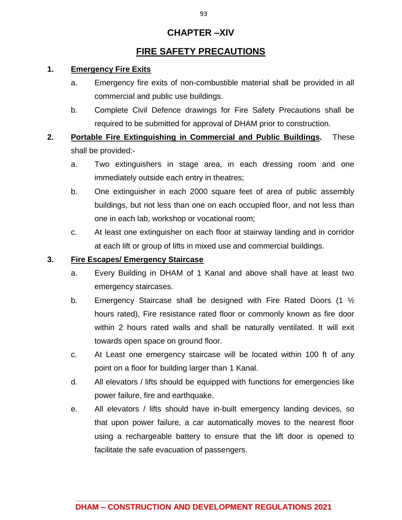## **CHAPTER –XIV**

## **FIRE SAFETY PRECAUTIONS**

## **1. Emergency Fire Exits**

- a. Emergency fire exits of non-combustible material shall be provided in all commercial and public use buildings.
- b. Complete Civil Defence drawings for Fire Safety Precautions shall be required to be submitted for approval of DHAM prior to construction.
- **2. Portable Fire Extinguishing in Commercial and Public Buildings.** These shall be provided:
	- a. Two extinguishers in stage area, in each dressing room and one immediately outside each entry in theatres;
	- b. One extinguisher in each 2000 square feet of area of public assembly buildings, but not less than one on each occupied floor, and not less than one in each lab, workshop or vocational room;
	- c. At least one extinguisher on each floor at stairway landing and in corridor at each lift or group of lifts in mixed use and commercial buildings.

## **3. Fire Escapes/ Emergency Staircase**

- a. Every Building in DHAM of 1 Kanal and above shall have at least two emergency staircases.
- b. Emergency Staircase shall be designed with Fire Rated Doors (1 ½ hours rated), Fire resistance rated floor or commonly known as fire door within 2 hours rated walls and shall be naturally ventilated. It will exit towards open space on ground floor.
- c. At Least one emergency staircase will be located within 100 ft of any point on a floor for building larger than 1 Kanal.
- d. All elevators / lifts should be equipped with functions for emergencies like power failure, fire and earthquake.
- e. All elevators / lifts should have in-built emergency landing devices, so that upon power failure, a car automatically moves to the nearest floor using a rechargeable battery to ensure that the lift door is opened to facilitate the safe evacuation of passengers.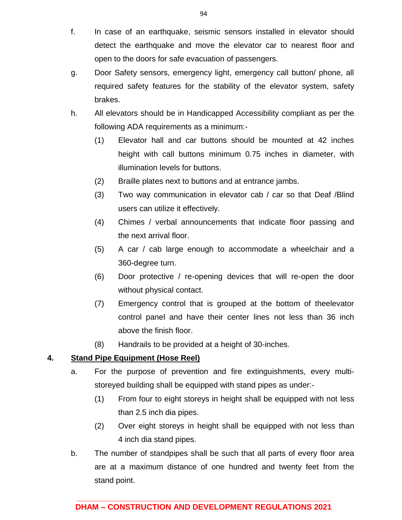- f. In case of an earthquake, seismic sensors installed in elevator should detect the earthquake and move the elevator car to nearest floor and open to the doors for safe evacuation of passengers.
- g. Door Safety sensors, emergency light, emergency call button/ phone, all required safety features for the stability of the elevator system, safety brakes.
- h. All elevators should be in Handicapped Accessibility compliant as per the following ADA requirements as a minimum:-
	- (1) Elevator hall and car buttons should be mounted at 42 inches height with call buttons minimum 0.75 inches in diameter, with illumination levels for buttons.
	- (2) Braille plates next to buttons and at entrance jambs.
	- (3) Two way communication in elevator cab / car so that Deaf /Blind users can utilize it effectively.
	- (4) Chimes / verbal announcements that indicate floor passing and the next arrival floor.
	- (5) A car / cab large enough to accommodate a wheelchair and a 360-degree turn.
	- (6) Door protective / re-opening devices that will re-open the door without physical contact.
	- (7) Emergency control that is grouped at the bottom of theelevator control panel and have their center lines not less than 36 inch above the finish floor.
	- (8) Handrails to be provided at a height of 30-inches.

## **4. Stand Pipe Equipment (Hose Reel)**

- a. For the purpose of prevention and fire extinguishments, every multistoreyed building shall be equipped with stand pipes as under:-
	- (1) From four to eight storeys in height shall be equipped with not less than 2.5 inch dia pipes.
	- (2) Over eight storeys in height shall be equipped with not less than 4 inch dia stand pipes.
- b. The number of standpipes shall be such that all parts of every floor area are at a maximum distance of one hundred and twenty feet from the stand point.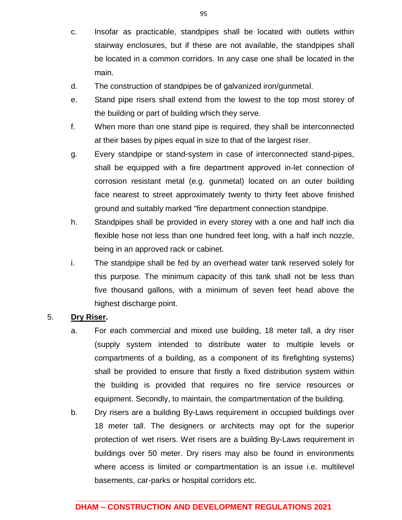- c. Insofar as practicable, standpipes shall be located with outlets within stairway enclosures, but if these are not available, the standpipes shall be located in a common corridors. In any case one shall be located in the main.
- d. The construction of standpipes be of galvanized iron/gunmetal.
- e. Stand pipe risers shall extend from the lowest to the top most storey of the building or part of building which they serve.
- f. When more than one stand pipe is required, they shall be interconnected at their bases by pipes equal in size to that of the largest riser.
- g. Every standpipe or stand-system in case of interconnected stand-pipes, shall be equipped with a fire department approved in-let connection of corrosion resistant metal (e.g. gunmetal) located on an outer building face nearest to street approximately twenty to thirty feet above finished ground and suitably marked "fire department connection standpipe.
- h. Standpipes shall be provided in every storey with a one and half inch dia flexible hose not less than one hundred feet long, with a half inch nozzle, being in an approved rack or cabinet.
- i. The standpipe shall be fed by an overhead water tank reserved solely for this purpose. The minimum capacity of this tank shall not be less than five thousand gallons, with a minimum of seven feet head above the highest discharge point.

### 5. **Dry Riser.**

- a. For each commercial and mixed use building, 18 meter tall, a dry riser (supply system intended to distribute water to multiple levels or compartments of a building, as a component of its firefighting systems) shall be provided to ensure that firstly a fixed distribution system within the building is provided that requires no fire service resources or equipment. Secondly, to maintain, the compartmentation of the building.
- b. Dry risers are a building By-Laws requirement in occupied buildings over 18 meter tall. The designers or architects may opt for the superior protection of wet risers. Wet risers are a building By-Laws requirement in buildings over 50 meter. Dry risers may also be found in environments where access is limited or compartmentation is an issue i.e. multilevel basements, car-parks or hospital corridors etc.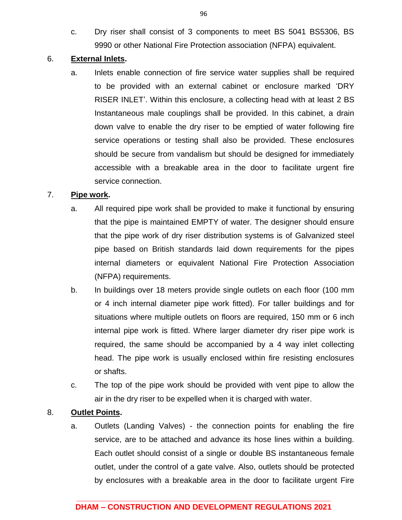c. Dry riser shall consist of 3 components to meet BS 5041 BS5306, BS 9990 or other National Fire Protection association (NFPA) equivalent.

### 6. **External Inlets.**

a. Inlets enable connection of fire service water supplies shall be required to be provided with an external cabinet or enclosure marked 'DRY RISER INLET'. Within this enclosure, a collecting head with at least 2 BS Instantaneous male couplings shall be provided. In this cabinet, a drain down valve to enable the dry riser to be emptied of water following fire service operations or testing shall also be provided. These enclosures should be secure from vandalism but should be designed for immediately accessible with a breakable area in the door to facilitate urgent fire service connection.

### 7. **Pipe work.**

- a. All required pipe work shall be provided to make it functional by ensuring that the pipe is maintained EMPTY of water. The designer should ensure that the pipe work of dry riser distribution systems is of Galvanized steel pipe based on British standards laid down requirements for the pipes internal diameters or equivalent National Fire Protection Association (NFPA) requirements.
- b. In buildings over 18 meters provide single outlets on each floor (100 mm or 4 inch internal diameter pipe work fitted). For taller buildings and for situations where multiple outlets on floors are required, 150 mm or 6 inch internal pipe work is fitted. Where larger diameter dry riser pipe work is required, the same should be accompanied by a 4 way inlet collecting head. The pipe work is usually enclosed within fire resisting enclosures or shafts.
- c. The top of the pipe work should be provided with vent pipe to allow the air in the dry riser to be expelled when it is charged with water.

### 8. **Outlet Points.**

a. Outlets (Landing Valves) - the connection points for enabling the fire service, are to be attached and advance its hose lines within a building. Each outlet should consist of a single or double BS instantaneous female outlet, under the control of a gate valve. Also, outlets should be protected by enclosures with a breakable area in the door to facilitate urgent Fire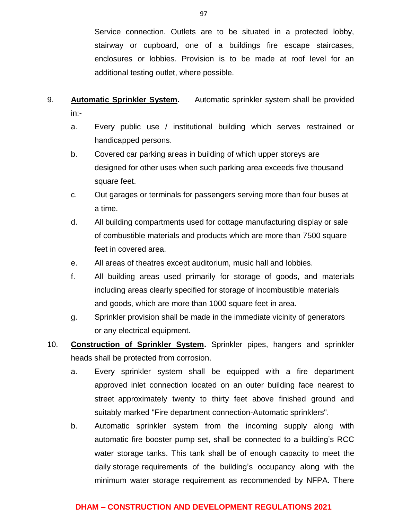Service connection. Outlets are to be situated in a protected lobby, stairway or cupboard, one of a buildings fire escape staircases, enclosures or lobbies. Provision is to be made at roof level for an additional testing outlet, where possible.

- 9. **Automatic Sprinkler System.** Automatic sprinkler system shall be provided in:
	- a. Every public use / institutional building which serves restrained or handicapped persons.
	- b. Covered car parking areas in building of which upper storeys are designed for other uses when such parking area exceeds five thousand square feet.
	- c. Out garages or terminals for passengers serving more than four buses at a time.
	- d. All building compartments used for cottage manufacturing display or sale of combustible materials and products which are more than 7500 square feet in covered area.
	- e. All areas of theatres except auditorium, music hall and lobbies.
	- f. All building areas used primarily for storage of goods, and materials including areas clearly specified for storage of incombustible materials and goods, which are more than 1000 square feet in area.
	- g. Sprinkler provision shall be made in the immediate vicinity of generators or any electrical equipment.
- 10. **Construction of Sprinkler System.** Sprinkler pipes, hangers and sprinkler heads shall be protected from corrosion.
	- a. Every sprinkler system shall be equipped with a fire department approved inlet connection located on an outer building face nearest to street approximately twenty to thirty feet above finished ground and suitably marked "Fire department connection-Automatic sprinklers".
	- b. Automatic sprinkler system from the incoming supply along with automatic fire booster pump set, shall be connected to a building's RCC water storage tanks. This tank shall be of enough capacity to meet the daily storage requirements of the building's occupancy along with the minimum water storage requirement as recommended by NFPA. There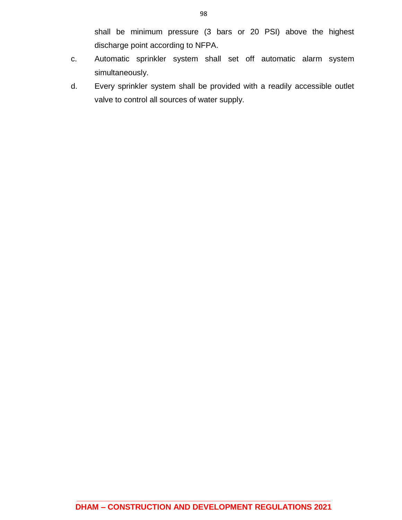shall be minimum pressure (3 bars or 20 PSI) above the highest discharge point according to NFPA.

- c. Automatic sprinkler system shall set off automatic alarm system simultaneously.
- d. Every sprinkler system shall be provided with a readily accessible outlet valve to control all sources of water supply.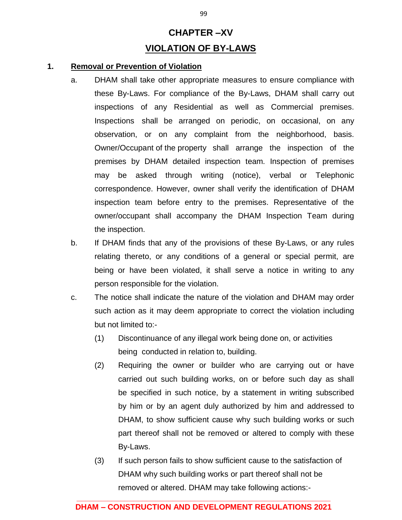# **CHAPTER –XV VIOLATION OF BY-LAWS**

#### **1. Removal or Prevention of Violation**

- a. DHAM shall take other appropriate measures to ensure compliance with these By-Laws. For compliance of the By-Laws, DHAM shall carry out inspections of any Residential as well as Commercial premises. Inspections shall be arranged on periodic, on occasional, on any observation, or on any complaint from the neighborhood, basis. Owner/Occupant of the property shall arrange the inspection of the premises by DHAM detailed inspection team. Inspection of premises may be asked through writing (notice), verbal or Telephonic correspondence. However, owner shall verify the identification of DHAM inspection team before entry to the premises. Representative of the owner/occupant shall accompany the DHAM Inspection Team during the inspection.
- b. If DHAM finds that any of the provisions of these By-Laws, or any rules relating thereto, or any conditions of a general or special permit, are being or have been violated, it shall serve a notice in writing to any person responsible for the violation.
- c. The notice shall indicate the nature of the violation and DHAM may order such action as it may deem appropriate to correct the violation including but not limited to:-
	- (1) Discontinuance of any illegal work being done on, or activities being conducted in relation to, building.
	- (2) Requiring the owner or builder who are carrying out or have carried out such building works, on or before such day as shall be specified in such notice, by a statement in writing subscribed by him or by an agent duly authorized by him and addressed to DHAM, to show sufficient cause why such building works or such part thereof shall not be removed or altered to comply with these By-Laws.
	- (3) If such person fails to show sufficient cause to the satisfaction of DHAM why such building works or part thereof shall not be removed or altered. DHAM may take following actions:-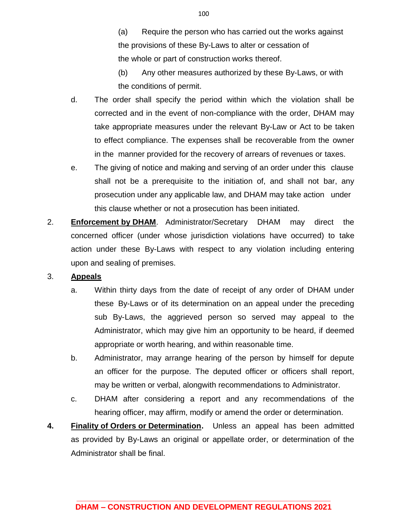(a) Require the person who has carried out the works against the provisions of these By-Laws to alter or cessation of the whole or part of construction works thereof.

(b) Any other measures authorized by these By-Laws, or with the conditions of permit.

- d. The order shall specify the period within which the violation shall be corrected and in the event of non-compliance with the order, DHAM may take appropriate measures under the relevant By-Law or Act to be taken to effect compliance. The expenses shall be recoverable from the owner in the manner provided for the recovery of arrears of revenues or taxes.
- e. The giving of notice and making and serving of an order under this clause shall not be a prerequisite to the initiation of, and shall not bar, any prosecution under any applicable law, and DHAM may take action under this clause whether or not a prosecution has been initiated.
- 2. **Enforcement by DHAM**. Administrator/Secretary DHAM may direct the concerned officer (under whose jurisdiction violations have occurred) to take action under these By-Laws with respect to any violation including entering upon and sealing of premises.

### 3. **Appeals**

- a. Within thirty days from the date of receipt of any order of DHAM under these By-Laws or of its determination on an appeal under the preceding sub By-Laws, the aggrieved person so served may appeal to the Administrator, which may give him an opportunity to be heard, if deemed appropriate or worth hearing, and within reasonable time.
- b. Administrator, may arrange hearing of the person by himself for depute an officer for the purpose. The deputed officer or officers shall report, may be written or verbal, alongwith recommendations to Administrator.
- c. DHAM after considering a report and any recommendations of the hearing officer, may affirm, modify or amend the order or determination.
- **4. Finality of Orders or Determination.** Unless an appeal has been admitted as provided by By-Laws an original or appellate order, or determination of the Administrator shall be final.

100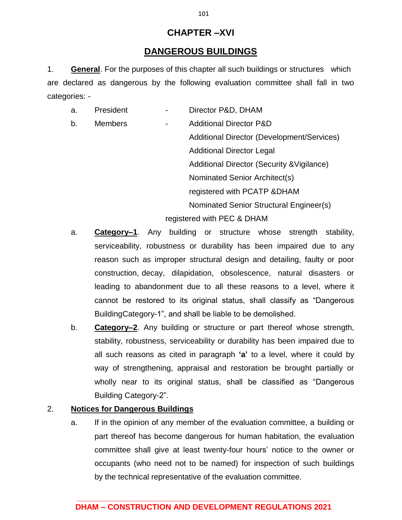## **CHAPTER –XVI**

## **DANGEROUS BUILDINGS**

1. **General**. For the purposes of this chapter all such buildings or structures which are declared as dangerous by the following evaluation committee shall fall in two categories: -

| a. | President      |                | Director P&D, DHAM                         |  |
|----|----------------|----------------|--------------------------------------------|--|
| b. | <b>Members</b> | $\overline{a}$ | <b>Additional Director P&amp;D</b>         |  |
|    |                |                | Additional Director (Development/Services) |  |
|    |                |                | <b>Additional Director Legal</b>           |  |
|    |                |                | Additional Director (Security & Vigilance) |  |
|    |                |                | Nominated Senior Architect(s)              |  |
|    |                |                | registered with PCATP & DHAM               |  |
|    |                |                | Nominated Senior Structural Engineer(s)    |  |
|    |                |                | registered with PEC & DHAM                 |  |

- a. **Category–1**. Any building or structure whose strength stability, serviceability, robustness or durability has been impaired due to any reason such as improper structural design and detailing, faulty or poor construction, decay, dilapidation, obsolescence, natural disasters or leading to abandonment due to all these reasons to a level, where it cannot be restored to its original status, shall classify as "Dangerous BuildingCategory-1", and shall be liable to be demolished.
- b. **Category–2**. Any building or structure or part thereof whose strength, stability, robustness, serviceability or durability has been impaired due to all such reasons as cited in paragraph **'a'** to a level, where it could by way of strengthening, appraisal and restoration be brought partially or wholly near to its original status, shall be classified as "Dangerous Building Category-2".

## 2. **Notices for Dangerous Buildings**

a. If in the opinion of any member of the evaluation committee, a building or part thereof has become dangerous for human habitation, the evaluation committee shall give at least twenty-four hours' notice to the owner or occupants (who need not to be named) for inspection of such buildings by the technical representative of the evaluation committee.

**\_\_\_\_\_\_\_\_\_\_\_\_\_\_\_\_\_\_\_\_\_\_\_\_\_\_\_\_\_\_\_\_\_\_\_\_\_\_\_\_\_\_\_\_\_\_\_\_\_\_\_\_\_\_\_\_\_\_**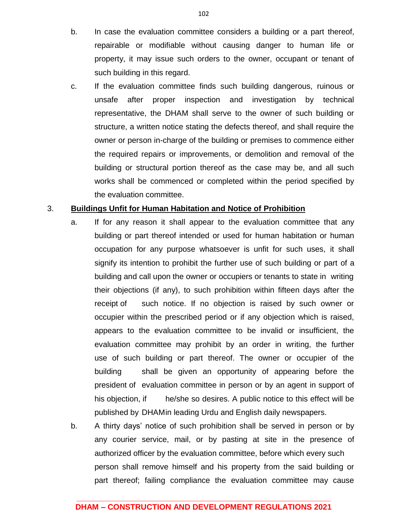- b. In case the evaluation committee considers a building or a part thereof, repairable or modifiable without causing danger to human life or property, it may issue such orders to the owner, occupant or tenant of such building in this regard.
- c. If the evaluation committee finds such building dangerous, ruinous or unsafe after proper inspection and investigation by technical representative, the DHAM shall serve to the owner of such building or structure, a written notice stating the defects thereof, and shall require the owner or person in-charge of the building or premises to commence either the required repairs or improvements, or demolition and removal of the building or structural portion thereof as the case may be, and all such works shall be commenced or completed within the period specified by the evaluation committee.

#### 3. **Buildings Unfit for Human Habitation and Notice of Prohibition**

- a. If for any reason it shall appear to the evaluation committee that any building or part thereof intended or used for human habitation or human occupation for any purpose whatsoever is unfit for such uses, it shall signify its intention to prohibit the further use of such building or part of a building and call upon the owner or occupiers or tenants to state in writing their objections (if any), to such prohibition within fifteen days after the receipt of such notice. If no objection is raised by such owner or occupier within the prescribed period or if any objection which is raised, appears to the evaluation committee to be invalid or insufficient, the evaluation committee may prohibit by an order in writing, the further use of such building or part thereof. The owner or occupier of the building shall be given an opportunity of appearing before the president of evaluation committee in person or by an agent in support of his objection, if he/she so desires. A public notice to this effect will be published by DHAMin leading Urdu and English daily newspapers.
- b. A thirty days' notice of such prohibition shall be served in person or by any courier service, mail, or by pasting at site in the presence of authorized officer by the evaluation committee, before which every such person shall remove himself and his property from the said building or part thereof; failing compliance the evaluation committee may cause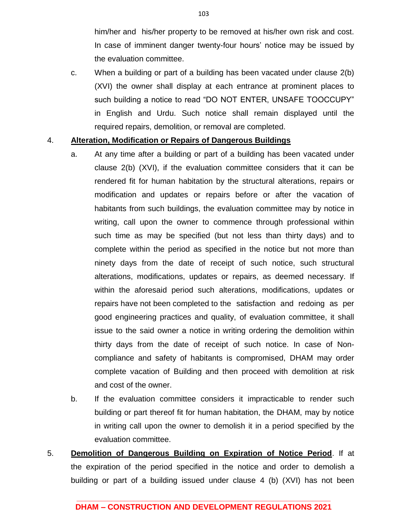him/her and his/her property to be removed at his/her own risk and cost. In case of imminent danger twenty-four hours' notice may be issued by the evaluation committee.

c. When a building or part of a building has been vacated under clause 2(b) (XVI) the owner shall display at each entrance at prominent places to such building a notice to read "DO NOT ENTER, UNSAFE TOOCCUPY" in English and Urdu. Such notice shall remain displayed until the required repairs, demolition, or removal are completed.

#### 4. **Alteration, Modification or Repairs of Dangerous Buildings**

- a. At any time after a building or part of a building has been vacated under clause 2(b) (XVI), if the evaluation committee considers that it can be rendered fit for human habitation by the structural alterations, repairs or modification and updates or repairs before or after the vacation of habitants from such buildings, the evaluation committee may by notice in writing, call upon the owner to commence through professional within such time as may be specified (but not less than thirty days) and to complete within the period as specified in the notice but not more than ninety days from the date of receipt of such notice, such structural alterations, modifications, updates or repairs, as deemed necessary. If within the aforesaid period such alterations, modifications, updates or repairs have not been completed to the satisfaction and redoing as per good engineering practices and quality, of evaluation committee, it shall issue to the said owner a notice in writing ordering the demolition within thirty days from the date of receipt of such notice. In case of Noncompliance and safety of habitants is compromised, DHAM may order complete vacation of Building and then proceed with demolition at risk and cost of the owner.
- b. If the evaluation committee considers it impracticable to render such building or part thereof fit for human habitation, the DHAM, may by notice in writing call upon the owner to demolish it in a period specified by the evaluation committee.
- 5. **Demolition of Dangerous Building on Expiration of Notice Period**. If at the expiration of the period specified in the notice and order to demolish a building or part of a building issued under clause 4 (b) (XVI) has not been

#### **\_\_\_\_\_\_\_\_\_\_\_\_\_\_\_\_\_\_\_\_\_\_\_\_\_\_\_\_\_\_\_\_\_\_\_\_\_\_\_\_\_\_\_\_\_\_\_\_\_\_\_\_\_\_\_\_\_\_ DHAM – CONSTRUCTION AND DEVELOPMENT REGULATIONS 2021**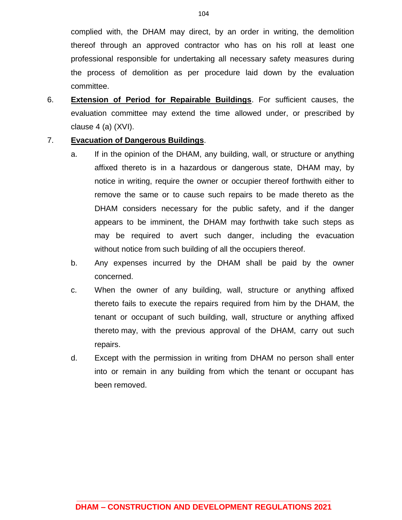complied with, the DHAM may direct, by an order in writing, the demolition thereof through an approved contractor who has on his roll at least one professional responsible for undertaking all necessary safety measures during the process of demolition as per procedure laid down by the evaluation committee.

6. **Extension of Period for Repairable Buildings**. For sufficient causes, the evaluation committee may extend the time allowed under, or prescribed by clause 4 (a) (XVI).

#### 7. **Evacuation of Dangerous Buildings**.

- a. If in the opinion of the DHAM, any building, wall, or structure or anything affixed thereto is in a hazardous or dangerous state, DHAM may, by notice in writing, require the owner or occupier thereof forthwith either to remove the same or to cause such repairs to be made thereto as the DHAM considers necessary for the public safety, and if the danger appears to be imminent, the DHAM may forthwith take such steps as may be required to avert such danger, including the evacuation without notice from such building of all the occupiers thereof.
- b. Any expenses incurred by the DHAM shall be paid by the owner concerned.
- c. When the owner of any building, wall, structure or anything affixed thereto fails to execute the repairs required from him by the DHAM, the tenant or occupant of such building, wall, structure or anything affixed thereto may, with the previous approval of the DHAM, carry out such repairs.
- d. Except with the permission in writing from DHAM no person shall enter into or remain in any building from which the tenant or occupant has been removed.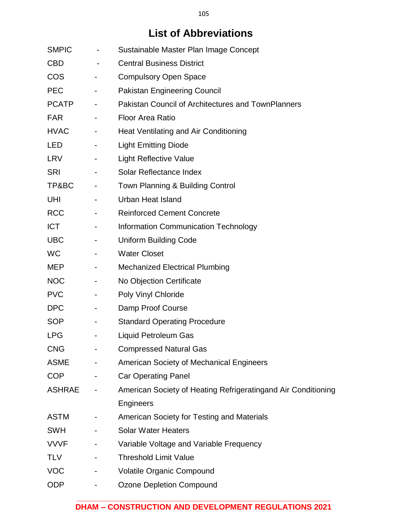# **List of Abbreviations**

| <b>SMPIC</b>  |                          | Sustainable Master Plan Image Concept                         |
|---------------|--------------------------|---------------------------------------------------------------|
| <b>CBD</b>    | $\overline{\phantom{a}}$ | <b>Central Business District</b>                              |
| <b>COS</b>    |                          | <b>Compulsory Open Space</b>                                  |
| <b>PEC</b>    | $\blacksquare$           | <b>Pakistan Engineering Council</b>                           |
| <b>PCATP</b>  | $\sim$                   | <b>Pakistan Council of Architectures and TownPlanners</b>     |
| <b>FAR</b>    | $\blacksquare$           | <b>Floor Area Ratio</b>                                       |
| <b>HVAC</b>   | $\blacksquare$           | Heat Ventilating and Air Conditioning                         |
| <b>LED</b>    | Ξ.                       | <b>Light Emitting Diode</b>                                   |
| <b>LRV</b>    | $\blacksquare$           | <b>Light Reflective Value</b>                                 |
| <b>SRI</b>    |                          | Solar Reflectance Index                                       |
| TP&BC         | $\blacksquare$           | Town Planning & Building Control                              |
| UHI           |                          | <b>Urban Heat Island</b>                                      |
| <b>RCC</b>    |                          | <b>Reinforced Cement Concrete</b>                             |
| <b>ICT</b>    | $\overline{\phantom{a}}$ | Information Communication Technology                          |
| <b>UBC</b>    | $\blacksquare$           | <b>Uniform Building Code</b>                                  |
| <b>WC</b>     |                          | <b>Water Closet</b>                                           |
| <b>MEP</b>    | $\blacksquare$           | <b>Mechanized Electrical Plumbing</b>                         |
| <b>NOC</b>    | ۰.                       | No Objection Certificate                                      |
| <b>PVC</b>    |                          | Poly Vinyl Chloride                                           |
| <b>DPC</b>    | $\sim$                   | Damp Proof Course                                             |
| <b>SOP</b>    | $\overline{\phantom{a}}$ | <b>Standard Operating Procedure</b>                           |
| <b>LPG</b>    |                          | <b>Liquid Petroleum Gas</b>                                   |
| <b>CNG</b>    |                          | <b>Compressed Natural Gas</b>                                 |
| <b>ASME</b>   |                          | <b>American Society of Mechanical Engineers</b>               |
| <b>COP</b>    |                          | <b>Car Operating Panel</b>                                    |
| <b>ASHRAE</b> |                          | American Society of Heating Refrigeratingand Air Conditioning |
|               |                          | Engineers                                                     |
| <b>ASTM</b>   |                          | American Society for Testing and Materials                    |
| <b>SWH</b>    |                          | <b>Solar Water Heaters</b>                                    |
| <b>VVVF</b>   |                          | Variable Voltage and Variable Frequency                       |
| <b>TLV</b>    |                          | <b>Threshold Limit Value</b>                                  |
| <b>VOC</b>    |                          | <b>Volatile Organic Compound</b>                              |
| <b>ODP</b>    |                          | <b>Ozone Depletion Compound</b>                               |